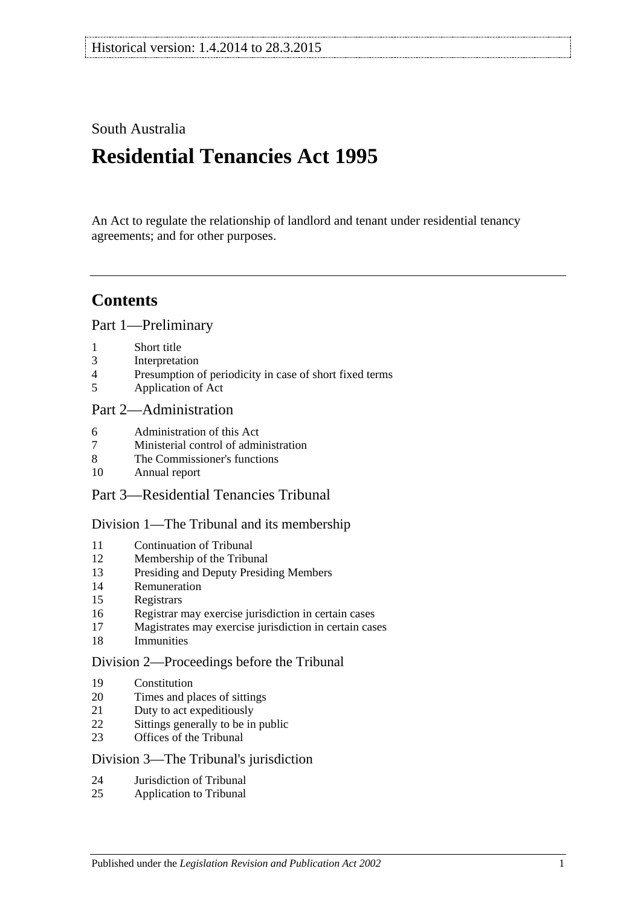### South Australia

# **Residential Tenancies Act 1995**

An Act to regulate the relationship of landlord and tenant under residential tenancy agreements; and for other purposes.

## **Contents**

[Part 1—Preliminary](#page-6-0)

- [Short title](#page-6-1)
- [Interpretation](#page-6-2)
- [Presumption of periodicity in case of short fixed terms](#page-8-0)
- [Application of Act](#page-8-1)

### [Part 2—Administration](#page-10-0)

- [Administration](#page-10-1) of this Act
- [Ministerial control of administration](#page-10-2)
- [The Commissioner's functions](#page-10-3)
- [Annual report](#page-11-0)
- Part [3—Residential Tenancies Tribunal](#page-11-1)

#### [Division 1—The Tribunal and its membership](#page-11-2)

- [Continuation of Tribunal](#page-11-3)
- [Membership of the Tribunal](#page-11-4)
- [Presiding and Deputy Presiding Members](#page-11-5)
- [Remuneration](#page-12-0)
- [Registrars](#page-12-1)
- [Registrar may exercise jurisdiction in certain cases](#page-12-2)
- [Magistrates may exercise jurisdiction in certain cases](#page-12-3)
- [Immunities](#page-13-0)

#### [Division 2—Proceedings before the Tribunal](#page-13-1)

- [Constitution](#page-13-2)
- [Times and places of sittings](#page-13-3)
- [Duty to act expeditiously](#page-13-4)
- [Sittings generally to be in public](#page-13-5)
- [Offices of the Tribunal](#page-13-6)

#### [Division 3—The Tribunal's jurisdiction](#page-13-7)

- [Jurisdiction of Tribunal](#page-13-8)
- [Application to Tribunal](#page-14-0)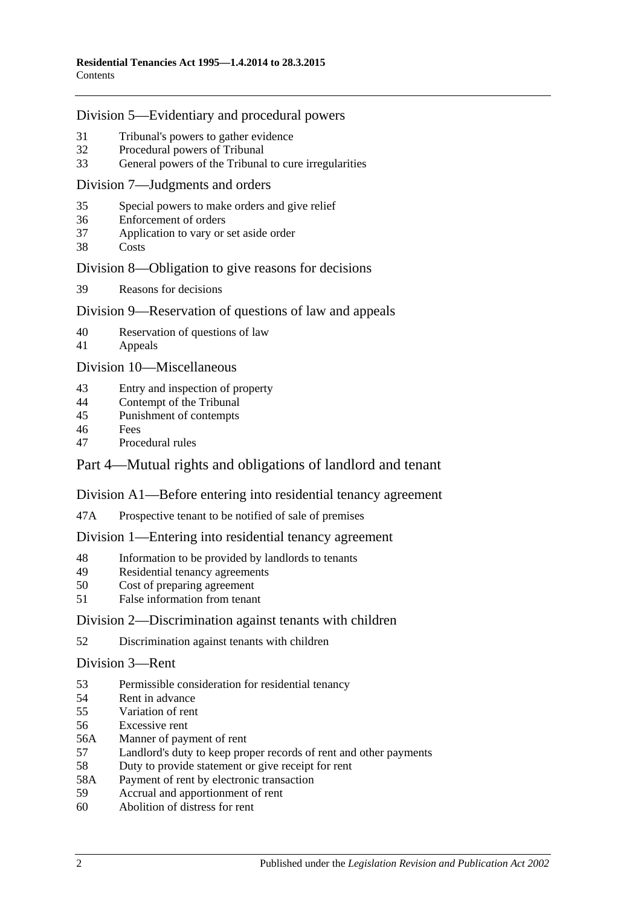#### [Division 5—Evidentiary and procedural powers](#page-14-1)

- [Tribunal's powers to gather evidence](#page-14-2)<br>32 Procedural powers of Tribunal
- [Procedural powers of Tribunal](#page-15-0)
- [General powers of the Tribunal to cure irregularities](#page-16-0)

#### [Division 7—Judgments and orders](#page-16-1)

- [Special powers to make orders and give relief](#page-16-2)
- [Enforcement of orders](#page-17-0)
- [Application to vary or set aside order](#page-17-1)
- [Costs](#page-17-2)

#### [Division 8—Obligation to give reasons for decisions](#page-17-3)

[Reasons for decisions](#page-17-4)

#### [Division 9—Reservation of questions of law and appeals](#page-18-0)

- [Reservation of questions of law](#page-18-1)
- [Appeals](#page-18-2)

[Division 10—Miscellaneous](#page-18-3)

- [Entry and inspection of property](#page-18-4)
- [Contempt of the Tribunal](#page-18-5)
- [Punishment of contempts](#page-18-6)
- [Fees](#page-19-0)
- [Procedural rules](#page-19-1)

### [Part 4—Mutual rights and obligations of landlord and tenant](#page-19-2)

#### [Division A1—Before entering into residential tenancy agreement](#page-19-3)

47A [Prospective tenant to be notified of sale of premises](#page-19-4)

#### [Division 1—Entering into residential tenancy agreement](#page-20-0)

- [Information to be provided by landlords to tenants](#page-20-1)
- [Residential tenancy agreements](#page-21-0)
- [Cost of preparing agreement](#page-22-0)
- [False information from tenant](#page-22-1)

#### [Division 2—Discrimination against tenants with children](#page-23-0)

[Discrimination against tenants with children](#page-23-1)

#### [Division 3—Rent](#page-23-2)

- [Permissible consideration for residential tenancy](#page-23-3)
- [Rent in advance](#page-24-0)
- [Variation of rent](#page-24-1)
- [Excessive rent](#page-25-0)
- 56A [Manner of payment of rent](#page-26-0)
- [Landlord's duty to keep proper records of rent and other payments](#page-26-1)
- [Duty to provide statement or give receipt for rent](#page-27-0)
- 58A [Payment of rent by electronic transaction](#page-27-1)
- [Accrual and apportionment of rent](#page-27-2)
- [Abolition of distress for rent](#page-27-3)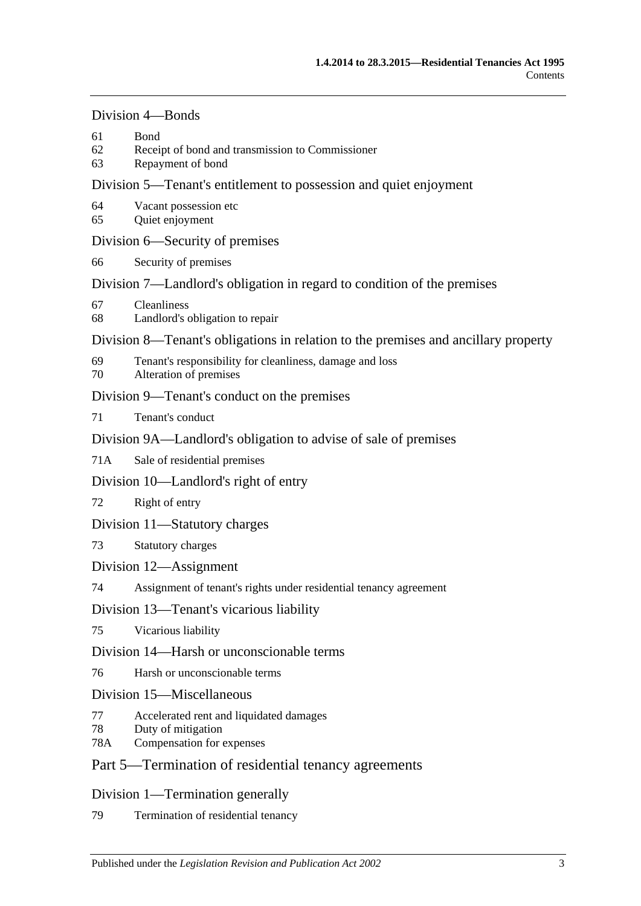#### [Division 4—Bonds](#page-27-4)

- 61 [Bond](#page-27-5)
- 62 [Receipt of bond and transmission to Commissioner](#page-28-0)
- 63 [Repayment of bond](#page-28-1)

### [Division 5—Tenant's entitlement to possession and quiet enjoyment](#page-30-0)

- 64 [Vacant possession etc](#page-30-1)
- 65 [Quiet enjoyment](#page-31-0)

### [Division 6—Security of premises](#page-31-1)

66 [Security of premises](#page-31-2)

### [Division 7—Landlord's obligation in regard to condition of the premises](#page-31-3)

- 67 [Cleanliness](#page-31-4)
- 68 [Landlord's obligation to repair](#page-32-0)

### [Division 8—Tenant's obligations in relation to the premises and ancillary property](#page-33-0)

- 69 [Tenant's responsibility for cleanliness, damage and loss](#page-33-1)
- 70 [Alteration of premises](#page-33-2)

### [Division 9—Tenant's conduct on the premises](#page-34-0)

71 [Tenant's conduct](#page-34-1)

### [Division 9A—Landlord's obligation to advise of sale of premises](#page-34-2)

71A [Sale of residential premises](#page-34-3)

### [Division 10—Landlord's right of entry](#page-34-4)

72 [Right of entry](#page-34-5)

### [Division 11—Statutory charges](#page-36-0)

### 73 [Statutory charges](#page-36-1)

### [Division 12—Assignment](#page-37-0)

74 [Assignment of tenant's rights under residential tenancy agreement](#page-37-1)

### [Division 13—Tenant's vicarious liability](#page-38-0)

75 [Vicarious liability](#page-38-1)

### [Division 14—Harsh or unconscionable terms](#page-39-0)

76 [Harsh or unconscionable terms](#page-39-1)

### [Division 15—Miscellaneous](#page-39-2)

- 77 [Accelerated rent and liquidated damages](#page-39-3)
- 78 [Duty of mitigation](#page-39-4)
- 78A [Compensation for expenses](#page-39-5)

### [Part 5—Termination of residential tenancy agreements](#page-40-0)

### [Division 1—Termination generally](#page-40-1)

79 [Termination of residential tenancy](#page-40-2)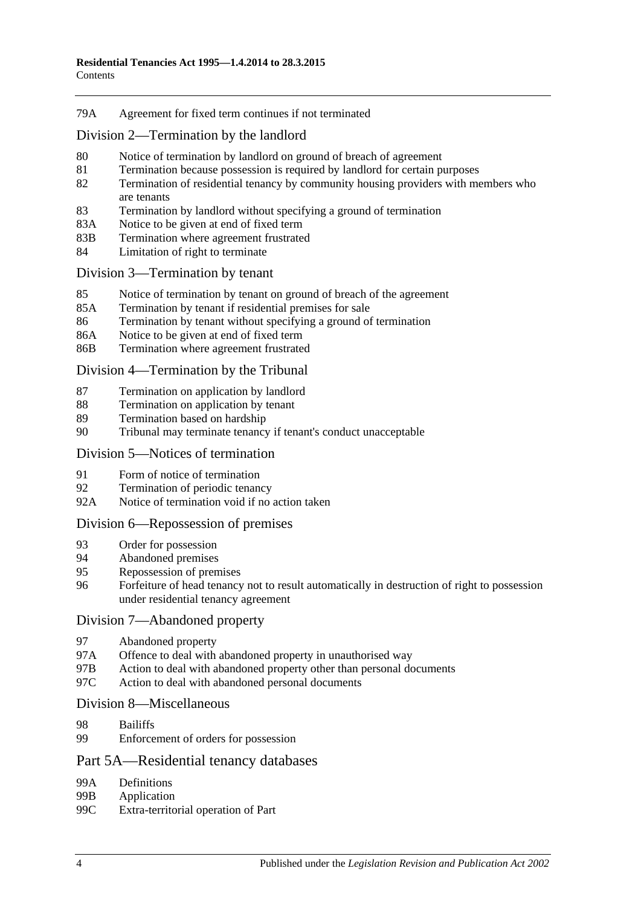#### 79A [Agreement for fixed term continues if not terminated](#page-40-3)

[Division 2—Termination by the landlord](#page-40-4)

- 80 [Notice of termination by landlord on ground of breach of agreement](#page-40-5)
- 81 [Termination because possession is required by landlord for certain purposes](#page-42-0)
- 82 [Termination of residential tenancy by community housing providers with members who](#page-42-1)  [are tenants](#page-42-1)
- 83 [Termination by landlord without specifying a ground of termination](#page-43-0)
- 83A [Notice to be given at end of fixed term](#page-43-1)
- 83B [Termination where agreement frustrated](#page-43-2)
- 84 [Limitation of right to terminate](#page-44-0)

#### [Division 3—Termination by tenant](#page-44-1)

- 85 [Notice of termination by tenant on ground of breach of the agreement](#page-44-2)
- 85A [Termination by tenant if residential premises for sale](#page-45-0)
- 86 [Termination by tenant without specifying a ground of termination](#page-45-1)
- 86A [Notice to be given at end of fixed term](#page-45-2)
- 86B [Termination where agreement frustrated](#page-45-3)

[Division 4—Termination by the Tribunal](#page-45-4)

- 87 [Termination on application by landlord](#page-45-5)
- 88 [Termination on application by tenant](#page-46-0)
- 89 [Termination based on hardship](#page-46-1)
- 90 [Tribunal may terminate tenancy if tenant's conduct unacceptable](#page-46-2)

#### [Division 5—Notices of termination](#page-48-0)

- 91 [Form of notice of termination](#page-48-1)<br>92 Termination of periodic tenan
- [Termination of periodic tenancy](#page-48-2)
- 92A [Notice of termination void if no action taken](#page-48-3)

#### [Division 6—Repossession of premises](#page-49-0)

- 93 [Order for possession](#page-49-1)
- 94 [Abandoned premises](#page-49-2)
- 95 [Repossession of premises](#page-50-0)<br>96 Forfeiture of head tenancy
- 96 [Forfeiture of head tenancy not to result automatically in destruction of right to possession](#page-50-1)  [under residential tenancy agreement](#page-50-1)

#### [Division 7—Abandoned property](#page-51-0)

- 97 [Abandoned property](#page-51-1)
- 97A [Offence to deal with abandoned property in unauthorised way](#page-51-2)
- 97B [Action to deal with abandoned property other than personal documents](#page-51-3)
- 97C [Action to deal with abandoned personal documents](#page-52-0)

#### [Division 8—Miscellaneous](#page-52-1)

- 98 [Bailiffs](#page-52-2)
- 99 [Enforcement of orders for possession](#page-53-0)

#### [Part 5A—Residential tenancy databases](#page-53-1)

- 99A [Definitions](#page-53-2)<br>99B Application
- 99B [Application](#page-55-0)<br>99C Extra-territo
- [Extra-territorial operation of Part](#page-55-1)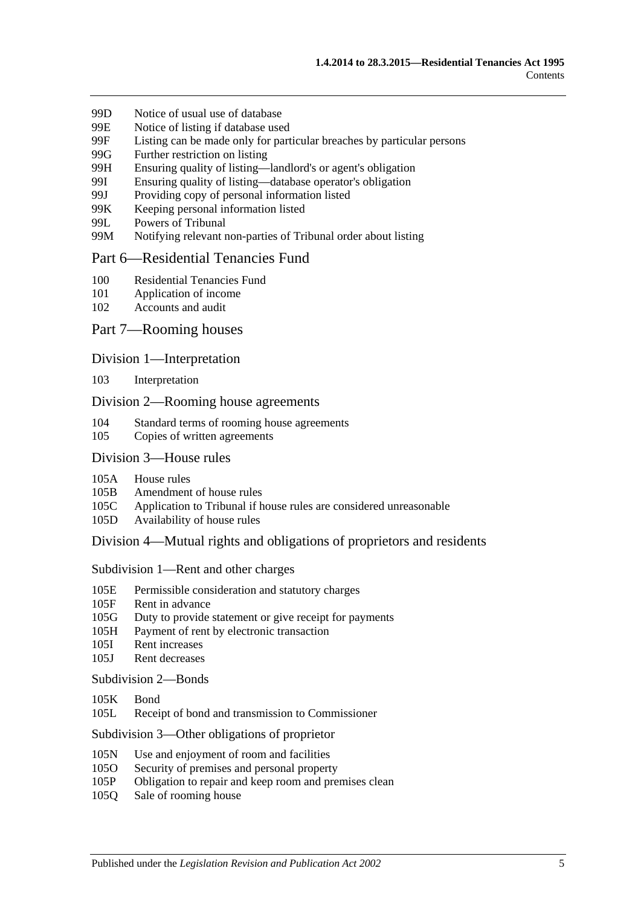- 99D [Notice of usual use of database](#page-55-2)
- 99E [Notice of listing if database used](#page-56-0)
- 99F [Listing can be made only for particular breaches by particular persons](#page-56-1)
- 99G [Further restriction on listing](#page-57-0)
- 99H [Ensuring quality of listing—landlord's or agent's obligation](#page-57-1)
- 99I [Ensuring quality of listing—database operator's obligation](#page-58-0)
- 99J [Providing copy of personal information listed](#page-58-1)
- 99K [Keeping personal information listed](#page-59-0)
- 99L [Powers of Tribunal](#page-59-1)
- 99M [Notifying relevant non-parties of Tribunal order about listing](#page-60-0)

#### [Part 6—Residential Tenancies Fund](#page-60-1)

- 100 [Residential Tenancies Fund](#page-60-2)
- 101 [Application of income](#page-60-3)
- 102 [Accounts and audit](#page-61-0)

#### Part [7—Rooming houses](#page-61-1)

#### Division [1—Interpretation](#page-61-2)

103 [Interpretation](#page-61-3)

#### Division [2—Rooming house agreements](#page-61-4)

- 104 [Standard terms of rooming house agreements](#page-61-5)
- 105 [Copies of written agreements](#page-61-6)

#### Division [3—House rules](#page-62-0)

- 105A [House rules](#page-62-1)
- 105B [Amendment of house rules](#page-62-2)
- 105C [Application to Tribunal if house rules are considered unreasonable](#page-62-3)
- 105D [Availability of house rules](#page-63-0)

#### Division [4—Mutual rights and obligations of proprietors and residents](#page-63-1)

Subdivision [1—Rent and other charges](#page-63-2)

- 105E [Permissible consideration and statutory charges](#page-63-3)
- 105F [Rent in advance](#page-63-4)
- 105G [Duty to provide statement or give receipt for payments](#page-64-0)
- 105H [Payment of rent by electronic transaction](#page-64-1)
- 105I [Rent increases](#page-65-0)
- 105J [Rent decreases](#page-65-1)

#### [Subdivision](#page-66-0) 2—Bonds

- [105K](#page-66-1) Bond
- 105L [Receipt of bond and transmission to Commissioner](#page-66-2)

Subdivision [3—Other obligations of proprietor](#page-66-3)

- 105N [Use and enjoyment of room and facilities](#page-66-4)
- 105O [Security of premises and personal property](#page-67-0)
- 105P [Obligation to repair and keep room and premises clean](#page-67-1)
- 105Q [Sale of rooming house](#page-68-0)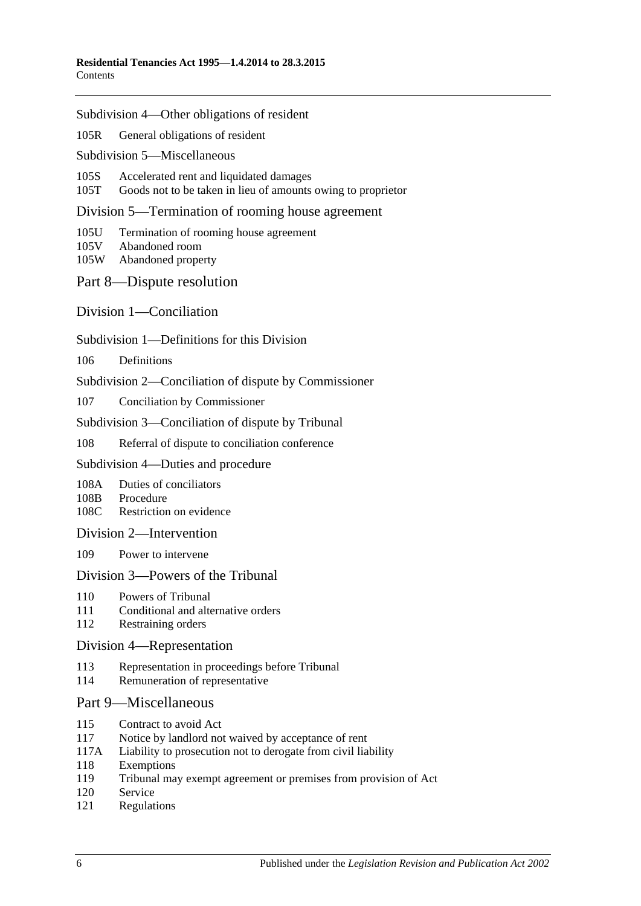Subdivision [4—Other obligations of resident](#page-68-1)

105R [General obligations of resident](#page-68-2)

Subdivision [5—Miscellaneous](#page-68-3)

105S [Accelerated rent and liquidated damages](#page-68-4)

105T [Goods not to be taken in lieu of amounts owing to proprietor](#page-69-0)

Division [5—Termination of rooming house agreement](#page-69-1)

105U [Termination of rooming house agreement](#page-69-2)

- 105V [Abandoned room](#page-70-0)
- 105W [Abandoned property](#page-70-1)

[Part 8—Dispute resolution](#page-71-0)

[Division 1—Conciliation](#page-71-1)

Subdivision [1—Definitions for this Division](#page-71-2)

106 [Definitions](#page-71-3)

Subdivision [2—Conciliation of dispute by Commissioner](#page-72-0)

107 [Conciliation by Commissioner](#page-72-1)

Subdivision [3—Conciliation of dispute by Tribunal](#page-72-2)

108 [Referral of dispute to conciliation conference](#page-72-3)

Subdivision [4—Duties and procedure](#page-73-0)

108A [Duties of conciliators](#page-73-1)

108B [Procedure](#page-73-2)

108C [Restriction on evidence](#page-73-3)

[Division 2—Intervention](#page-74-0)

109 [Power to intervene](#page-74-1)

#### [Division 3—Powers of the Tribunal](#page-74-2)

- 110 [Powers of Tribunal](#page-74-3)
- 111 [Conditional and alternative orders](#page-75-0)
- 112 [Restraining orders](#page-75-1)

#### [Division 4—Representation](#page-75-2)

- 113 [Representation in proceedings before Tribunal](#page-75-3)
- 114 [Remuneration of representative](#page-76-0)

#### [Part 9—Miscellaneous](#page-76-1)

- 115 [Contract to avoid Act](#page-76-2)
- 117 [Notice by landlord not waived by acceptance of rent](#page-76-3)
- 117A [Liability to prosecution not to derogate from civil liability](#page-76-4)
- 118 [Exemptions](#page-77-0)
- 119 [Tribunal may exempt agreement or premises from provision of Act](#page-77-1)
- 120 [Service](#page-77-2)
- 121 [Regulations](#page-77-3)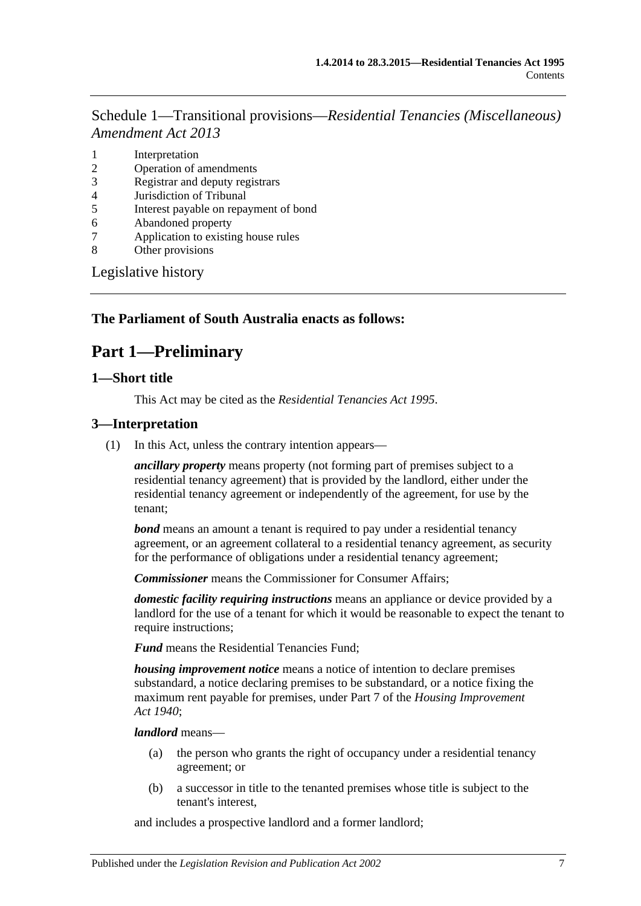Schedule 1—Transitional provisions—*[Residential Tenancies \(Miscellaneous\)](#page-78-0)  [Amendment Act](#page-78-0) 2013*

- 1 [Interpretation](#page-78-1)
- 2 [Operation of amendments](#page-78-2)
- 3 [Registrar and deputy registrars](#page-78-3)
- 4 [Jurisdiction of Tribunal](#page-78-4)
- 5 [Interest payable on repayment of bond](#page-79-0)
- 6 [Abandoned property](#page-79-1)
- 7 [Application to existing house rules](#page-79-2)
- 8 [Other provisions](#page-79-3)

[Legislative history](#page-80-0)

#### <span id="page-6-0"></span>**The Parliament of South Australia enacts as follows:**

## **Part 1—Preliminary**

#### <span id="page-6-1"></span>**1—Short title**

This Act may be cited as the *Residential Tenancies Act 1995*.

#### <span id="page-6-2"></span>**3—Interpretation**

(1) In this Act, unless the contrary intention appears—

*ancillary property* means property (not forming part of premises subject to a residential tenancy agreement) that is provided by the landlord, either under the residential tenancy agreement or independently of the agreement, for use by the tenant;

*bond* means an amount a tenant is required to pay under a residential tenancy agreement, or an agreement collateral to a residential tenancy agreement, as security for the performance of obligations under a residential tenancy agreement;

*Commissioner* means the Commissioner for Consumer Affairs;

*domestic facility requiring instructions* means an appliance or device provided by a landlord for the use of a tenant for which it would be reasonable to expect the tenant to require instructions;

*Fund* means the Residential Tenancies Fund;

*housing improvement notice* means a notice of intention to declare premises substandard, a notice declaring premises to be substandard, or a notice fixing the maximum rent payable for premises, under Part 7 of the *[Housing Improvement](http://www.legislation.sa.gov.au/index.aspx?action=legref&type=act&legtitle=Housing%20Improvement%20Act%201940)  Act [1940](http://www.legislation.sa.gov.au/index.aspx?action=legref&type=act&legtitle=Housing%20Improvement%20Act%201940)*;

#### *landlord* means—

- (a) the person who grants the right of occupancy under a residential tenancy agreement; or
- (b) a successor in title to the tenanted premises whose title is subject to the tenant's interest,

and includes a prospective landlord and a former landlord;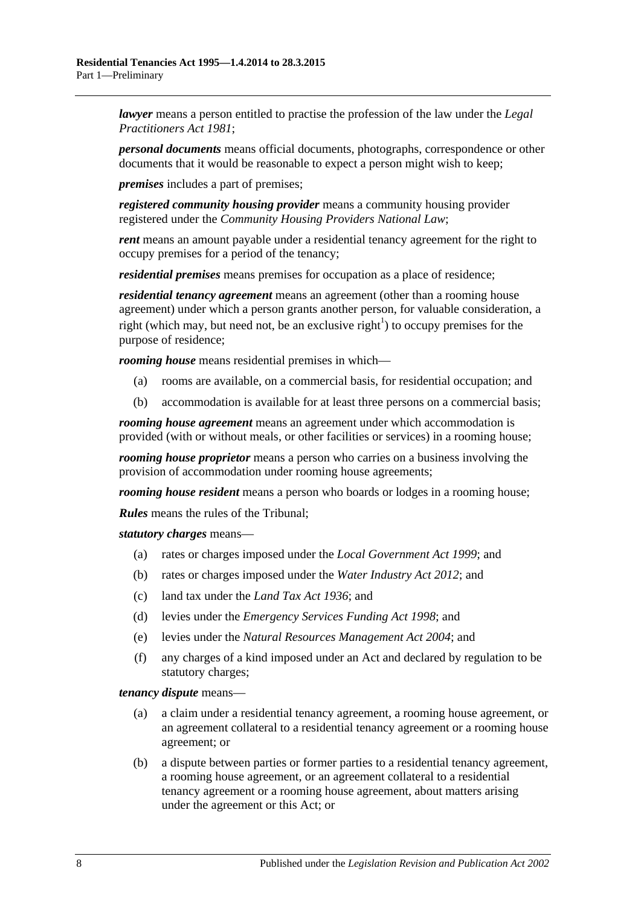*lawyer* means a person entitled to practise the profession of the law under the *[Legal](http://www.legislation.sa.gov.au/index.aspx?action=legref&type=act&legtitle=Legal%20Practitioners%20Act%201981)  [Practitioners Act](http://www.legislation.sa.gov.au/index.aspx?action=legref&type=act&legtitle=Legal%20Practitioners%20Act%201981) 1981*;

*personal documents* means official documents, photographs, correspondence or other documents that it would be reasonable to expect a person might wish to keep;

*premises* includes a part of premises;

*registered community housing provider* means a community housing provider registered under the *Community Housing Providers National Law*;

*rent* means an amount payable under a residential tenancy agreement for the right to occupy premises for a period of the tenancy;

*residential premises* means premises for occupation as a place of residence;

*residential tenancy agreement* means an agreement (other than a rooming house agreement) under which a person grants another person, for valuable consideration, a right (which may, but need not, be an exclusive right<sup>1</sup>) to occupy premises for the purpose of residence;

*rooming house* means residential premises in which—

- (a) rooms are available, on a commercial basis, for residential occupation; and
- (b) accommodation is available for at least three persons on a commercial basis;

*rooming house agreement* means an agreement under which accommodation is provided (with or without meals, or other facilities or services) in a rooming house;

*rooming house proprietor* means a person who carries on a business involving the provision of accommodation under rooming house agreements;

*rooming house resident* means a person who boards or lodges in a rooming house;

*Rules* means the rules of the Tribunal;

*statutory charges* means—

- (a) rates or charges imposed under the *[Local Government Act](http://www.legislation.sa.gov.au/index.aspx?action=legref&type=act&legtitle=Local%20Government%20Act%201999) 1999*; and
- (b) rates or charges imposed under the *[Water Industry Act](http://www.legislation.sa.gov.au/index.aspx?action=legref&type=act&legtitle=Water%20Industry%20Act%202012) 2012*; and
- (c) land tax under the *[Land Tax Act](http://www.legislation.sa.gov.au/index.aspx?action=legref&type=act&legtitle=Land%20Tax%20Act%201936) 1936*; and
- (d) levies under the *[Emergency Services Funding Act](http://www.legislation.sa.gov.au/index.aspx?action=legref&type=act&legtitle=Emergency%20Services%20Funding%20Act%201998) 1998*; and
- (e) levies under the *[Natural Resources Management Act](http://www.legislation.sa.gov.au/index.aspx?action=legref&type=act&legtitle=Natural%20Resources%20Management%20Act%202004) 2004*; and
- (f) any charges of a kind imposed under an Act and declared by regulation to be statutory charges;

*tenancy dispute* means—

- (a) a claim under a residential tenancy agreement, a rooming house agreement, or an agreement collateral to a residential tenancy agreement or a rooming house agreement; or
- (b) a dispute between parties or former parties to a residential tenancy agreement, a rooming house agreement, or an agreement collateral to a residential tenancy agreement or a rooming house agreement, about matters arising under the agreement or this Act; or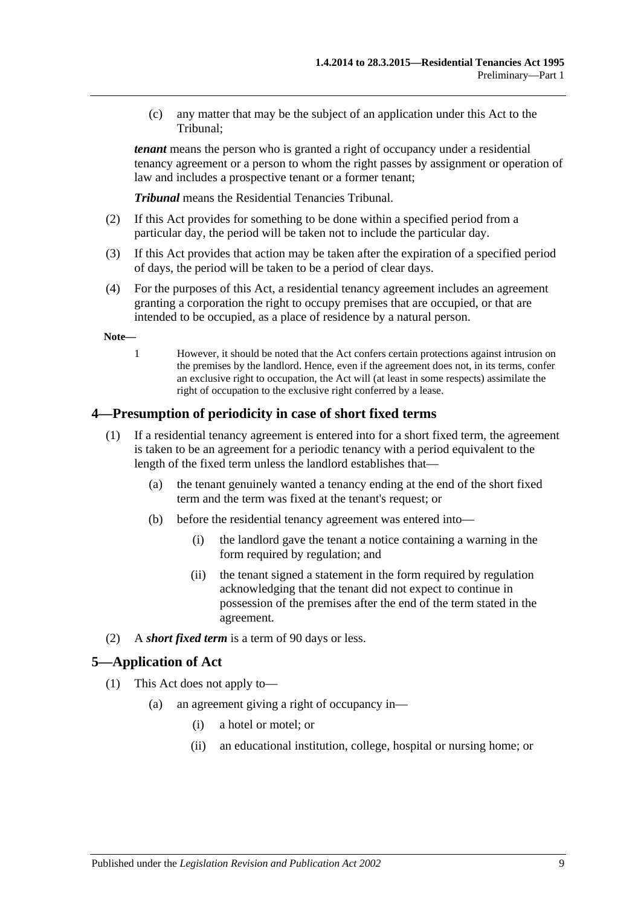(c) any matter that may be the subject of an application under this Act to the Tribunal;

*tenant* means the person who is granted a right of occupancy under a residential tenancy agreement or a person to whom the right passes by assignment or operation of law and includes a prospective tenant or a former tenant;

*Tribunal* means the Residential Tenancies Tribunal.

- (2) If this Act provides for something to be done within a specified period from a particular day, the period will be taken not to include the particular day.
- (3) If this Act provides that action may be taken after the expiration of a specified period of days, the period will be taken to be a period of clear days.
- (4) For the purposes of this Act, a residential tenancy agreement includes an agreement granting a corporation the right to occupy premises that are occupied, or that are intended to be occupied, as a place of residence by a natural person.

**Note—**

1 However, it should be noted that the Act confers certain protections against intrusion on the premises by the landlord. Hence, even if the agreement does not, in its terms, confer an exclusive right to occupation, the Act will (at least in some respects) assimilate the right of occupation to the exclusive right conferred by a lease.

#### <span id="page-8-0"></span>**4—Presumption of periodicity in case of short fixed terms**

- (1) If a residential tenancy agreement is entered into for a short fixed term, the agreement is taken to be an agreement for a periodic tenancy with a period equivalent to the length of the fixed term unless the landlord establishes that—
	- (a) the tenant genuinely wanted a tenancy ending at the end of the short fixed term and the term was fixed at the tenant's request; or
	- (b) before the residential tenancy agreement was entered into—
		- (i) the landlord gave the tenant a notice containing a warning in the form required by regulation; and
		- (ii) the tenant signed a statement in the form required by regulation acknowledging that the tenant did not expect to continue in possession of the premises after the end of the term stated in the agreement.
- (2) A *short fixed term* is a term of 90 days or less.

#### <span id="page-8-1"></span>**5—Application of Act**

- (1) This Act does not apply to—
	- (a) an agreement giving a right of occupancy in—
		- (i) a hotel or motel; or
		- (ii) an educational institution, college, hospital or nursing home; or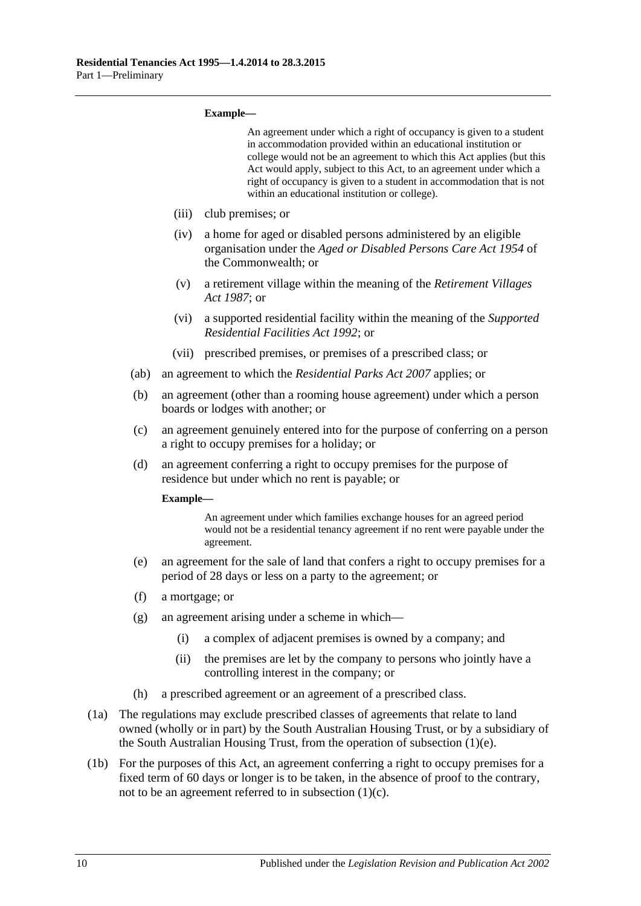#### **Example—**

<span id="page-9-1"></span>

|      |                                                                                                                                                                            |                                                                                                                                              | An agreement under which a right of occupancy is given to a student<br>in accommodation provided within an educational institution or<br>college would not be an agreement to which this Act applies (but this<br>Act would apply, subject to this Act, to an agreement under which a<br>right of occupancy is given to a student in accommodation that is not<br>within an educational institution or college). |  |
|------|----------------------------------------------------------------------------------------------------------------------------------------------------------------------------|----------------------------------------------------------------------------------------------------------------------------------------------|------------------------------------------------------------------------------------------------------------------------------------------------------------------------------------------------------------------------------------------------------------------------------------------------------------------------------------------------------------------------------------------------------------------|--|
|      |                                                                                                                                                                            | (iii)                                                                                                                                        | club premises; or                                                                                                                                                                                                                                                                                                                                                                                                |  |
|      |                                                                                                                                                                            | (iv)                                                                                                                                         | a home for aged or disabled persons administered by an eligible<br>organisation under the Aged or Disabled Persons Care Act 1954 of<br>the Commonwealth; or                                                                                                                                                                                                                                                      |  |
|      |                                                                                                                                                                            | (v)                                                                                                                                          | a retirement village within the meaning of the Retirement Villages<br>Act 1987; or                                                                                                                                                                                                                                                                                                                               |  |
|      |                                                                                                                                                                            | (vi)                                                                                                                                         | a supported residential facility within the meaning of the Supported<br><i>Residential Facilities Act 1992; or</i>                                                                                                                                                                                                                                                                                               |  |
|      |                                                                                                                                                                            | (vii)                                                                                                                                        | prescribed premises, or premises of a prescribed class; or                                                                                                                                                                                                                                                                                                                                                       |  |
|      | (ab)                                                                                                                                                                       | an agreement to which the <i>Residential Parks Act 2007</i> applies; or                                                                      |                                                                                                                                                                                                                                                                                                                                                                                                                  |  |
|      | (b)                                                                                                                                                                        | an agreement (other than a rooming house agreement) under which a person<br>boards or lodges with another; or                                |                                                                                                                                                                                                                                                                                                                                                                                                                  |  |
|      | (c)                                                                                                                                                                        | an agreement genuinely entered into for the purpose of conferring on a person<br>a right to occupy premises for a holiday; or                |                                                                                                                                                                                                                                                                                                                                                                                                                  |  |
|      | (d)                                                                                                                                                                        | an agreement conferring a right to occupy premises for the purpose of<br>residence but under which no rent is payable; or                    |                                                                                                                                                                                                                                                                                                                                                                                                                  |  |
|      |                                                                                                                                                                            | Example-                                                                                                                                     |                                                                                                                                                                                                                                                                                                                                                                                                                  |  |
|      |                                                                                                                                                                            |                                                                                                                                              | An agreement under which families exchange houses for an agreed period<br>would not be a residential tenancy agreement if no rent were payable under the<br>agreement.                                                                                                                                                                                                                                           |  |
|      | (e)                                                                                                                                                                        | an agreement for the sale of land that confers a right to occupy premises for a<br>period of 28 days or less on a party to the agreement; or |                                                                                                                                                                                                                                                                                                                                                                                                                  |  |
|      | (f)                                                                                                                                                                        | a mortgage; or                                                                                                                               |                                                                                                                                                                                                                                                                                                                                                                                                                  |  |
|      | (g)                                                                                                                                                                        |                                                                                                                                              | an agreement arising under a scheme in which-                                                                                                                                                                                                                                                                                                                                                                    |  |
|      |                                                                                                                                                                            | (i)                                                                                                                                          | a complex of adjacent premises is owned by a company; and                                                                                                                                                                                                                                                                                                                                                        |  |
|      |                                                                                                                                                                            | (ii)                                                                                                                                         | the premises are let by the company to persons who jointly have a<br>controlling interest in the company; or                                                                                                                                                                                                                                                                                                     |  |
|      | (h)                                                                                                                                                                        |                                                                                                                                              | a prescribed agreement or an agreement of a prescribed class.                                                                                                                                                                                                                                                                                                                                                    |  |
| (1a) | The regulations may exclude prescribed classes of agreements that relate to land<br>owned (wholly or in part) by the South Australian Housing Trust, or by a subsidiary of |                                                                                                                                              |                                                                                                                                                                                                                                                                                                                                                                                                                  |  |

<span id="page-9-0"></span>the South Australian Housing Trust, from the operation of [subsection](#page-9-0) (1)(e). (1b) For the purposes of this Act, an agreement conferring a right to occupy premises for a fixed term of 60 days or longer is to be taken, in the absence of proof to the contrary, not to be an agreement referred to in [subsection](#page-9-1) (1)(c).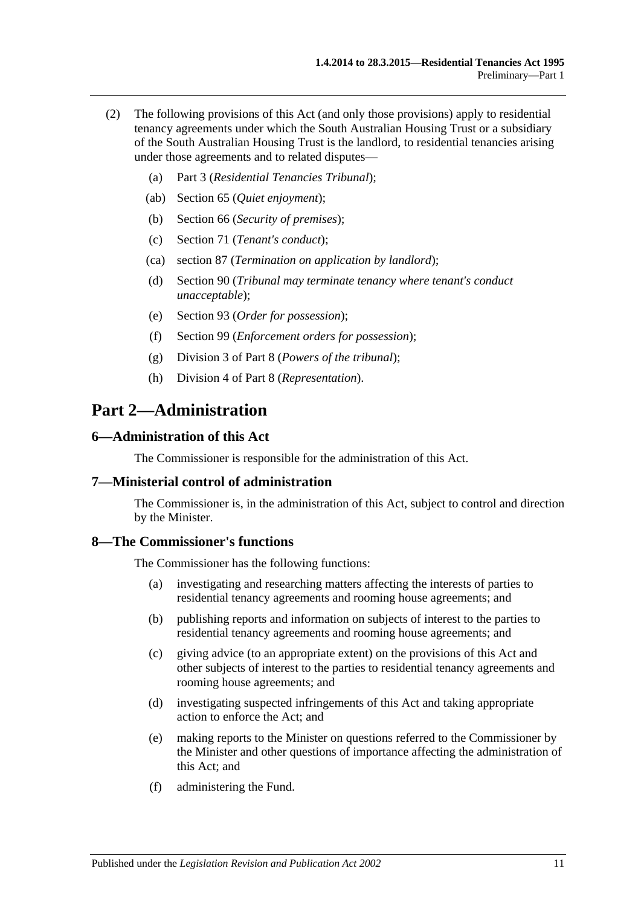- (2) The following provisions of this Act (and only those provisions) apply to residential tenancy agreements under which the South Australian Housing Trust or a subsidiary of the South Australian Housing Trust is the landlord, to residential tenancies arising under those agreements and to related disputes—
	- (a) [Part 3](#page-11-1) (*Residential Tenancies Tribunal*);
	- (ab) [Section](#page-31-0) 65 (*Quiet enjoyment*);
	- (b) [Section](#page-31-2) 66 (*Security of premises*);
	- (c) [Section](#page-34-1) 71 (*Tenant's conduct*);
	- (ca) [section](#page-45-5) 87 (*Termination on application by landlord*);
	- (d) [Section](#page-46-2) 90 (*Tribunal may terminate tenancy where tenant's conduct unacceptable*);
	- (e) [Section](#page-49-1) 93 (*Order for possession*);
	- (f) [Section](#page-53-0) 99 (*Enforcement orders for possession*);
	- (g) [Division 3](#page-74-2) of [Part 8](#page-71-0) (*Powers of the tribunal*);
	- (h) [Division 4](#page-75-2) of [Part 8](#page-71-0) (*Representation*).

## <span id="page-10-0"></span>**Part 2—Administration**

#### <span id="page-10-1"></span>**6—Administration of this Act**

The Commissioner is responsible for the administration of this Act.

#### <span id="page-10-2"></span>**7—Ministerial control of administration**

The Commissioner is, in the administration of this Act, subject to control and direction by the Minister.

#### <span id="page-10-3"></span>**8—The Commissioner's functions**

The Commissioner has the following functions:

- (a) investigating and researching matters affecting the interests of parties to residential tenancy agreements and rooming house agreements; and
- (b) publishing reports and information on subjects of interest to the parties to residential tenancy agreements and rooming house agreements; and
- (c) giving advice (to an appropriate extent) on the provisions of this Act and other subjects of interest to the parties to residential tenancy agreements and rooming house agreements; and
- (d) investigating suspected infringements of this Act and taking appropriate action to enforce the Act; and
- (e) making reports to the Minister on questions referred to the Commissioner by the Minister and other questions of importance affecting the administration of this Act; and
- (f) administering the Fund.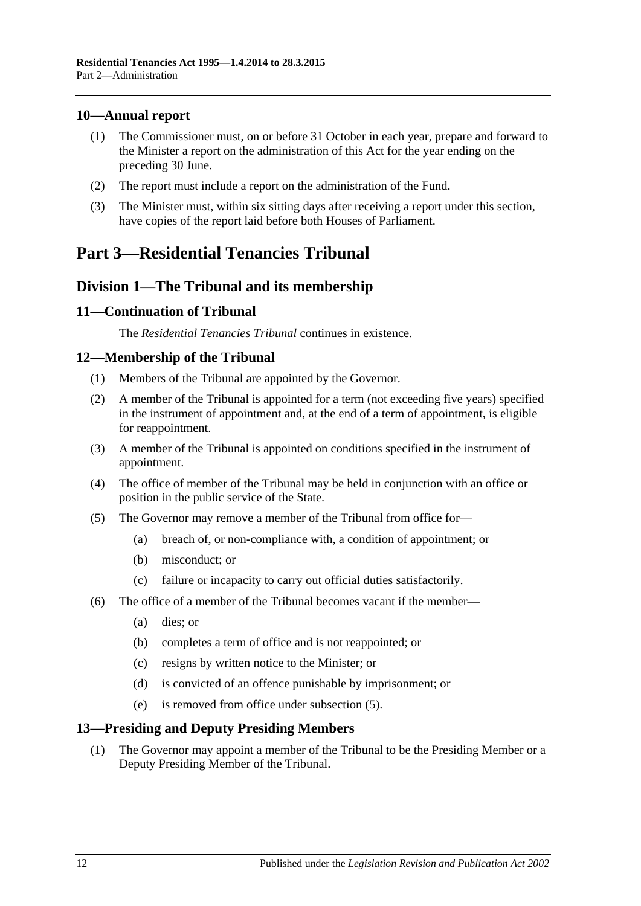### <span id="page-11-0"></span>**10—Annual report**

- (1) The Commissioner must, on or before 31 October in each year, prepare and forward to the Minister a report on the administration of this Act for the year ending on the preceding 30 June.
- (2) The report must include a report on the administration of the Fund.
- (3) The Minister must, within six sitting days after receiving a report under this section, have copies of the report laid before both Houses of Parliament.

## <span id="page-11-1"></span>**Part 3—Residential Tenancies Tribunal**

## <span id="page-11-2"></span>**Division 1—The Tribunal and its membership**

### <span id="page-11-3"></span>**11—Continuation of Tribunal**

The *Residential Tenancies Tribunal* continues in existence.

### <span id="page-11-4"></span>**12—Membership of the Tribunal**

- (1) Members of the Tribunal are appointed by the Governor.
- (2) A member of the Tribunal is appointed for a term (not exceeding five years) specified in the instrument of appointment and, at the end of a term of appointment, is eligible for reappointment.
- (3) A member of the Tribunal is appointed on conditions specified in the instrument of appointment.
- (4) The office of member of the Tribunal may be held in conjunction with an office or position in the public service of the State.
- <span id="page-11-6"></span>(5) The Governor may remove a member of the Tribunal from office for—
	- (a) breach of, or non-compliance with, a condition of appointment; or
	- (b) misconduct; or
	- (c) failure or incapacity to carry out official duties satisfactorily.
- (6) The office of a member of the Tribunal becomes vacant if the member—
	- (a) dies; or
	- (b) completes a term of office and is not reappointed; or
	- (c) resigns by written notice to the Minister; or
	- (d) is convicted of an offence punishable by imprisonment; or
	- (e) is removed from office under [subsection](#page-11-6) (5).

### <span id="page-11-5"></span>**13—Presiding and Deputy Presiding Members**

(1) The Governor may appoint a member of the Tribunal to be the Presiding Member or a Deputy Presiding Member of the Tribunal.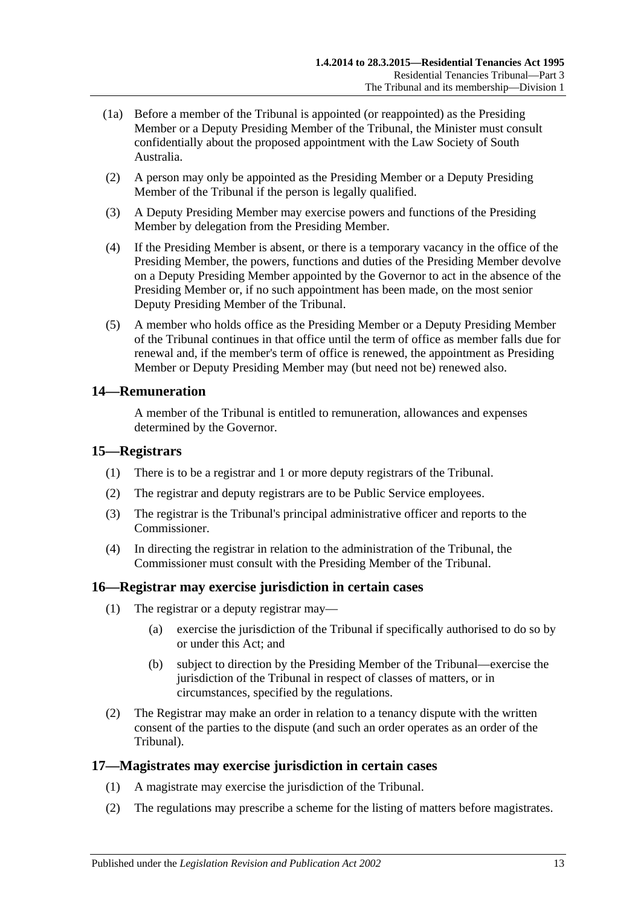- (1a) Before a member of the Tribunal is appointed (or reappointed) as the Presiding Member or a Deputy Presiding Member of the Tribunal, the Minister must consult confidentially about the proposed appointment with the Law Society of South Australia.
- (2) A person may only be appointed as the Presiding Member or a Deputy Presiding Member of the Tribunal if the person is legally qualified.
- (3) A Deputy Presiding Member may exercise powers and functions of the Presiding Member by delegation from the Presiding Member.
- (4) If the Presiding Member is absent, or there is a temporary vacancy in the office of the Presiding Member, the powers, functions and duties of the Presiding Member devolve on a Deputy Presiding Member appointed by the Governor to act in the absence of the Presiding Member or, if no such appointment has been made, on the most senior Deputy Presiding Member of the Tribunal.
- (5) A member who holds office as the Presiding Member or a Deputy Presiding Member of the Tribunal continues in that office until the term of office as member falls due for renewal and, if the member's term of office is renewed, the appointment as Presiding Member or Deputy Presiding Member may (but need not be) renewed also.

### <span id="page-12-0"></span>**14—Remuneration**

A member of the Tribunal is entitled to remuneration, allowances and expenses determined by the Governor.

### <span id="page-12-1"></span>**15—Registrars**

- (1) There is to be a registrar and 1 or more deputy registrars of the Tribunal.
- (2) The registrar and deputy registrars are to be Public Service employees.
- (3) The registrar is the Tribunal's principal administrative officer and reports to the Commissioner.
- (4) In directing the registrar in relation to the administration of the Tribunal, the Commissioner must consult with the Presiding Member of the Tribunal.

### <span id="page-12-2"></span>**16—Registrar may exercise jurisdiction in certain cases**

- (1) The registrar or a deputy registrar may—
	- (a) exercise the jurisdiction of the Tribunal if specifically authorised to do so by or under this Act; and
	- (b) subject to direction by the Presiding Member of the Tribunal—exercise the jurisdiction of the Tribunal in respect of classes of matters, or in circumstances, specified by the regulations.
- (2) The Registrar may make an order in relation to a tenancy dispute with the written consent of the parties to the dispute (and such an order operates as an order of the Tribunal).

### <span id="page-12-3"></span>**17—Magistrates may exercise jurisdiction in certain cases**

- (1) A magistrate may exercise the jurisdiction of the Tribunal.
- <span id="page-12-4"></span>(2) The regulations may prescribe a scheme for the listing of matters before magistrates.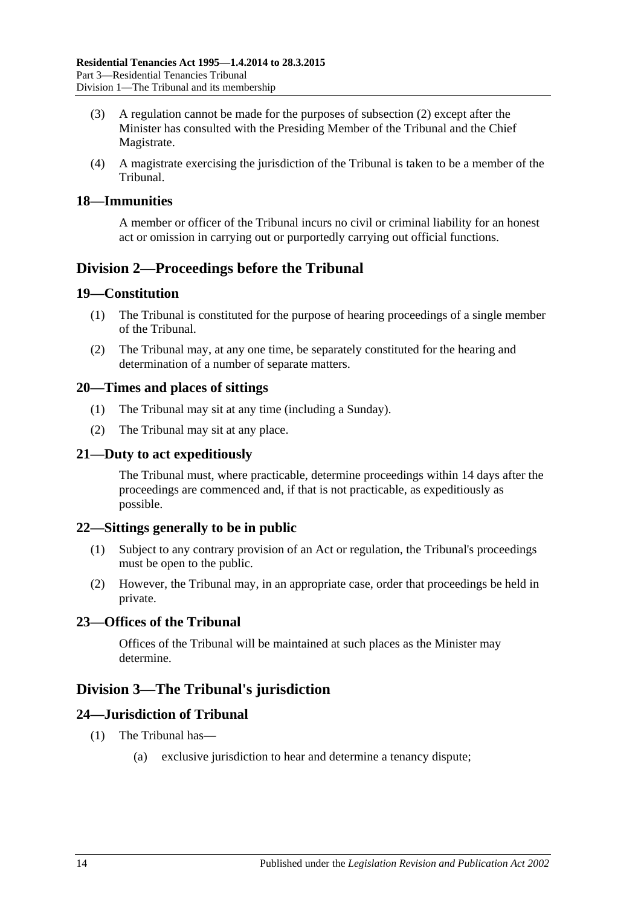- (3) A regulation cannot be made for the purposes of [subsection](#page-12-4) (2) except after the Minister has consulted with the Presiding Member of the Tribunal and the Chief Magistrate.
- (4) A magistrate exercising the jurisdiction of the Tribunal is taken to be a member of the Tribunal.

#### <span id="page-13-0"></span>**18—Immunities**

A member or officer of the Tribunal incurs no civil or criminal liability for an honest act or omission in carrying out or purportedly carrying out official functions.

## <span id="page-13-1"></span>**Division 2—Proceedings before the Tribunal**

#### <span id="page-13-2"></span>**19—Constitution**

- (1) The Tribunal is constituted for the purpose of hearing proceedings of a single member of the Tribunal.
- (2) The Tribunal may, at any one time, be separately constituted for the hearing and determination of a number of separate matters.

#### <span id="page-13-3"></span>**20—Times and places of sittings**

- (1) The Tribunal may sit at any time (including a Sunday).
- (2) The Tribunal may sit at any place.

#### <span id="page-13-4"></span>**21—Duty to act expeditiously**

The Tribunal must, where practicable, determine proceedings within 14 days after the proceedings are commenced and, if that is not practicable, as expeditiously as possible.

#### <span id="page-13-5"></span>**22—Sittings generally to be in public**

- (1) Subject to any contrary provision of an Act or regulation, the Tribunal's proceedings must be open to the public.
- (2) However, the Tribunal may, in an appropriate case, order that proceedings be held in private.

### <span id="page-13-6"></span>**23—Offices of the Tribunal**

Offices of the Tribunal will be maintained at such places as the Minister may determine.

### <span id="page-13-7"></span>**Division 3—The Tribunal's jurisdiction**

### <span id="page-13-8"></span>**24—Jurisdiction of Tribunal**

- (1) The Tribunal has—
	- (a) exclusive jurisdiction to hear and determine a tenancy dispute;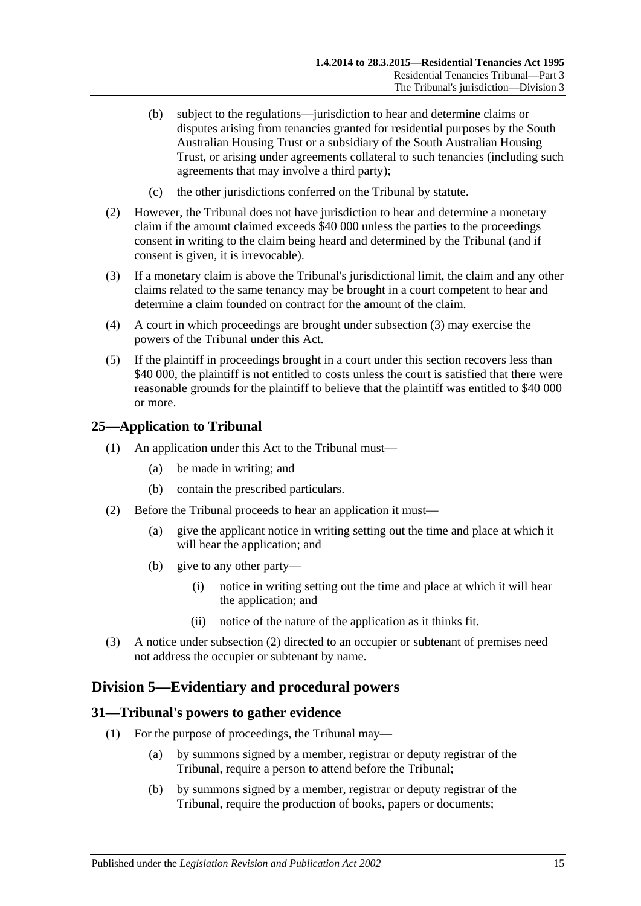- (b) subject to the regulations—jurisdiction to hear and determine claims or disputes arising from tenancies granted for residential purposes by the South Australian Housing Trust or a subsidiary of the South Australian Housing Trust, or arising under agreements collateral to such tenancies (including such agreements that may involve a third party);
- (c) the other jurisdictions conferred on the Tribunal by statute.
- (2) However, the Tribunal does not have jurisdiction to hear and determine a monetary claim if the amount claimed exceeds \$40 000 unless the parties to the proceedings consent in writing to the claim being heard and determined by the Tribunal (and if consent is given, it is irrevocable).
- <span id="page-14-3"></span>(3) If a monetary claim is above the Tribunal's jurisdictional limit, the claim and any other claims related to the same tenancy may be brought in a court competent to hear and determine a claim founded on contract for the amount of the claim.
- (4) A court in which proceedings are brought under [subsection](#page-14-3) (3) may exercise the powers of the Tribunal under this Act.
- (5) If the plaintiff in proceedings brought in a court under this section recovers less than \$40,000, the plaintiff is not entitled to costs unless the court is satisfied that there were reasonable grounds for the plaintiff to believe that the plaintiff was entitled to \$40 000 or more.

#### <span id="page-14-0"></span>**25—Application to Tribunal**

- (1) An application under this Act to the Tribunal must—
	- (a) be made in writing; and
	- (b) contain the prescribed particulars.
- <span id="page-14-4"></span>(2) Before the Tribunal proceeds to hear an application it must—
	- (a) give the applicant notice in writing setting out the time and place at which it will hear the application; and
	- (b) give to any other party—
		- (i) notice in writing setting out the time and place at which it will hear the application; and
		- (ii) notice of the nature of the application as it thinks fit.
- (3) A notice under [subsection](#page-14-4) (2) directed to an occupier or subtenant of premises need not address the occupier or subtenant by name.

### <span id="page-14-1"></span>**Division 5—Evidentiary and procedural powers**

#### <span id="page-14-5"></span><span id="page-14-2"></span>**31—Tribunal's powers to gather evidence**

- (1) For the purpose of proceedings, the Tribunal may—
	- (a) by summons signed by a member, registrar or deputy registrar of the Tribunal, require a person to attend before the Tribunal;
	- (b) by summons signed by a member, registrar or deputy registrar of the Tribunal, require the production of books, papers or documents;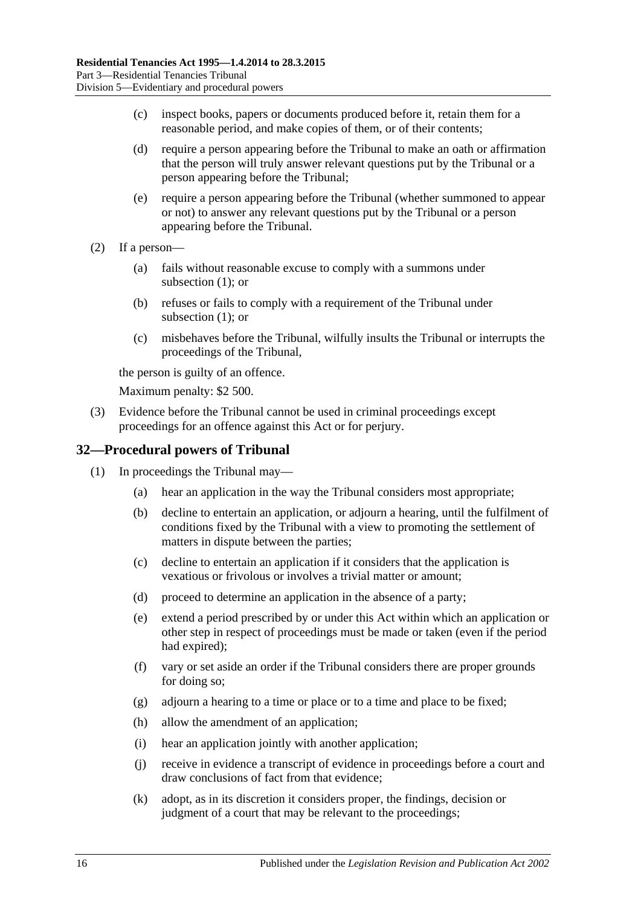- (c) inspect books, papers or documents produced before it, retain them for a reasonable period, and make copies of them, or of their contents;
- (d) require a person appearing before the Tribunal to make an oath or affirmation that the person will truly answer relevant questions put by the Tribunal or a person appearing before the Tribunal;
- (e) require a person appearing before the Tribunal (whether summoned to appear or not) to answer any relevant questions put by the Tribunal or a person appearing before the Tribunal.
- (2) If a person—
	- (a) fails without reasonable excuse to comply with a summons under [subsection](#page-14-5) (1); or
	- (b) refuses or fails to comply with a requirement of the Tribunal under [subsection](#page-14-5) (1); or
	- (c) misbehaves before the Tribunal, wilfully insults the Tribunal or interrupts the proceedings of the Tribunal,

the person is guilty of an offence.

Maximum penalty: \$2 500.

(3) Evidence before the Tribunal cannot be used in criminal proceedings except proceedings for an offence against this Act or for perjury.

### <span id="page-15-0"></span>**32—Procedural powers of Tribunal**

- (1) In proceedings the Tribunal may—
	- (a) hear an application in the way the Tribunal considers most appropriate;
	- (b) decline to entertain an application, or adjourn a hearing, until the fulfilment of conditions fixed by the Tribunal with a view to promoting the settlement of matters in dispute between the parties;
	- (c) decline to entertain an application if it considers that the application is vexatious or frivolous or involves a trivial matter or amount;
	- (d) proceed to determine an application in the absence of a party;
	- (e) extend a period prescribed by or under this Act within which an application or other step in respect of proceedings must be made or taken (even if the period had expired);
	- (f) vary or set aside an order if the Tribunal considers there are proper grounds for doing so;
	- (g) adjourn a hearing to a time or place or to a time and place to be fixed;
	- (h) allow the amendment of an application;
	- (i) hear an application jointly with another application;
	- (j) receive in evidence a transcript of evidence in proceedings before a court and draw conclusions of fact from that evidence;
	- (k) adopt, as in its discretion it considers proper, the findings, decision or judgment of a court that may be relevant to the proceedings;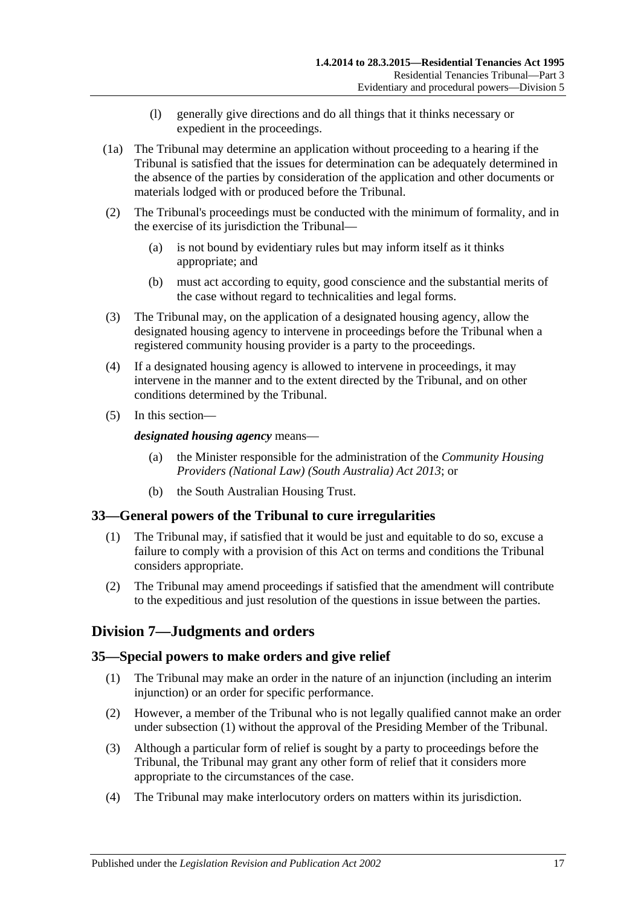- (l) generally give directions and do all things that it thinks necessary or expedient in the proceedings.
- (1a) The Tribunal may determine an application without proceeding to a hearing if the Tribunal is satisfied that the issues for determination can be adequately determined in the absence of the parties by consideration of the application and other documents or materials lodged with or produced before the Tribunal.
- (2) The Tribunal's proceedings must be conducted with the minimum of formality, and in the exercise of its jurisdiction the Tribunal—
	- (a) is not bound by evidentiary rules but may inform itself as it thinks appropriate; and
	- (b) must act according to equity, good conscience and the substantial merits of the case without regard to technicalities and legal forms.
- (3) The Tribunal may, on the application of a designated housing agency, allow the designated housing agency to intervene in proceedings before the Tribunal when a registered community housing provider is a party to the proceedings.
- (4) If a designated housing agency is allowed to intervene in proceedings, it may intervene in the manner and to the extent directed by the Tribunal, and on other conditions determined by the Tribunal.
- (5) In this section—

#### *designated housing agency* means—

- (a) the Minister responsible for the administration of the *[Community Housing](http://www.legislation.sa.gov.au/index.aspx?action=legref&type=act&legtitle=Community%20Housing%20Providers%20(National%20Law)%20(South%20Australia)%20Act%202013)  [Providers \(National Law\) \(South Australia\) Act](http://www.legislation.sa.gov.au/index.aspx?action=legref&type=act&legtitle=Community%20Housing%20Providers%20(National%20Law)%20(South%20Australia)%20Act%202013) 2013*; or
- (b) the South Australian Housing Trust.

### <span id="page-16-0"></span>**33—General powers of the Tribunal to cure irregularities**

- (1) The Tribunal may, if satisfied that it would be just and equitable to do so, excuse a failure to comply with a provision of this Act on terms and conditions the Tribunal considers appropriate.
- (2) The Tribunal may amend proceedings if satisfied that the amendment will contribute to the expeditious and just resolution of the questions in issue between the parties.

### <span id="page-16-1"></span>**Division 7—Judgments and orders**

#### <span id="page-16-3"></span><span id="page-16-2"></span>**35—Special powers to make orders and give relief**

- (1) The Tribunal may make an order in the nature of an injunction (including an interim injunction) or an order for specific performance.
- (2) However, a member of the Tribunal who is not legally qualified cannot make an order under [subsection](#page-16-3) (1) without the approval of the Presiding Member of the Tribunal.
- (3) Although a particular form of relief is sought by a party to proceedings before the Tribunal, the Tribunal may grant any other form of relief that it considers more appropriate to the circumstances of the case.
- (4) The Tribunal may make interlocutory orders on matters within its jurisdiction.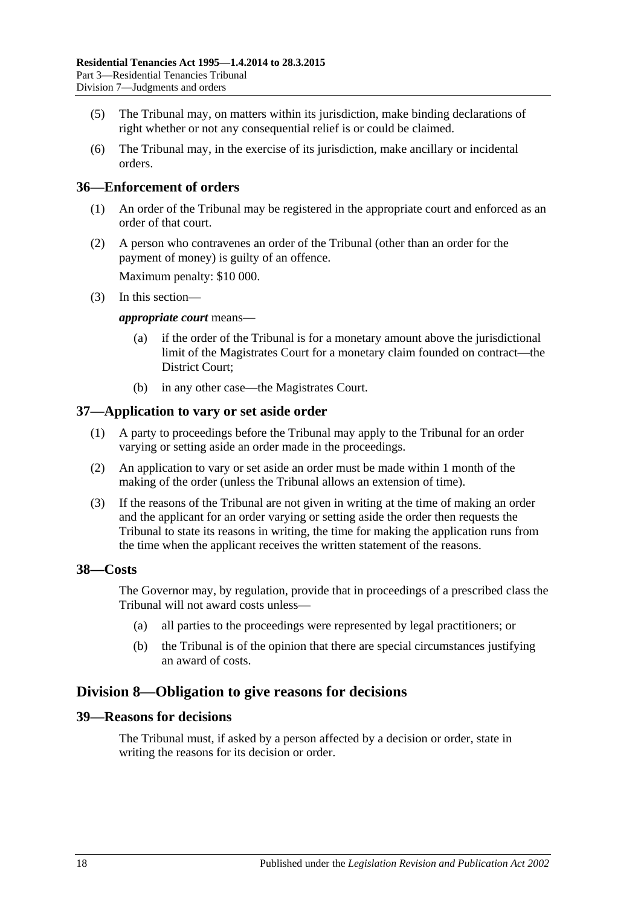- (5) The Tribunal may, on matters within its jurisdiction, make binding declarations of right whether or not any consequential relief is or could be claimed.
- (6) The Tribunal may, in the exercise of its jurisdiction, make ancillary or incidental orders.

### <span id="page-17-0"></span>**36—Enforcement of orders**

- (1) An order of the Tribunal may be registered in the appropriate court and enforced as an order of that court.
- (2) A person who contravenes an order of the Tribunal (other than an order for the payment of money) is guilty of an offence.

Maximum penalty: \$10 000.

(3) In this section—

#### *appropriate court* means—

- (a) if the order of the Tribunal is for a monetary amount above the jurisdictional limit of the Magistrates Court for a monetary claim founded on contract—the District Court;
- (b) in any other case—the Magistrates Court.

#### <span id="page-17-1"></span>**37—Application to vary or set aside order**

- (1) A party to proceedings before the Tribunal may apply to the Tribunal for an order varying or setting aside an order made in the proceedings.
- (2) An application to vary or set aside an order must be made within 1 month of the making of the order (unless the Tribunal allows an extension of time).
- (3) If the reasons of the Tribunal are not given in writing at the time of making an order and the applicant for an order varying or setting aside the order then requests the Tribunal to state its reasons in writing, the time for making the application runs from the time when the applicant receives the written statement of the reasons.

#### <span id="page-17-2"></span>**38—Costs**

The Governor may, by regulation, provide that in proceedings of a prescribed class the Tribunal will not award costs unless—

- (a) all parties to the proceedings were represented by legal practitioners; or
- (b) the Tribunal is of the opinion that there are special circumstances justifying an award of costs.

### <span id="page-17-3"></span>**Division 8—Obligation to give reasons for decisions**

#### <span id="page-17-4"></span>**39—Reasons for decisions**

The Tribunal must, if asked by a person affected by a decision or order, state in writing the reasons for its decision or order.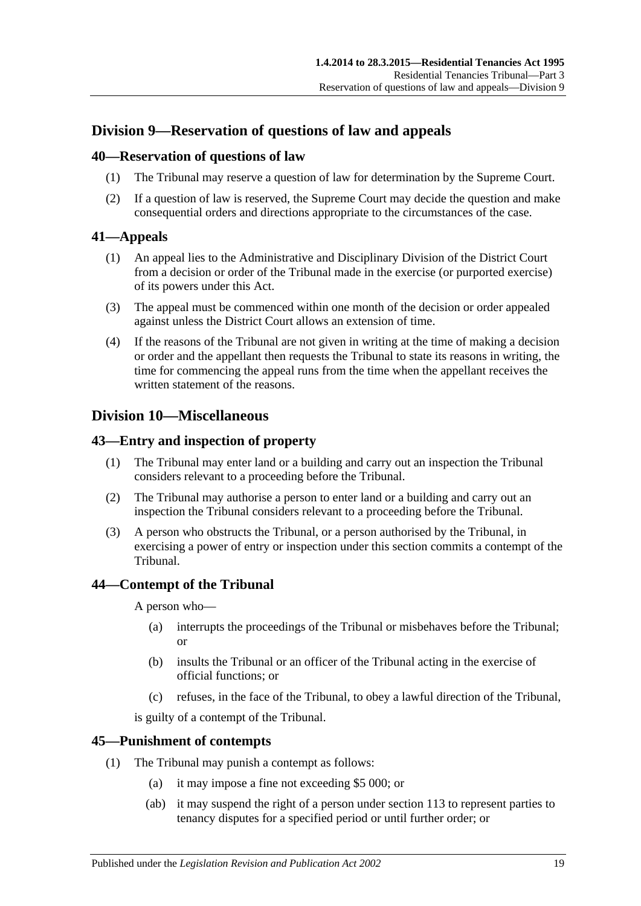## <span id="page-18-0"></span>**Division 9—Reservation of questions of law and appeals**

#### <span id="page-18-1"></span>**40—Reservation of questions of law**

- (1) The Tribunal may reserve a question of law for determination by the Supreme Court.
- (2) If a question of law is reserved, the Supreme Court may decide the question and make consequential orders and directions appropriate to the circumstances of the case.

### <span id="page-18-2"></span>**41—Appeals**

- (1) An appeal lies to the Administrative and Disciplinary Division of the District Court from a decision or order of the Tribunal made in the exercise (or purported exercise) of its powers under this Act.
- (3) The appeal must be commenced within one month of the decision or order appealed against unless the District Court allows an extension of time.
- (4) If the reasons of the Tribunal are not given in writing at the time of making a decision or order and the appellant then requests the Tribunal to state its reasons in writing, the time for commencing the appeal runs from the time when the appellant receives the written statement of the reasons.

## <span id="page-18-3"></span>**Division 10—Miscellaneous**

### <span id="page-18-4"></span>**43—Entry and inspection of property**

- (1) The Tribunal may enter land or a building and carry out an inspection the Tribunal considers relevant to a proceeding before the Tribunal.
- (2) The Tribunal may authorise a person to enter land or a building and carry out an inspection the Tribunal considers relevant to a proceeding before the Tribunal.
- (3) A person who obstructs the Tribunal, or a person authorised by the Tribunal, in exercising a power of entry or inspection under this section commits a contempt of the Tribunal.

### <span id="page-18-5"></span>**44—Contempt of the Tribunal**

A person who—

- (a) interrupts the proceedings of the Tribunal or misbehaves before the Tribunal; or
- (b) insults the Tribunal or an officer of the Tribunal acting in the exercise of official functions; or
- (c) refuses, in the face of the Tribunal, to obey a lawful direction of the Tribunal,

is guilty of a contempt of the Tribunal.

### <span id="page-18-6"></span>**45—Punishment of contempts**

- (1) The Tribunal may punish a contempt as follows:
	- (a) it may impose a fine not exceeding \$5 000; or
	- (ab) it may suspend the right of a person under [section](#page-75-3) 113 to represent parties to tenancy disputes for a specified period or until further order; or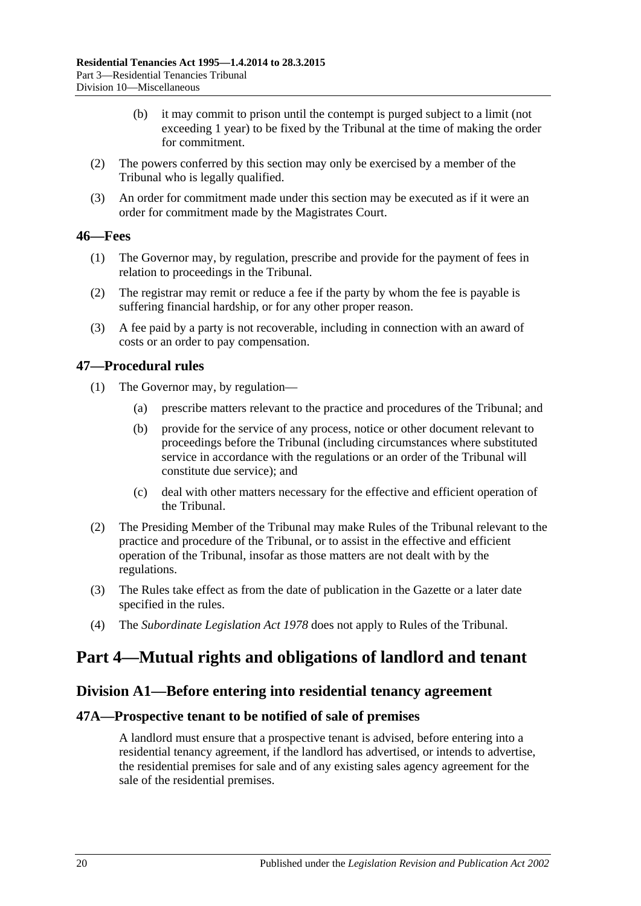- (b) it may commit to prison until the contempt is purged subject to a limit (not exceeding 1 year) to be fixed by the Tribunal at the time of making the order for commitment.
- (2) The powers conferred by this section may only be exercised by a member of the Tribunal who is legally qualified.
- (3) An order for commitment made under this section may be executed as if it were an order for commitment made by the Magistrates Court.

### <span id="page-19-0"></span>**46—Fees**

- (1) The Governor may, by regulation, prescribe and provide for the payment of fees in relation to proceedings in the Tribunal.
- (2) The registrar may remit or reduce a fee if the party by whom the fee is payable is suffering financial hardship, or for any other proper reason.
- (3) A fee paid by a party is not recoverable, including in connection with an award of costs or an order to pay compensation.

### <span id="page-19-1"></span>**47—Procedural rules**

- (1) The Governor may, by regulation—
	- (a) prescribe matters relevant to the practice and procedures of the Tribunal; and
	- (b) provide for the service of any process, notice or other document relevant to proceedings before the Tribunal (including circumstances where substituted service in accordance with the regulations or an order of the Tribunal will constitute due service); and
	- (c) deal with other matters necessary for the effective and efficient operation of the Tribunal.
- (2) The Presiding Member of the Tribunal may make Rules of the Tribunal relevant to the practice and procedure of the Tribunal, or to assist in the effective and efficient operation of the Tribunal, insofar as those matters are not dealt with by the regulations.
- (3) The Rules take effect as from the date of publication in the Gazette or a later date specified in the rules.
- (4) The *[Subordinate Legislation Act](http://www.legislation.sa.gov.au/index.aspx?action=legref&type=act&legtitle=Subordinate%20Legislation%20Act%201978) 1978* does not apply to Rules of the Tribunal.

## <span id="page-19-3"></span><span id="page-19-2"></span>**Part 4—Mutual rights and obligations of landlord and tenant**

### **Division A1—Before entering into residential tenancy agreement**

### <span id="page-19-4"></span>**47A—Prospective tenant to be notified of sale of premises**

A landlord must ensure that a prospective tenant is advised, before entering into a residential tenancy agreement, if the landlord has advertised, or intends to advertise, the residential premises for sale and of any existing sales agency agreement for the sale of the residential premises.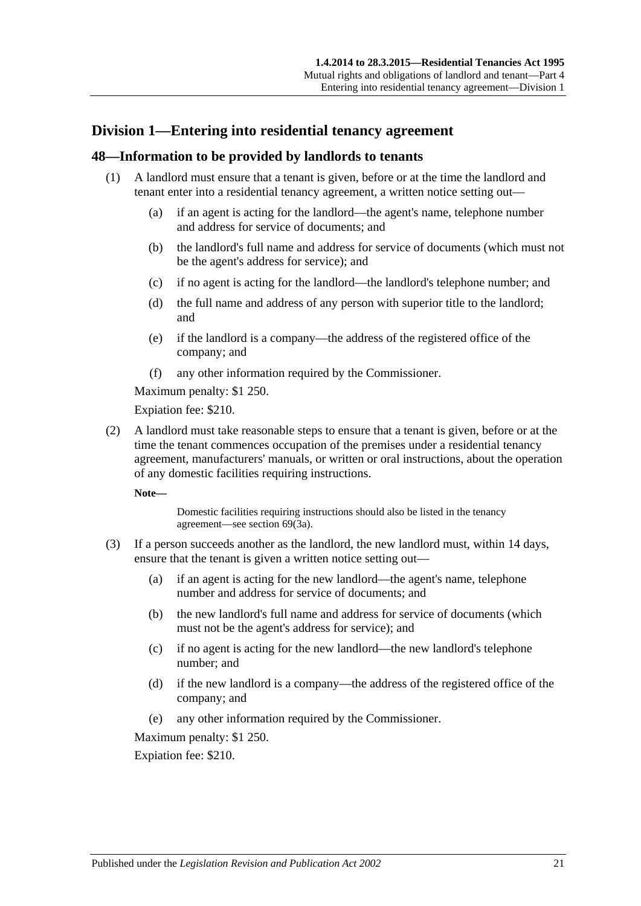## <span id="page-20-0"></span>**Division 1—Entering into residential tenancy agreement**

#### <span id="page-20-1"></span>**48—Information to be provided by landlords to tenants**

- (1) A landlord must ensure that a tenant is given, before or at the time the landlord and tenant enter into a residential tenancy agreement, a written notice setting out—
	- (a) if an agent is acting for the landlord—the agent's name, telephone number and address for service of documents; and
	- (b) the landlord's full name and address for service of documents (which must not be the agent's address for service); and
	- (c) if no agent is acting for the landlord—the landlord's telephone number; and
	- (d) the full name and address of any person with superior title to the landlord; and
	- (e) if the landlord is a company—the address of the registered office of the company; and
	- (f) any other information required by the Commissioner.

Maximum penalty: \$1 250.

Expiation fee: \$210.

<span id="page-20-2"></span>(2) A landlord must take reasonable steps to ensure that a tenant is given, before or at the time the tenant commences occupation of the premises under a residential tenancy agreement, manufacturers' manuals, or written or oral instructions, about the operation of any domestic facilities requiring instructions.

**Note—**

Domestic facilities requiring instructions should also be listed in the tenancy agreement—see [section](#page-33-3) 69(3a).

- (3) If a person succeeds another as the landlord, the new landlord must, within 14 days, ensure that the tenant is given a written notice setting out—
	- (a) if an agent is acting for the new landlord—the agent's name, telephone number and address for service of documents; and
	- (b) the new landlord's full name and address for service of documents (which must not be the agent's address for service); and
	- (c) if no agent is acting for the new landlord—the new landlord's telephone number; and
	- (d) if the new landlord is a company—the address of the registered office of the company; and
	- (e) any other information required by the Commissioner.

Maximum penalty: \$1 250.

Expiation fee: \$210.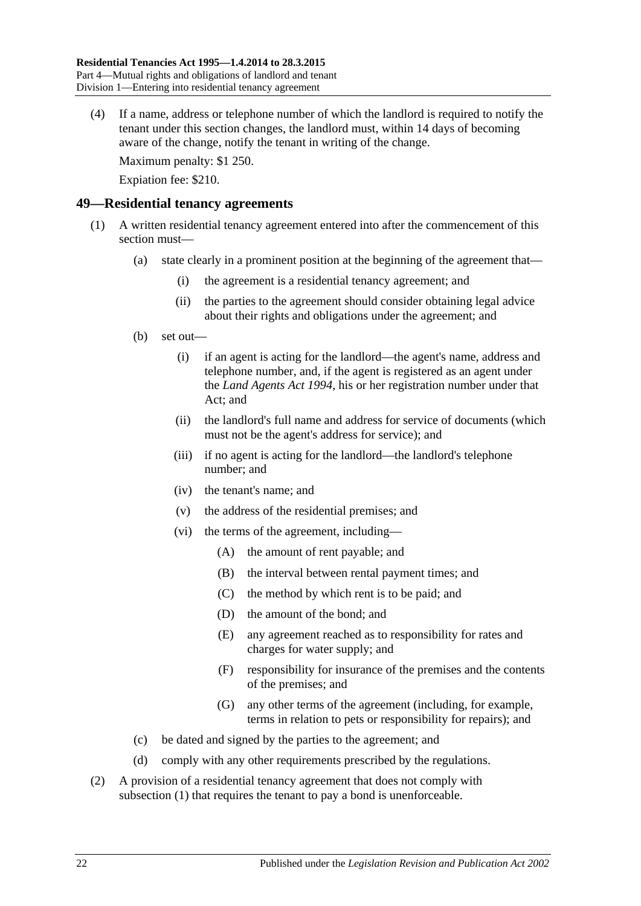(4) If a name, address or telephone number of which the landlord is required to notify the tenant under this section changes, the landlord must, within 14 days of becoming aware of the change, notify the tenant in writing of the change.

Maximum penalty: \$1 250.

Expiation fee: \$210.

### <span id="page-21-1"></span><span id="page-21-0"></span>**49—Residential tenancy agreements**

- (1) A written residential tenancy agreement entered into after the commencement of this section must—
	- (a) state clearly in a prominent position at the beginning of the agreement that—
		- (i) the agreement is a residential tenancy agreement; and
		- (ii) the parties to the agreement should consider obtaining legal advice about their rights and obligations under the agreement; and
	- (b) set out—
		- (i) if an agent is acting for the landlord—the agent's name, address and telephone number, and, if the agent is registered as an agent under the *[Land Agents Act](http://www.legislation.sa.gov.au/index.aspx?action=legref&type=act&legtitle=Land%20Agents%20Act%201994) 1994*, his or her registration number under that Act; and
		- (ii) the landlord's full name and address for service of documents (which must not be the agent's address for service); and
		- (iii) if no agent is acting for the landlord—the landlord's telephone number; and
		- (iv) the tenant's name; and
		- (v) the address of the residential premises; and
		- (vi) the terms of the agreement, including—
			- (A) the amount of rent payable; and
			- (B) the interval between rental payment times; and
			- (C) the method by which rent is to be paid; and
			- (D) the amount of the bond; and
			- (E) any agreement reached as to responsibility for rates and charges for water supply; and
			- (F) responsibility for insurance of the premises and the contents of the premises; and
			- (G) any other terms of the agreement (including, for example, terms in relation to pets or responsibility for repairs); and
	- (c) be dated and signed by the parties to the agreement; and
	- (d) comply with any other requirements prescribed by the regulations.
- <span id="page-21-2"></span>(2) A provision of a residential tenancy agreement that does not comply with [subsection](#page-21-1) (1) that requires the tenant to pay a bond is unenforceable.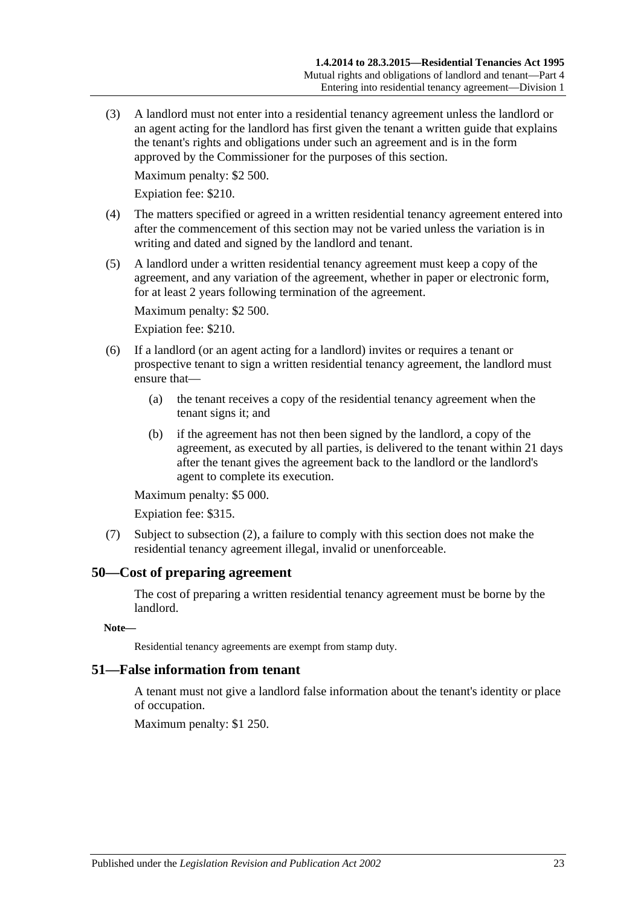(3) A landlord must not enter into a residential tenancy agreement unless the landlord or an agent acting for the landlord has first given the tenant a written guide that explains the tenant's rights and obligations under such an agreement and is in the form approved by the Commissioner for the purposes of this section.

Maximum penalty: \$2 500.

Expiation fee: \$210.

- (4) The matters specified or agreed in a written residential tenancy agreement entered into after the commencement of this section may not be varied unless the variation is in writing and dated and signed by the landlord and tenant.
- (5) A landlord under a written residential tenancy agreement must keep a copy of the agreement, and any variation of the agreement, whether in paper or electronic form, for at least 2 years following termination of the agreement.

Maximum penalty: \$2 500.

Expiation fee: \$210.

- (6) If a landlord (or an agent acting for a landlord) invites or requires a tenant or prospective tenant to sign a written residential tenancy agreement, the landlord must ensure that—
	- (a) the tenant receives a copy of the residential tenancy agreement when the tenant signs it; and
	- (b) if the agreement has not then been signed by the landlord, a copy of the agreement, as executed by all parties, is delivered to the tenant within 21 days after the tenant gives the agreement back to the landlord or the landlord's agent to complete its execution.

Maximum penalty: \$5 000.

Expiation fee: \$315.

(7) Subject to [subsection](#page-21-2) (2), a failure to comply with this section does not make the residential tenancy agreement illegal, invalid or unenforceable.

### <span id="page-22-0"></span>**50—Cost of preparing agreement**

The cost of preparing a written residential tenancy agreement must be borne by the landlord.

#### **Note—**

Residential tenancy agreements are exempt from stamp duty.

#### <span id="page-22-1"></span>**51—False information from tenant**

A tenant must not give a landlord false information about the tenant's identity or place of occupation.

Maximum penalty: \$1 250.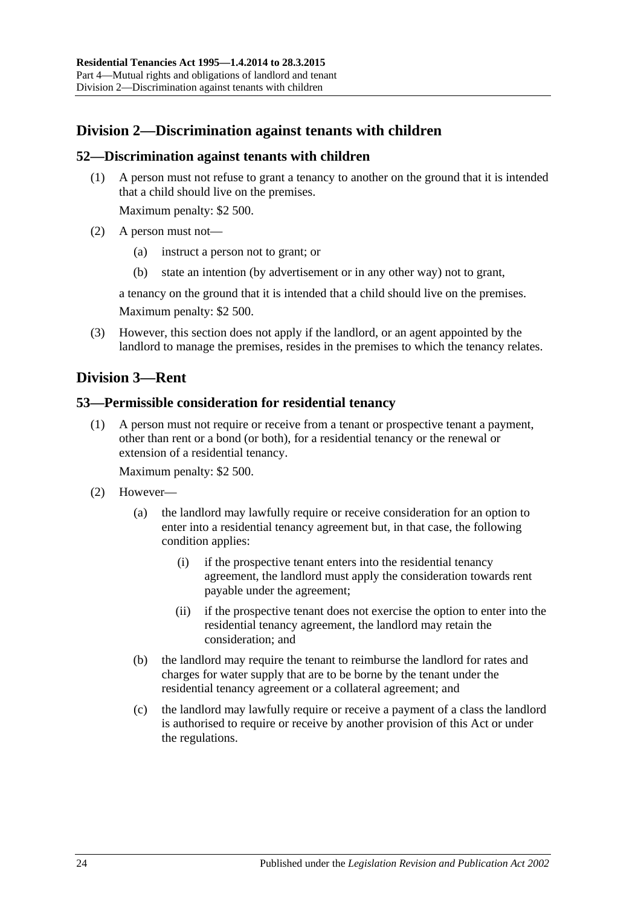## <span id="page-23-0"></span>**Division 2—Discrimination against tenants with children**

### <span id="page-23-1"></span>**52—Discrimination against tenants with children**

(1) A person must not refuse to grant a tenancy to another on the ground that it is intended that a child should live on the premises.

Maximum penalty: \$2 500.

- (2) A person must not—
	- (a) instruct a person not to grant; or
	- (b) state an intention (by advertisement or in any other way) not to grant,

a tenancy on the ground that it is intended that a child should live on the premises. Maximum penalty: \$2 500.

(3) However, this section does not apply if the landlord, or an agent appointed by the landlord to manage the premises, resides in the premises to which the tenancy relates.

## <span id="page-23-2"></span>**Division 3—Rent**

#### <span id="page-23-3"></span>**53—Permissible consideration for residential tenancy**

(1) A person must not require or receive from a tenant or prospective tenant a payment, other than rent or a bond (or both), for a residential tenancy or the renewal or extension of a residential tenancy.

Maximum penalty: \$2 500.

- (2) However—
	- (a) the landlord may lawfully require or receive consideration for an option to enter into a residential tenancy agreement but, in that case, the following condition applies:
		- (i) if the prospective tenant enters into the residential tenancy agreement, the landlord must apply the consideration towards rent payable under the agreement;
		- (ii) if the prospective tenant does not exercise the option to enter into the residential tenancy agreement, the landlord may retain the consideration; and
	- (b) the landlord may require the tenant to reimburse the landlord for rates and charges for water supply that are to be borne by the tenant under the residential tenancy agreement or a collateral agreement; and
	- (c) the landlord may lawfully require or receive a payment of a class the landlord is authorised to require or receive by another provision of this Act or under the regulations.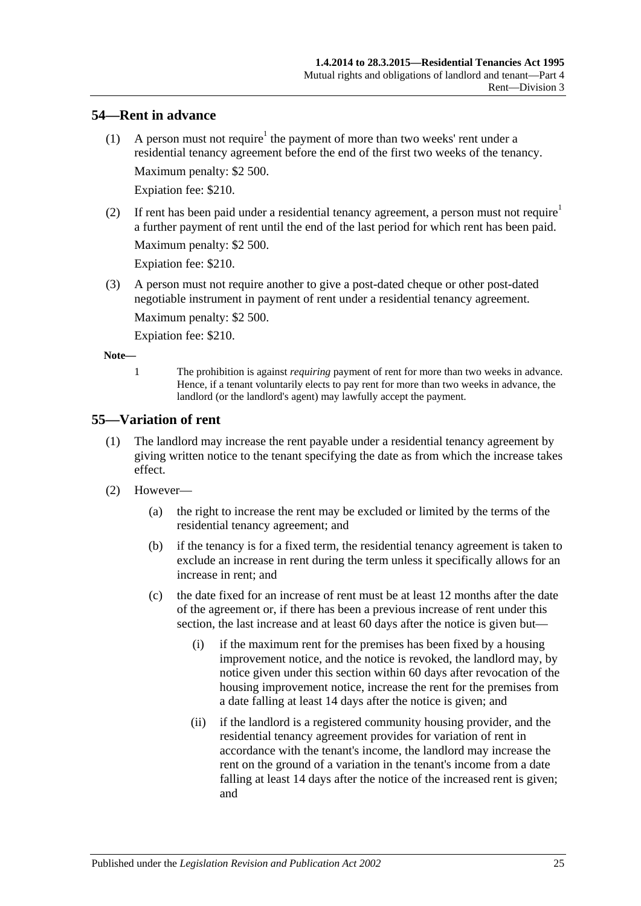### <span id="page-24-0"></span>**54—Rent in advance**

- (1) A person must not require<sup>1</sup> the payment of more than two weeks' rent under a residential tenancy agreement before the end of the first two weeks of the tenancy. Maximum penalty: \$2 500. Expiation fee: \$210.
- (2) If rent has been paid under a residential tenancy agreement, a person must not require<sup>1</sup> a further payment of rent until the end of the last period for which rent has been paid. Maximum penalty: \$2 500.

Expiation fee: \$210.

(3) A person must not require another to give a post-dated cheque or other post-dated negotiable instrument in payment of rent under a residential tenancy agreement.

Maximum penalty: \$2 500.

Expiation fee: \$210.

**Note—**

1 The prohibition is against *requiring* payment of rent for more than two weeks in advance. Hence, if a tenant voluntarily elects to pay rent for more than two weeks in advance, the landlord (or the landlord's agent) may lawfully accept the payment.

### <span id="page-24-2"></span><span id="page-24-1"></span>**55—Variation of rent**

- (1) The landlord may increase the rent payable under a residential tenancy agreement by giving written notice to the tenant specifying the date as from which the increase takes effect.
- (2) However—
	- (a) the right to increase the rent may be excluded or limited by the terms of the residential tenancy agreement; and
	- (b) if the tenancy is for a fixed term, the residential tenancy agreement is taken to exclude an increase in rent during the term unless it specifically allows for an increase in rent; and
	- (c) the date fixed for an increase of rent must be at least 12 months after the date of the agreement or, if there has been a previous increase of rent under this section, the last increase and at least 60 days after the notice is given but—
		- (i) if the maximum rent for the premises has been fixed by a housing improvement notice, and the notice is revoked, the landlord may, by notice given under this section within 60 days after revocation of the housing improvement notice, increase the rent for the premises from a date falling at least 14 days after the notice is given; and
		- (ii) if the landlord is a registered community housing provider, and the residential tenancy agreement provides for variation of rent in accordance with the tenant's income, the landlord may increase the rent on the ground of a variation in the tenant's income from a date falling at least 14 days after the notice of the increased rent is given; and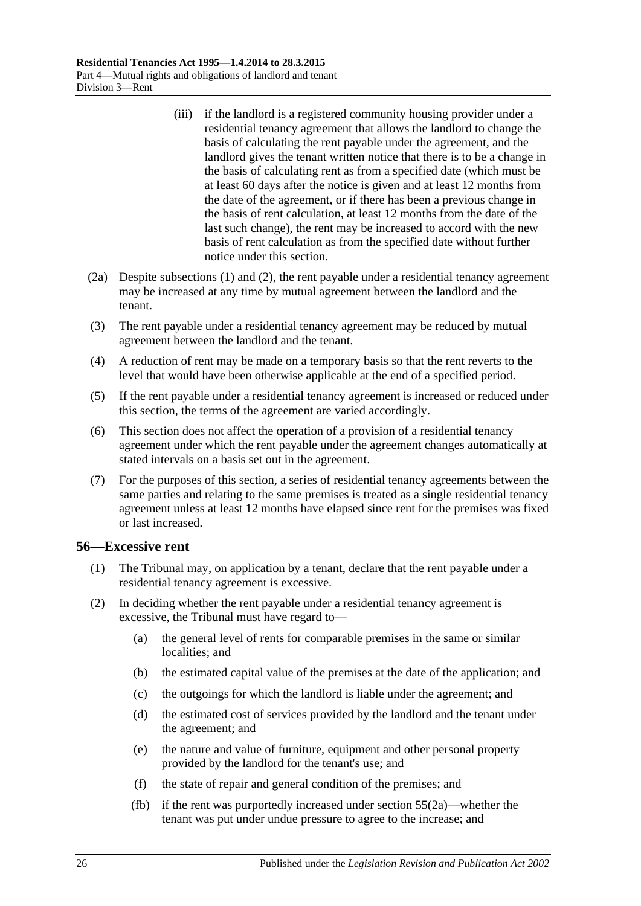- (iii) if the landlord is a registered community housing provider under a residential tenancy agreement that allows the landlord to change the basis of calculating the rent payable under the agreement, and the landlord gives the tenant written notice that there is to be a change in the basis of calculating rent as from a specified date (which must be at least 60 days after the notice is given and at least 12 months from the date of the agreement, or if there has been a previous change in the basis of rent calculation, at least 12 months from the date of the last such change), the rent may be increased to accord with the new basis of rent calculation as from the specified date without further notice under this section.
- <span id="page-25-2"></span>(2a) Despite [subsections](#page-24-2) (1) and [\(2\),](#page-25-1) the rent payable under a residential tenancy agreement may be increased at any time by mutual agreement between the landlord and the tenant.
- (3) The rent payable under a residential tenancy agreement may be reduced by mutual agreement between the landlord and the tenant.
- (4) A reduction of rent may be made on a temporary basis so that the rent reverts to the level that would have been otherwise applicable at the end of a specified period.
- (5) If the rent payable under a residential tenancy agreement is increased or reduced under this section, the terms of the agreement are varied accordingly.
- (6) This section does not affect the operation of a provision of a residential tenancy agreement under which the rent payable under the agreement changes automatically at stated intervals on a basis set out in the agreement.
- (7) For the purposes of this section, a series of residential tenancy agreements between the same parties and relating to the same premises is treated as a single residential tenancy agreement unless at least 12 months have elapsed since rent for the premises was fixed or last increased.

#### <span id="page-25-0"></span>**56—Excessive rent**

- (1) The Tribunal may, on application by a tenant, declare that the rent payable under a residential tenancy agreement is excessive.
- <span id="page-25-1"></span>(2) In deciding whether the rent payable under a residential tenancy agreement is excessive, the Tribunal must have regard to—
	- (a) the general level of rents for comparable premises in the same or similar localities; and
	- (b) the estimated capital value of the premises at the date of the application; and
	- (c) the outgoings for which the landlord is liable under the agreement; and
	- (d) the estimated cost of services provided by the landlord and the tenant under the agreement; and
	- (e) the nature and value of furniture, equipment and other personal property provided by the landlord for the tenant's use; and
	- (f) the state of repair and general condition of the premises; and
	- (fb) if the rent was purportedly increased under [section](#page-25-2) 55(2a)—whether the tenant was put under undue pressure to agree to the increase; and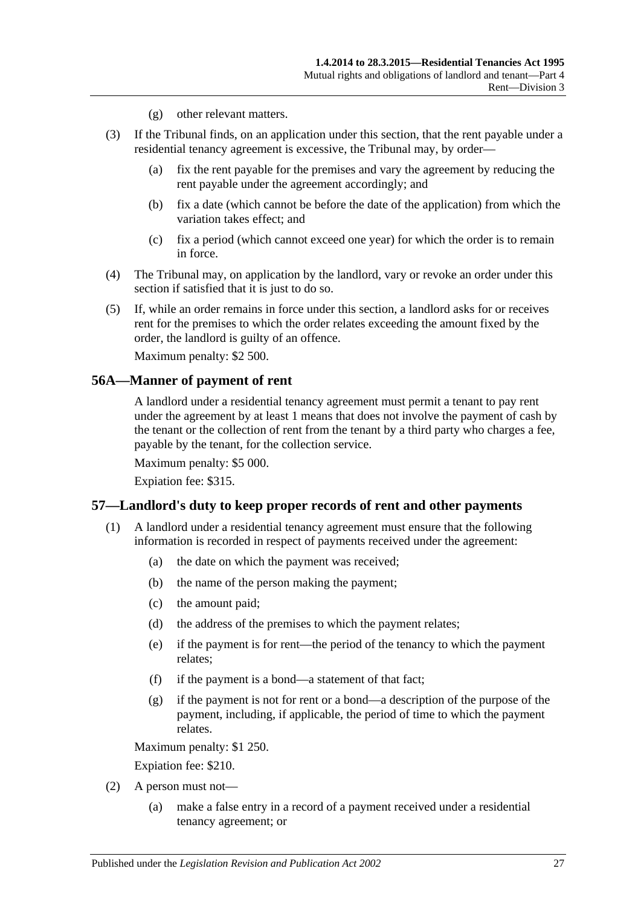- (g) other relevant matters.
- (3) If the Tribunal finds, on an application under this section, that the rent payable under a residential tenancy agreement is excessive, the Tribunal may, by order—
	- (a) fix the rent payable for the premises and vary the agreement by reducing the rent payable under the agreement accordingly; and
	- (b) fix a date (which cannot be before the date of the application) from which the variation takes effect; and
	- (c) fix a period (which cannot exceed one year) for which the order is to remain in force.
- (4) The Tribunal may, on application by the landlord, vary or revoke an order under this section if satisfied that it is just to do so.
- (5) If, while an order remains in force under this section, a landlord asks for or receives rent for the premises to which the order relates exceeding the amount fixed by the order, the landlord is guilty of an offence.

Maximum penalty: \$2 500.

#### <span id="page-26-0"></span>**56A—Manner of payment of rent**

A landlord under a residential tenancy agreement must permit a tenant to pay rent under the agreement by at least 1 means that does not involve the payment of cash by the tenant or the collection of rent from the tenant by a third party who charges a fee, payable by the tenant, for the collection service.

Maximum penalty: \$5 000.

Expiation fee: \$315.

#### <span id="page-26-2"></span><span id="page-26-1"></span>**57—Landlord's duty to keep proper records of rent and other payments**

- (1) A landlord under a residential tenancy agreement must ensure that the following information is recorded in respect of payments received under the agreement:
	- (a) the date on which the payment was received;
	- (b) the name of the person making the payment;
	- (c) the amount paid;
	- (d) the address of the premises to which the payment relates;
	- (e) if the payment is for rent—the period of the tenancy to which the payment relates;
	- (f) if the payment is a bond—a statement of that fact;
	- (g) if the payment is not for rent or a bond—a description of the purpose of the payment, including, if applicable, the period of time to which the payment relates.

Maximum penalty: \$1 250.

Expiation fee: \$210.

- (2) A person must not—
	- (a) make a false entry in a record of a payment received under a residential tenancy agreement; or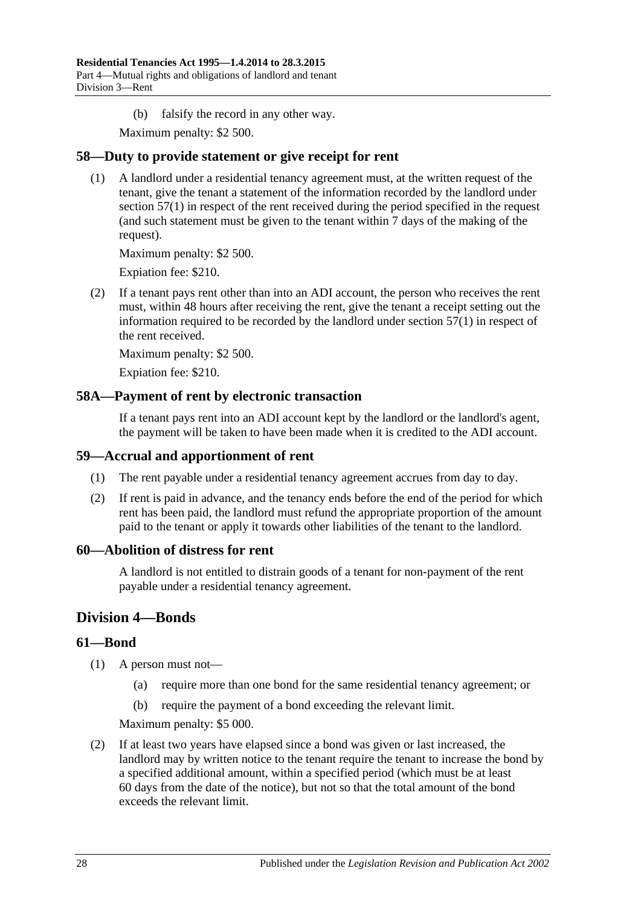(b) falsify the record in any other way.

Maximum penalty: \$2 500.

### <span id="page-27-0"></span>**58—Duty to provide statement or give receipt for rent**

(1) A landlord under a residential tenancy agreement must, at the written request of the tenant, give the tenant a statement of the information recorded by the landlord under [section](#page-26-2) 57(1) in respect of the rent received during the period specified in the request (and such statement must be given to the tenant within 7 days of the making of the request).

Maximum penalty: \$2 500.

Expiation fee: \$210.

(2) If a tenant pays rent other than into an ADI account, the person who receives the rent must, within 48 hours after receiving the rent, give the tenant a receipt setting out the information required to be recorded by the landlord under [section](#page-26-2) 57(1) in respect of the rent received.

Maximum penalty: \$2 500.

Expiation fee: \$210.

### <span id="page-27-1"></span>**58A—Payment of rent by electronic transaction**

If a tenant pays rent into an ADI account kept by the landlord or the landlord's agent, the payment will be taken to have been made when it is credited to the ADI account.

#### <span id="page-27-2"></span>**59—Accrual and apportionment of rent**

- (1) The rent payable under a residential tenancy agreement accrues from day to day.
- (2) If rent is paid in advance, and the tenancy ends before the end of the period for which rent has been paid, the landlord must refund the appropriate proportion of the amount paid to the tenant or apply it towards other liabilities of the tenant to the landlord.

### <span id="page-27-3"></span>**60—Abolition of distress for rent**

A landlord is not entitled to distrain goods of a tenant for non-payment of the rent payable under a residential tenancy agreement.

### <span id="page-27-4"></span>**Division 4—Bonds**

### <span id="page-27-5"></span>**61—Bond**

- (1) A person must not—
	- (a) require more than one bond for the same residential tenancy agreement; or
	- (b) require the payment of a bond exceeding the relevant limit.

Maximum penalty: \$5 000.

<span id="page-27-6"></span>(2) If at least two years have elapsed since a bond was given or last increased, the landlord may by written notice to the tenant require the tenant to increase the bond by a specified additional amount, within a specified period (which must be at least 60 days from the date of the notice), but not so that the total amount of the bond exceeds the relevant limit.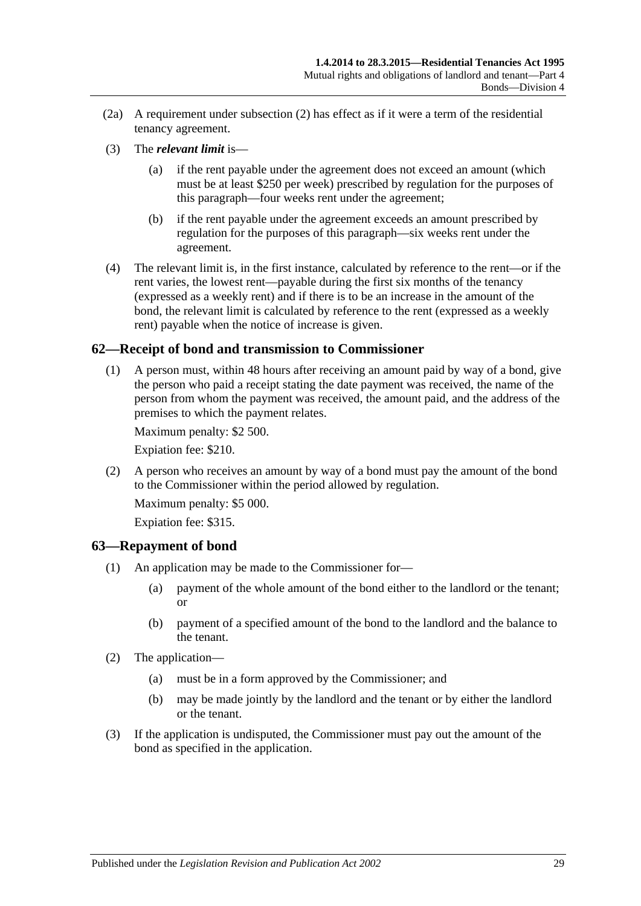- $(2a)$  A requirement under [subsection](#page-27-6)  $(2)$  has effect as if it were a term of the residential tenancy agreement.
- (3) The *relevant limit* is—
	- (a) if the rent payable under the agreement does not exceed an amount (which must be at least \$250 per week) prescribed by regulation for the purposes of this paragraph—four weeks rent under the agreement;
	- (b) if the rent payable under the agreement exceeds an amount prescribed by regulation for the purposes of this paragraph—six weeks rent under the agreement.
- (4) The relevant limit is, in the first instance, calculated by reference to the rent—or if the rent varies, the lowest rent—payable during the first six months of the tenancy (expressed as a weekly rent) and if there is to be an increase in the amount of the bond, the relevant limit is calculated by reference to the rent (expressed as a weekly rent) payable when the notice of increase is given.

### <span id="page-28-0"></span>**62—Receipt of bond and transmission to Commissioner**

(1) A person must, within 48 hours after receiving an amount paid by way of a bond, give the person who paid a receipt stating the date payment was received, the name of the person from whom the payment was received, the amount paid, and the address of the premises to which the payment relates.

Maximum penalty: \$2 500.

Expiation fee: \$210.

(2) A person who receives an amount by way of a bond must pay the amount of the bond to the Commissioner within the period allowed by regulation.

Maximum penalty: \$5 000.

Expiation fee: \$315.

#### <span id="page-28-1"></span>**63—Repayment of bond**

- (1) An application may be made to the Commissioner for—
	- (a) payment of the whole amount of the bond either to the landlord or the tenant; or
	- (b) payment of a specified amount of the bond to the landlord and the balance to the tenant.
- (2) The application—
	- (a) must be in a form approved by the Commissioner; and
	- (b) may be made jointly by the landlord and the tenant or by either the landlord or the tenant.
- (3) If the application is undisputed, the Commissioner must pay out the amount of the bond as specified in the application.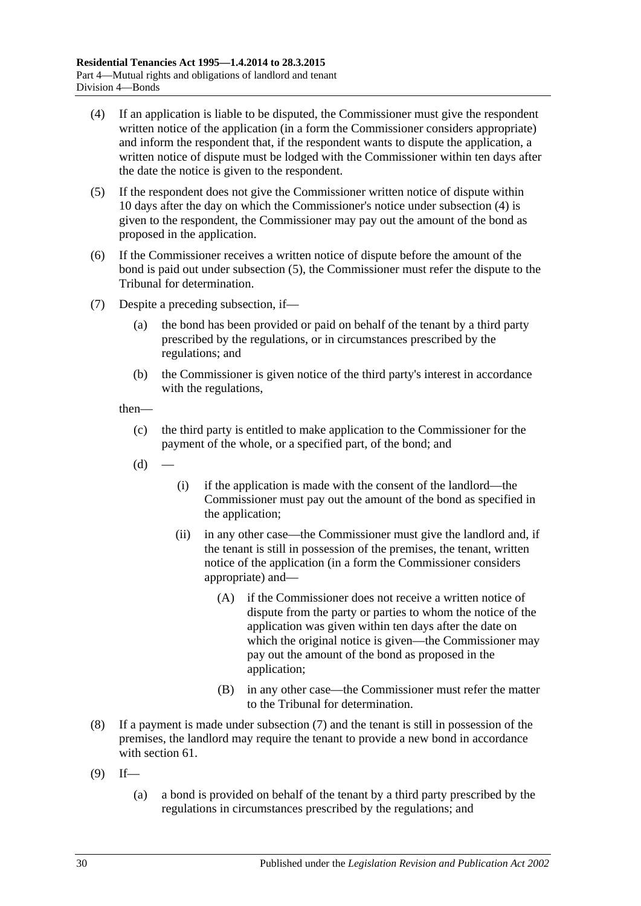- <span id="page-29-0"></span>(4) If an application is liable to be disputed, the Commissioner must give the respondent written notice of the application (in a form the Commissioner considers appropriate) and inform the respondent that, if the respondent wants to dispute the application, a written notice of dispute must be lodged with the Commissioner within ten days after the date the notice is given to the respondent.
- <span id="page-29-1"></span>(5) If the respondent does not give the Commissioner written notice of dispute within 10 days after the day on which the Commissioner's notice under [subsection](#page-29-0) (4) is given to the respondent, the Commissioner may pay out the amount of the bond as proposed in the application.
- (6) If the Commissioner receives a written notice of dispute before the amount of the bond is paid out under [subsection](#page-29-1) (5), the Commissioner must refer the dispute to the Tribunal for determination.
- <span id="page-29-2"></span>(7) Despite a preceding subsection, if—
	- (a) the bond has been provided or paid on behalf of the tenant by a third party prescribed by the regulations, or in circumstances prescribed by the regulations; and
	- (b) the Commissioner is given notice of the third party's interest in accordance with the regulations,

then—

- (c) the third party is entitled to make application to the Commissioner for the payment of the whole, or a specified part, of the bond; and
- $(d)$  —
- (i) if the application is made with the consent of the landlord—the Commissioner must pay out the amount of the bond as specified in the application;
- (ii) in any other case—the Commissioner must give the landlord and, if the tenant is still in possession of the premises, the tenant, written notice of the application (in a form the Commissioner considers appropriate) and—
	- (A) if the Commissioner does not receive a written notice of dispute from the party or parties to whom the notice of the application was given within ten days after the date on which the original notice is given—the Commissioner may pay out the amount of the bond as proposed in the application;
	- (B) in any other case—the Commissioner must refer the matter to the Tribunal for determination.
- (8) If a payment is made under [subsection](#page-29-2) (7) and the tenant is still in possession of the premises, the landlord may require the tenant to provide a new bond in accordance with [section](#page-27-5) 61.
- <span id="page-29-3"></span> $(9)$  If—
	- (a) a bond is provided on behalf of the tenant by a third party prescribed by the regulations in circumstances prescribed by the regulations; and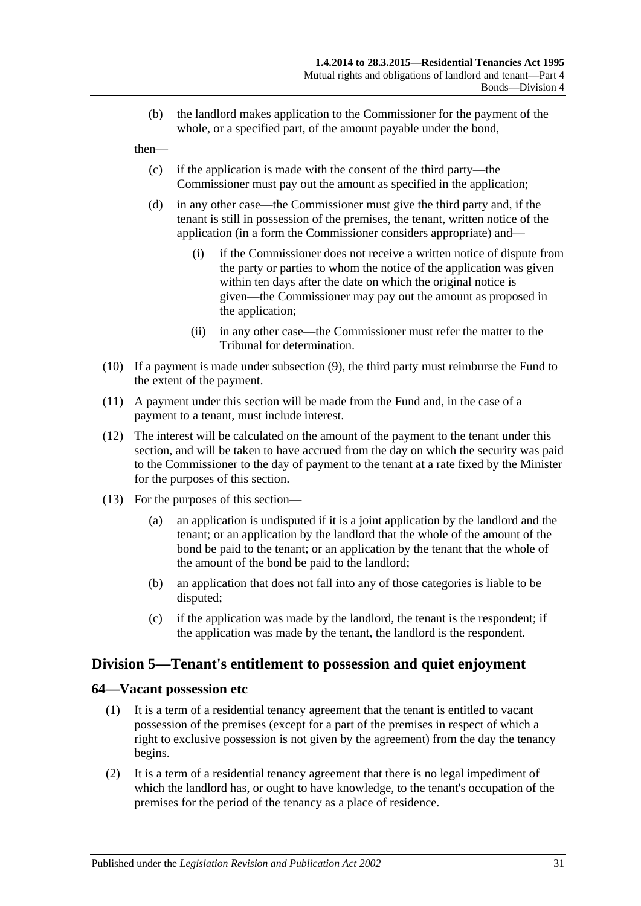(b) the landlord makes application to the Commissioner for the payment of the whole, or a specified part, of the amount payable under the bond,

then—

- (c) if the application is made with the consent of the third party—the Commissioner must pay out the amount as specified in the application;
- (d) in any other case—the Commissioner must give the third party and, if the tenant is still in possession of the premises, the tenant, written notice of the application (in a form the Commissioner considers appropriate) and—
	- (i) if the Commissioner does not receive a written notice of dispute from the party or parties to whom the notice of the application was given within ten days after the date on which the original notice is given—the Commissioner may pay out the amount as proposed in the application;
	- (ii) in any other case—the Commissioner must refer the matter to the Tribunal for determination.
- (10) If a payment is made under [subsection](#page-29-3) (9), the third party must reimburse the Fund to the extent of the payment.
- (11) A payment under this section will be made from the Fund and, in the case of a payment to a tenant, must include interest.
- (12) The interest will be calculated on the amount of the payment to the tenant under this section, and will be taken to have accrued from the day on which the security was paid to the Commissioner to the day of payment to the tenant at a rate fixed by the Minister for the purposes of this section.
- (13) For the purposes of this section—
	- (a) an application is undisputed if it is a joint application by the landlord and the tenant; or an application by the landlord that the whole of the amount of the bond be paid to the tenant; or an application by the tenant that the whole of the amount of the bond be paid to the landlord;
	- (b) an application that does not fall into any of those categories is liable to be disputed;
	- (c) if the application was made by the landlord, the tenant is the respondent; if the application was made by the tenant, the landlord is the respondent.

### <span id="page-30-0"></span>**Division 5—Tenant's entitlement to possession and quiet enjoyment**

#### <span id="page-30-1"></span>**64—Vacant possession etc**

- (1) It is a term of a residential tenancy agreement that the tenant is entitled to vacant possession of the premises (except for a part of the premises in respect of which a right to exclusive possession is not given by the agreement) from the day the tenancy begins.
- (2) It is a term of a residential tenancy agreement that there is no legal impediment of which the landlord has, or ought to have knowledge, to the tenant's occupation of the premises for the period of the tenancy as a place of residence.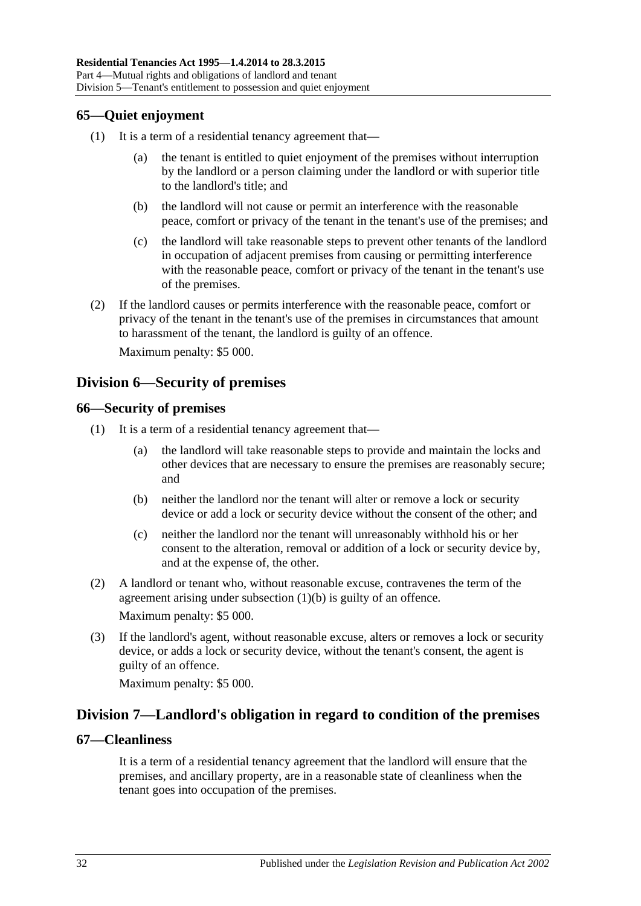### <span id="page-31-0"></span>**65—Quiet enjoyment**

- (1) It is a term of a residential tenancy agreement that
	- the tenant is entitled to quiet enjoyment of the premises without interruption by the landlord or a person claiming under the landlord or with superior title to the landlord's title; and
	- (b) the landlord will not cause or permit an interference with the reasonable peace, comfort or privacy of the tenant in the tenant's use of the premises; and
	- (c) the landlord will take reasonable steps to prevent other tenants of the landlord in occupation of adjacent premises from causing or permitting interference with the reasonable peace, comfort or privacy of the tenant in the tenant's use of the premises.
- (2) If the landlord causes or permits interference with the reasonable peace, comfort or privacy of the tenant in the tenant's use of the premises in circumstances that amount to harassment of the tenant, the landlord is guilty of an offence.

Maximum penalty: \$5 000.

### <span id="page-31-1"></span>**Division 6—Security of premises**

### <span id="page-31-2"></span>**66—Security of premises**

- <span id="page-31-5"></span>(1) It is a term of a residential tenancy agreement that—
	- (a) the landlord will take reasonable steps to provide and maintain the locks and other devices that are necessary to ensure the premises are reasonably secure; and
	- (b) neither the landlord nor the tenant will alter or remove a lock or security device or add a lock or security device without the consent of the other; and
	- (c) neither the landlord nor the tenant will unreasonably withhold his or her consent to the alteration, removal or addition of a lock or security device by, and at the expense of, the other.
- (2) A landlord or tenant who, without reasonable excuse, contravenes the term of the agreement arising under [subsection](#page-31-5) (1)(b) is guilty of an offence. Maximum penalty: \$5 000.
- (3) If the landlord's agent, without reasonable excuse, alters or removes a lock or security device, or adds a lock or security device, without the tenant's consent, the agent is guilty of an offence.

Maximum penalty: \$5 000.

### <span id="page-31-3"></span>**Division 7—Landlord's obligation in regard to condition of the premises**

#### <span id="page-31-4"></span>**67—Cleanliness**

It is a term of a residential tenancy agreement that the landlord will ensure that the premises, and ancillary property, are in a reasonable state of cleanliness when the tenant goes into occupation of the premises.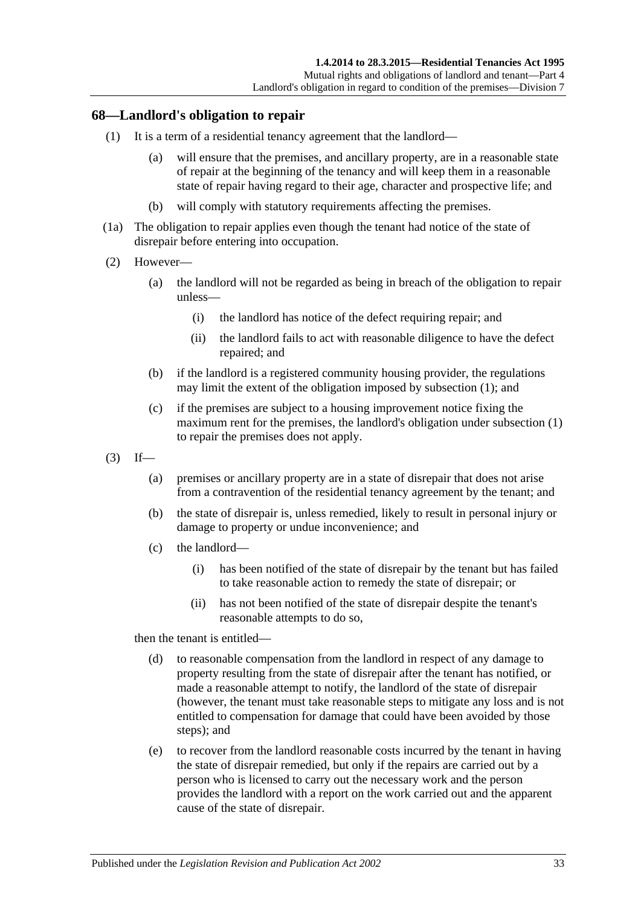#### <span id="page-32-1"></span><span id="page-32-0"></span>**68—Landlord's obligation to repair**

- (1) It is a term of a residential tenancy agreement that the landlord—
	- (a) will ensure that the premises, and ancillary property, are in a reasonable state of repair at the beginning of the tenancy and will keep them in a reasonable state of repair having regard to their age, character and prospective life; and
	- (b) will comply with statutory requirements affecting the premises.
- (1a) The obligation to repair applies even though the tenant had notice of the state of disrepair before entering into occupation.
- (2) However—
	- (a) the landlord will not be regarded as being in breach of the obligation to repair unless—
		- (i) the landlord has notice of the defect requiring repair; and
		- (ii) the landlord fails to act with reasonable diligence to have the defect repaired; and
	- (b) if the landlord is a registered community housing provider, the regulations may limit the extent of the obligation imposed by [subsection](#page-32-1) (1); and
	- (c) if the premises are subject to a housing improvement notice fixing the maximum rent for the premises, the landlord's obligation under [subsection](#page-32-1) (1) to repair the premises does not apply.
- $(3)$  If—
	- (a) premises or ancillary property are in a state of disrepair that does not arise from a contravention of the residential tenancy agreement by the tenant; and
	- (b) the state of disrepair is, unless remedied, likely to result in personal injury or damage to property or undue inconvenience; and
	- (c) the landlord—
		- (i) has been notified of the state of disrepair by the tenant but has failed to take reasonable action to remedy the state of disrepair; or
		- (ii) has not been notified of the state of disrepair despite the tenant's reasonable attempts to do so,

then the tenant is entitled—

- (d) to reasonable compensation from the landlord in respect of any damage to property resulting from the state of disrepair after the tenant has notified, or made a reasonable attempt to notify, the landlord of the state of disrepair (however, the tenant must take reasonable steps to mitigate any loss and is not entitled to compensation for damage that could have been avoided by those steps); and
- (e) to recover from the landlord reasonable costs incurred by the tenant in having the state of disrepair remedied, but only if the repairs are carried out by a person who is licensed to carry out the necessary work and the person provides the landlord with a report on the work carried out and the apparent cause of the state of disrepair.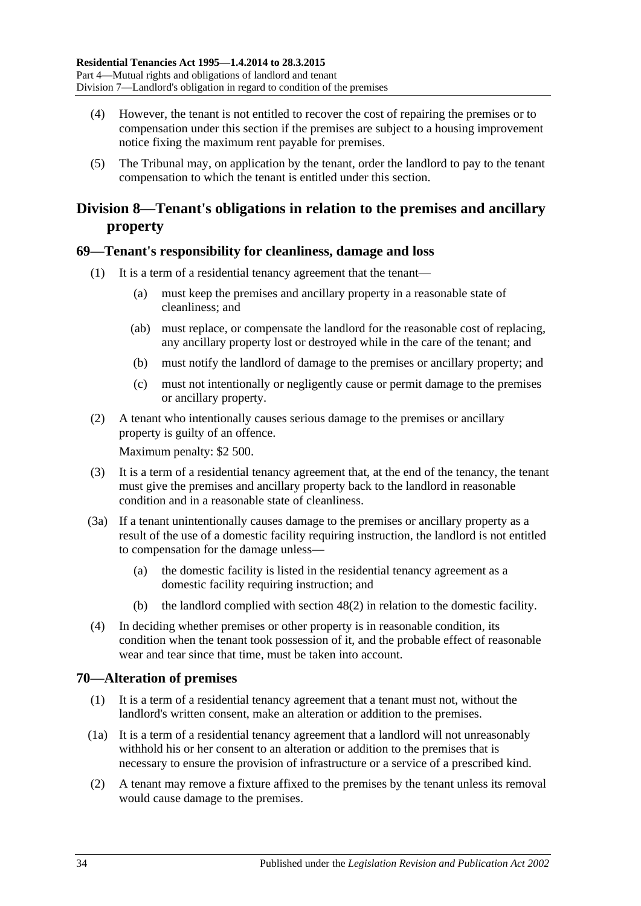- (4) However, the tenant is not entitled to recover the cost of repairing the premises or to compensation under this section if the premises are subject to a housing improvement notice fixing the maximum rent payable for premises.
- (5) The Tribunal may, on application by the tenant, order the landlord to pay to the tenant compensation to which the tenant is entitled under this section.

## <span id="page-33-0"></span>**Division 8—Tenant's obligations in relation to the premises and ancillary property**

### <span id="page-33-1"></span>**69—Tenant's responsibility for cleanliness, damage and loss**

- (1) It is a term of a residential tenancy agreement that the tenant—
	- (a) must keep the premises and ancillary property in a reasonable state of cleanliness; and
	- (ab) must replace, or compensate the landlord for the reasonable cost of replacing, any ancillary property lost or destroyed while in the care of the tenant; and
	- (b) must notify the landlord of damage to the premises or ancillary property; and
	- (c) must not intentionally or negligently cause or permit damage to the premises or ancillary property.
- (2) A tenant who intentionally causes serious damage to the premises or ancillary property is guilty of an offence.

Maximum penalty: \$2 500.

- (3) It is a term of a residential tenancy agreement that, at the end of the tenancy, the tenant must give the premises and ancillary property back to the landlord in reasonable condition and in a reasonable state of cleanliness.
- <span id="page-33-3"></span>(3a) If a tenant unintentionally causes damage to the premises or ancillary property as a result of the use of a domestic facility requiring instruction, the landlord is not entitled to compensation for the damage unless—
	- (a) the domestic facility is listed in the residential tenancy agreement as a domestic facility requiring instruction; and
	- (b) the landlord complied with [section](#page-20-2) 48(2) in relation to the domestic facility.
- (4) In deciding whether premises or other property is in reasonable condition, its condition when the tenant took possession of it, and the probable effect of reasonable wear and tear since that time, must be taken into account.

### <span id="page-33-2"></span>**70—Alteration of premises**

- (1) It is a term of a residential tenancy agreement that a tenant must not, without the landlord's written consent, make an alteration or addition to the premises.
- (1a) It is a term of a residential tenancy agreement that a landlord will not unreasonably withhold his or her consent to an alteration or addition to the premises that is necessary to ensure the provision of infrastructure or a service of a prescribed kind.
- (2) A tenant may remove a fixture affixed to the premises by the tenant unless its removal would cause damage to the premises.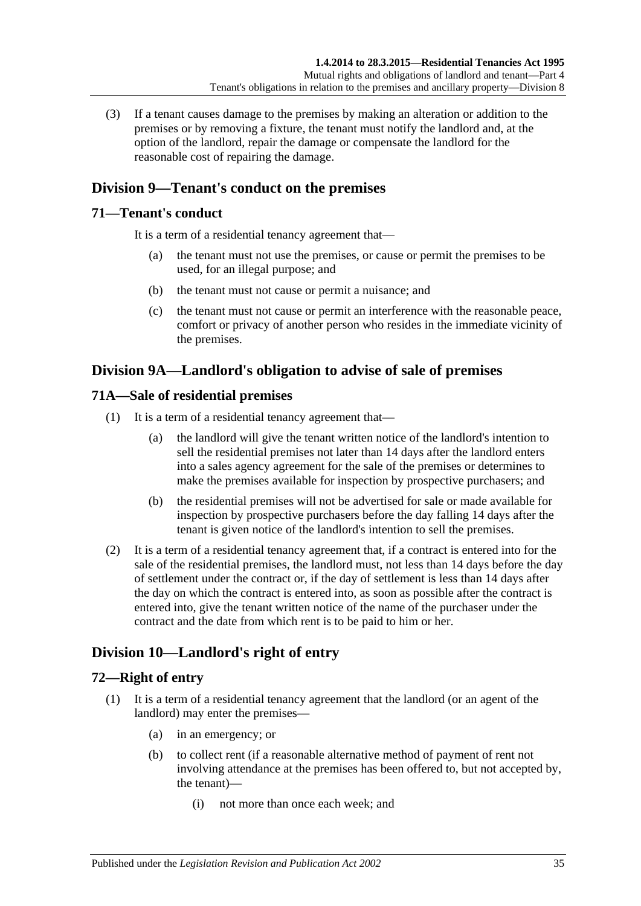(3) If a tenant causes damage to the premises by making an alteration or addition to the premises or by removing a fixture, the tenant must notify the landlord and, at the option of the landlord, repair the damage or compensate the landlord for the reasonable cost of repairing the damage.

## <span id="page-34-0"></span>**Division 9—Tenant's conduct on the premises**

### <span id="page-34-1"></span>**71—Tenant's conduct**

It is a term of a residential tenancy agreement that—

- (a) the tenant must not use the premises, or cause or permit the premises to be used, for an illegal purpose; and
- (b) the tenant must not cause or permit a nuisance; and
- (c) the tenant must not cause or permit an interference with the reasonable peace, comfort or privacy of another person who resides in the immediate vicinity of the premises.

## <span id="page-34-2"></span>**Division 9A—Landlord's obligation to advise of sale of premises**

### <span id="page-34-3"></span>**71A—Sale of residential premises**

- (1) It is a term of a residential tenancy agreement that—
	- (a) the landlord will give the tenant written notice of the landlord's intention to sell the residential premises not later than 14 days after the landlord enters into a sales agency agreement for the sale of the premises or determines to make the premises available for inspection by prospective purchasers; and
	- (b) the residential premises will not be advertised for sale or made available for inspection by prospective purchasers before the day falling 14 days after the tenant is given notice of the landlord's intention to sell the premises.
- (2) It is a term of a residential tenancy agreement that, if a contract is entered into for the sale of the residential premises, the landlord must, not less than 14 days before the day of settlement under the contract or, if the day of settlement is less than 14 days after the day on which the contract is entered into, as soon as possible after the contract is entered into, give the tenant written notice of the name of the purchaser under the contract and the date from which rent is to be paid to him or her.

## <span id="page-34-4"></span>**Division 10—Landlord's right of entry**

### <span id="page-34-5"></span>**72—Right of entry**

- (1) It is a term of a residential tenancy agreement that the landlord (or an agent of the landlord) may enter the premises—
	- (a) in an emergency; or
	- (b) to collect rent (if a reasonable alternative method of payment of rent not involving attendance at the premises has been offered to, but not accepted by, the tenant)—
		- (i) not more than once each week; and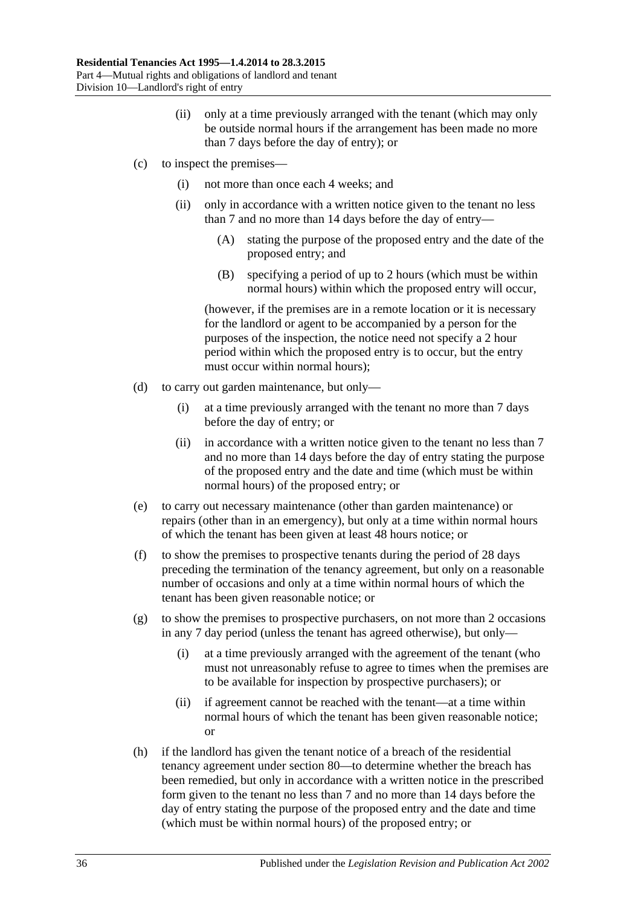- (ii) only at a time previously arranged with the tenant (which may only be outside normal hours if the arrangement has been made no more than 7 days before the day of entry); or
- (c) to inspect the premises—
	- (i) not more than once each 4 weeks; and
	- (ii) only in accordance with a written notice given to the tenant no less than 7 and no more than 14 days before the day of entry—
		- (A) stating the purpose of the proposed entry and the date of the proposed entry; and
		- (B) specifying a period of up to 2 hours (which must be within normal hours) within which the proposed entry will occur,

(however, if the premises are in a remote location or it is necessary for the landlord or agent to be accompanied by a person for the purposes of the inspection, the notice need not specify a 2 hour period within which the proposed entry is to occur, but the entry must occur within normal hours);

- (d) to carry out garden maintenance, but only—
	- (i) at a time previously arranged with the tenant no more than 7 days before the day of entry; or
	- (ii) in accordance with a written notice given to the tenant no less than 7 and no more than 14 days before the day of entry stating the purpose of the proposed entry and the date and time (which must be within normal hours) of the proposed entry; or
- (e) to carry out necessary maintenance (other than garden maintenance) or repairs (other than in an emergency), but only at a time within normal hours of which the tenant has been given at least 48 hours notice; or
- (f) to show the premises to prospective tenants during the period of 28 days preceding the termination of the tenancy agreement, but only on a reasonable number of occasions and only at a time within normal hours of which the tenant has been given reasonable notice; or
- (g) to show the premises to prospective purchasers, on not more than 2 occasions in any 7 day period (unless the tenant has agreed otherwise), but only—
	- (i) at a time previously arranged with the agreement of the tenant (who must not unreasonably refuse to agree to times when the premises are to be available for inspection by prospective purchasers); or
	- (ii) if agreement cannot be reached with the tenant—at a time within normal hours of which the tenant has been given reasonable notice; or
- (h) if the landlord has given the tenant notice of a breach of the residential tenancy agreement under [section](#page-40-5) 80—to determine whether the breach has been remedied, but only in accordance with a written notice in the prescribed form given to the tenant no less than 7 and no more than 14 days before the day of entry stating the purpose of the proposed entry and the date and time (which must be within normal hours) of the proposed entry; or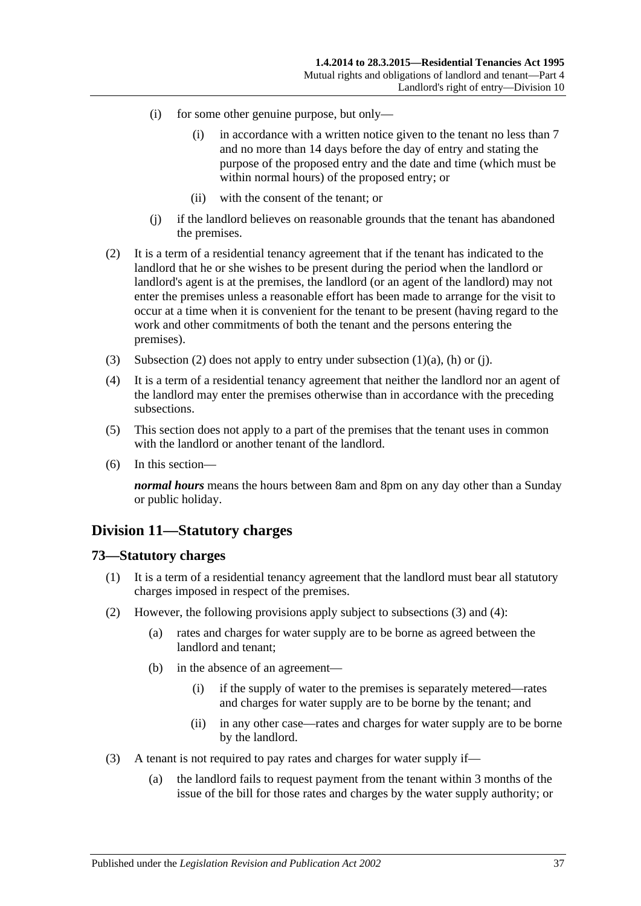- (i) for some other genuine purpose, but only—
	- (i) in accordance with a written notice given to the tenant no less than 7 and no more than 14 days before the day of entry and stating the purpose of the proposed entry and the date and time (which must be within normal hours) of the proposed entry; or
	- (ii) with the consent of the tenant; or
- (j) if the landlord believes on reasonable grounds that the tenant has abandoned the premises.
- <span id="page-36-1"></span><span id="page-36-0"></span>(2) It is a term of a residential tenancy agreement that if the tenant has indicated to the landlord that he or she wishes to be present during the period when the landlord or landlord's agent is at the premises, the landlord (or an agent of the landlord) may not enter the premises unless a reasonable effort has been made to arrange for the visit to occur at a time when it is convenient for the tenant to be present (having regard to the work and other commitments of both the tenant and the persons entering the premises).
- (3) [Subsection](#page-36-0) (2) does not apply to entry under [subsection](#page-34-0)  $(1)(a)$ ,  $(h)$  or  $(i)$ .
- (4) It is a term of a residential tenancy agreement that neither the landlord nor an agent of the landlord may enter the premises otherwise than in accordance with the preceding subsections.
- (5) This section does not apply to a part of the premises that the tenant uses in common with the landlord or another tenant of the landlord.
- (6) In this section—

*normal hours* means the hours between 8am and 8pm on any day other than a Sunday or public holiday.

# **Division 11—Statutory charges**

#### **73—Statutory charges**

- (1) It is a term of a residential tenancy agreement that the landlord must bear all statutory charges imposed in respect of the premises.
- <span id="page-36-4"></span><span id="page-36-3"></span>(2) However, the following provisions apply subject to [subsections](#page-36-2) (3) and [\(4\):](#page-37-0)
	- (a) rates and charges for water supply are to be borne as agreed between the landlord and tenant;
	- (b) in the absence of an agreement—
		- (i) if the supply of water to the premises is separately metered—rates and charges for water supply are to be borne by the tenant; and
		- (ii) in any other case—rates and charges for water supply are to be borne by the landlord.
- <span id="page-36-2"></span>(3) A tenant is not required to pay rates and charges for water supply if—
	- (a) the landlord fails to request payment from the tenant within 3 months of the issue of the bill for those rates and charges by the water supply authority; or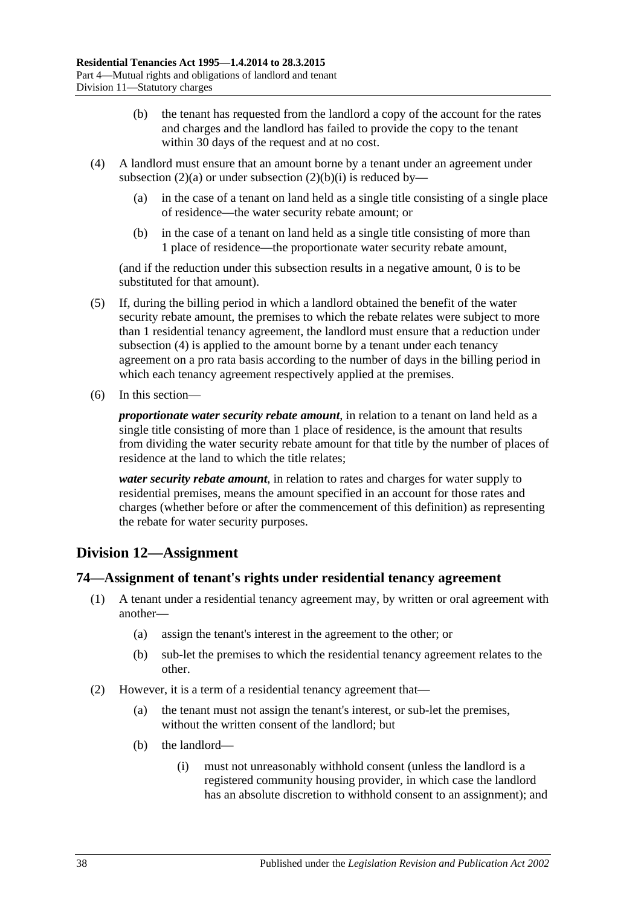- (b) the tenant has requested from the landlord a copy of the account for the rates and charges and the landlord has failed to provide the copy to the tenant within 30 days of the request and at no cost.
- <span id="page-37-0"></span>(4) A landlord must ensure that an amount borne by a tenant under an agreement under [subsection](#page-36-3) (2)(a) or under [subsection](#page-36-4) (2)(b)(i) is reduced by—
	- (a) in the case of a tenant on land held as a single title consisting of a single place of residence—the water security rebate amount; or
	- (b) in the case of a tenant on land held as a single title consisting of more than 1 place of residence—the proportionate water security rebate amount,

(and if the reduction under this subsection results in a negative amount, 0 is to be substituted for that amount).

- (5) If, during the billing period in which a landlord obtained the benefit of the water security rebate amount, the premises to which the rebate relates were subject to more than 1 residential tenancy agreement, the landlord must ensure that a reduction under [subsection](#page-37-0) (4) is applied to the amount borne by a tenant under each tenancy agreement on a pro rata basis according to the number of days in the billing period in which each tenancy agreement respectively applied at the premises.
- (6) In this section—

*proportionate water security rebate amount*, in relation to a tenant on land held as a single title consisting of more than 1 place of residence, is the amount that results from dividing the water security rebate amount for that title by the number of places of residence at the land to which the title relates;

*water security rebate amount*, in relation to rates and charges for water supply to residential premises, means the amount specified in an account for those rates and charges (whether before or after the commencement of this definition) as representing the rebate for water security purposes.

# **Division 12—Assignment**

## **74—Assignment of tenant's rights under residential tenancy agreement**

- (1) A tenant under a residential tenancy agreement may, by written or oral agreement with another—
	- (a) assign the tenant's interest in the agreement to the other; or
	- (b) sub-let the premises to which the residential tenancy agreement relates to the other.
- (2) However, it is a term of a residential tenancy agreement that—
	- (a) the tenant must not assign the tenant's interest, or sub-let the premises, without the written consent of the landlord; but
	- (b) the landlord—
		- (i) must not unreasonably withhold consent (unless the landlord is a registered community housing provider, in which case the landlord has an absolute discretion to withhold consent to an assignment); and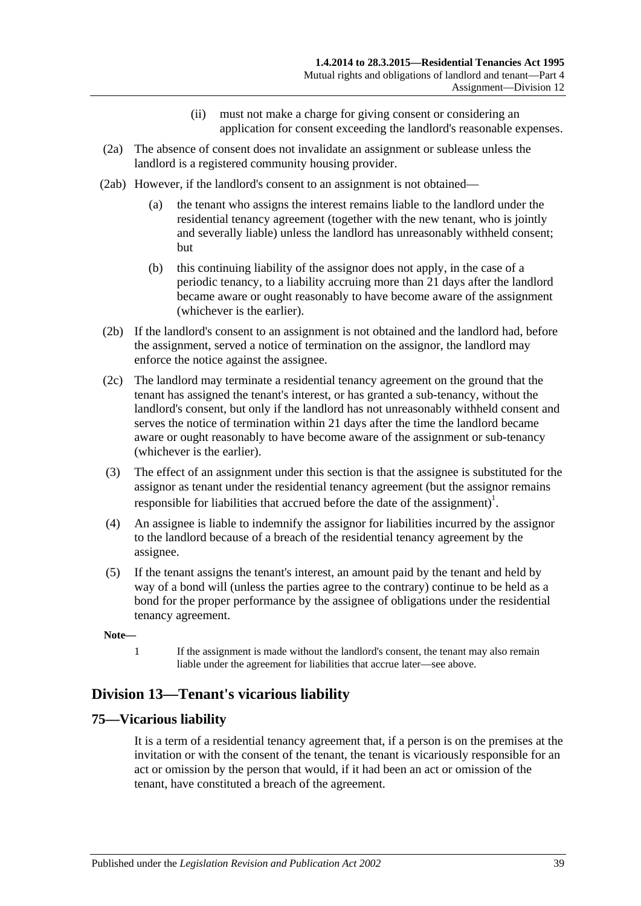- (ii) must not make a charge for giving consent or considering an application for consent exceeding the landlord's reasonable expenses.
- (2a) The absence of consent does not invalidate an assignment or sublease unless the landlord is a registered community housing provider.
- (2ab) However, if the landlord's consent to an assignment is not obtained—
	- (a) the tenant who assigns the interest remains liable to the landlord under the residential tenancy agreement (together with the new tenant, who is jointly and severally liable) unless the landlord has unreasonably withheld consent; but
	- (b) this continuing liability of the assignor does not apply, in the case of a periodic tenancy, to a liability accruing more than 21 days after the landlord became aware or ought reasonably to have become aware of the assignment (whichever is the earlier).
- (2b) If the landlord's consent to an assignment is not obtained and the landlord had, before the assignment, served a notice of termination on the assignor, the landlord may enforce the notice against the assignee.
- (2c) The landlord may terminate a residential tenancy agreement on the ground that the tenant has assigned the tenant's interest, or has granted a sub-tenancy, without the landlord's consent, but only if the landlord has not unreasonably withheld consent and serves the notice of termination within 21 days after the time the landlord became aware or ought reasonably to have become aware of the assignment or sub-tenancy (whichever is the earlier).
- (3) The effect of an assignment under this section is that the assignee is substituted for the assignor as tenant under the residential tenancy agreement (but the assignor remains responsible for liabilities that accrued before the date of the assignment)<sup>1</sup>.
- (4) An assignee is liable to indemnify the assignor for liabilities incurred by the assignor to the landlord because of a breach of the residential tenancy agreement by the assignee.
- (5) If the tenant assigns the tenant's interest, an amount paid by the tenant and held by way of a bond will (unless the parties agree to the contrary) continue to be held as a bond for the proper performance by the assignee of obligations under the residential tenancy agreement.

#### **Note—**

1 If the assignment is made without the landlord's consent, the tenant may also remain liable under the agreement for liabilities that accrue later—see above.

# **Division 13—Tenant's vicarious liability**

## **75—Vicarious liability**

It is a term of a residential tenancy agreement that, if a person is on the premises at the invitation or with the consent of the tenant, the tenant is vicariously responsible for an act or omission by the person that would, if it had been an act or omission of the tenant, have constituted a breach of the agreement.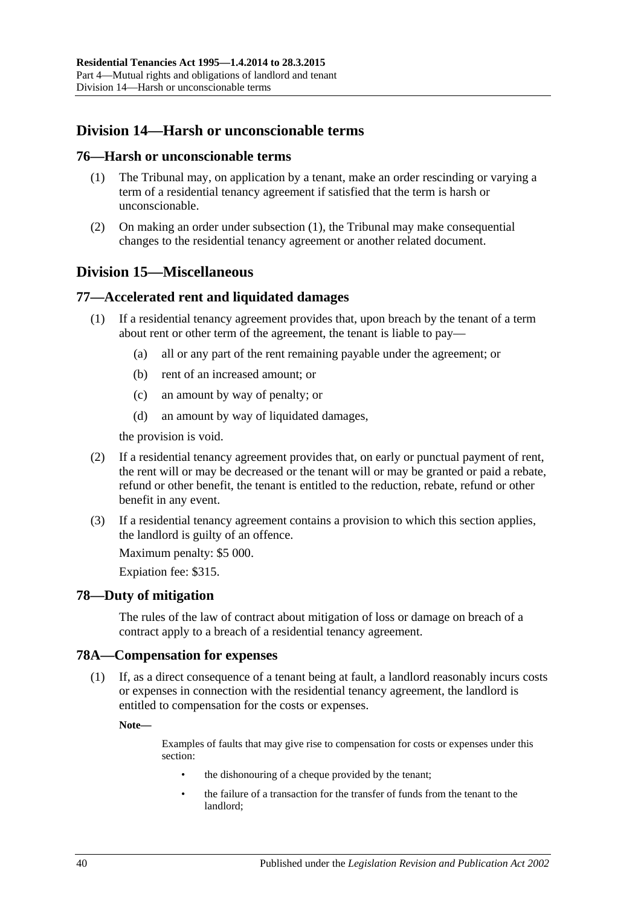# **Division 14—Harsh or unconscionable terms**

#### <span id="page-39-0"></span>**76—Harsh or unconscionable terms**

- (1) The Tribunal may, on application by a tenant, make an order rescinding or varying a term of a residential tenancy agreement if satisfied that the term is harsh or unconscionable.
- (2) On making an order under [subsection](#page-39-0) (1), the Tribunal may make consequential changes to the residential tenancy agreement or another related document.

# **Division 15—Miscellaneous**

## **77—Accelerated rent and liquidated damages**

- (1) If a residential tenancy agreement provides that, upon breach by the tenant of a term about rent or other term of the agreement, the tenant is liable to pay—
	- (a) all or any part of the rent remaining payable under the agreement; or
	- (b) rent of an increased amount; or
	- (c) an amount by way of penalty; or
	- (d) an amount by way of liquidated damages,

the provision is void.

- (2) If a residential tenancy agreement provides that, on early or punctual payment of rent, the rent will or may be decreased or the tenant will or may be granted or paid a rebate, refund or other benefit, the tenant is entitled to the reduction, rebate, refund or other benefit in any event.
- (3) If a residential tenancy agreement contains a provision to which this section applies, the landlord is guilty of an offence.

Maximum penalty: \$5 000.

Expiation fee: \$315.

## **78—Duty of mitigation**

The rules of the law of contract about mitigation of loss or damage on breach of a contract apply to a breach of a residential tenancy agreement.

#### **78A—Compensation for expenses**

(1) If, as a direct consequence of a tenant being at fault, a landlord reasonably incurs costs or expenses in connection with the residential tenancy agreement, the landlord is entitled to compensation for the costs or expenses.

**Note—**

Examples of faults that may give rise to compensation for costs or expenses under this section:

- the dishonouring of a cheque provided by the tenant;
- the failure of a transaction for the transfer of funds from the tenant to the landlord;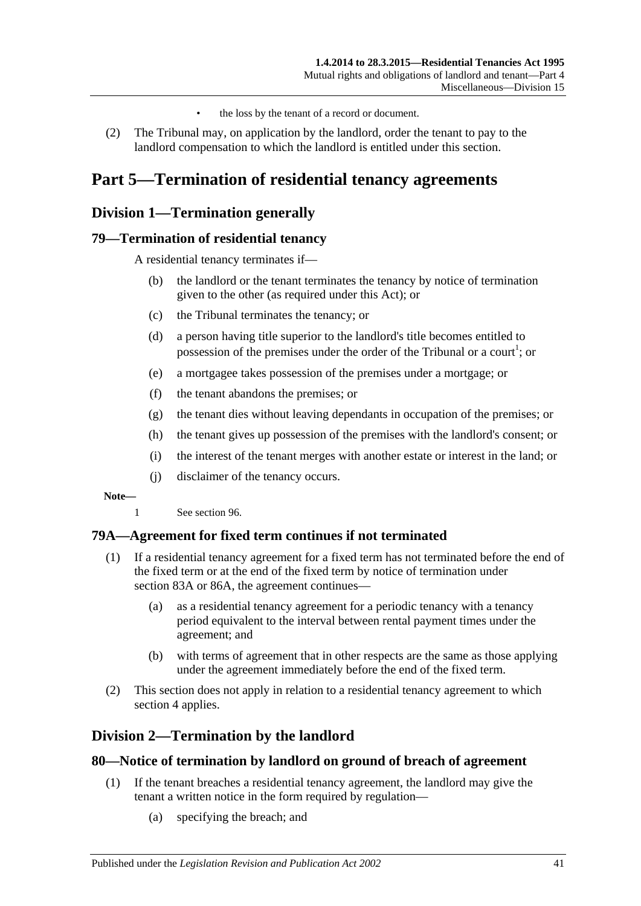- the loss by the tenant of a record or document.
- (2) The Tribunal may, on application by the landlord, order the tenant to pay to the landlord compensation to which the landlord is entitled under this section.

# **Part 5—Termination of residential tenancy agreements**

# **Division 1—Termination generally**

## **79—Termination of residential tenancy**

A residential tenancy terminates if—

- (b) the landlord or the tenant terminates the tenancy by notice of termination given to the other (as required under this Act); or
- (c) the Tribunal terminates the tenancy; or
- (d) a person having title superior to the landlord's title becomes entitled to possession of the premises under the order of the Tribunal or a court<sup>1</sup>; or
- (e) a mortgagee takes possession of the premises under a mortgage; or
- (f) the tenant abandons the premises; or
- (g) the tenant dies without leaving dependants in occupation of the premises; or
- (h) the tenant gives up possession of the premises with the landlord's consent; or
- (i) the interest of the tenant merges with another estate or interest in the land; or
- (j) disclaimer of the tenancy occurs.

**Note—**

1 See [section](#page-50-0) 96.

## **79A—Agreement for fixed term continues if not terminated**

- (1) If a residential tenancy agreement for a fixed term has not terminated before the end of the fixed term or at the end of the fixed term by notice of termination under [section](#page-43-0) 83A or [86A,](#page-45-0) the agreement continues—
	- (a) as a residential tenancy agreement for a periodic tenancy with a tenancy period equivalent to the interval between rental payment times under the agreement; and
	- (b) with terms of agreement that in other respects are the same as those applying under the agreement immediately before the end of the fixed term.
- (2) This section does not apply in relation to a residential tenancy agreement to which [section](#page-8-0) 4 applies.

# **Division 2—Termination by the landlord**

#### <span id="page-40-0"></span>**80—Notice of termination by landlord on ground of breach of agreement**

- (1) If the tenant breaches a residential tenancy agreement, the landlord may give the tenant a written notice in the form required by regulation—
	- (a) specifying the breach; and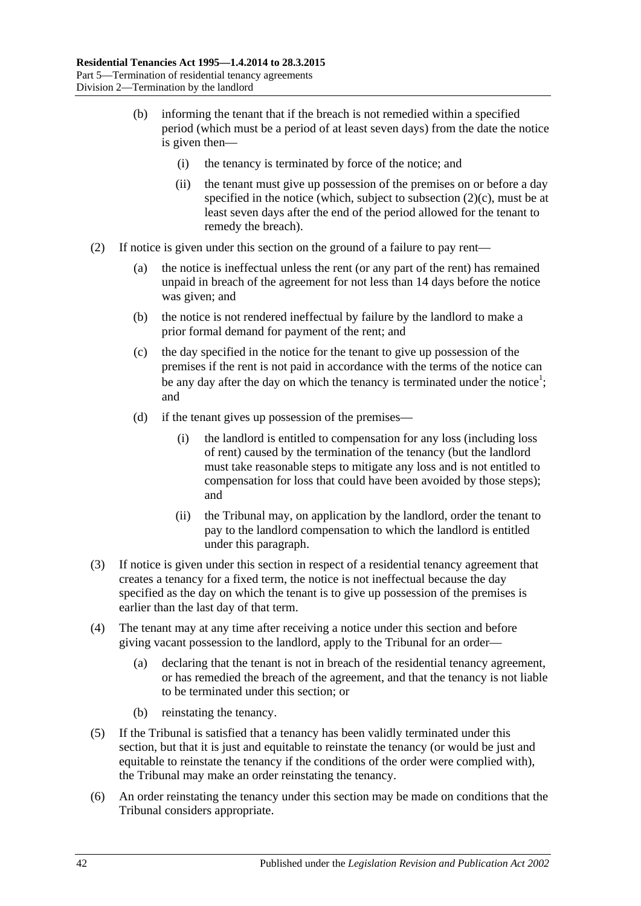- (b) informing the tenant that if the breach is not remedied within a specified period (which must be a period of at least seven days) from the date the notice is given then—
	- (i) the tenancy is terminated by force of the notice; and
	- (ii) the tenant must give up possession of the premises on or before a day specified in the notice (which, subject to [subsection](#page-41-0)  $(2)(c)$ , must be at least seven days after the end of the period allowed for the tenant to remedy the breach).
- <span id="page-41-1"></span><span id="page-41-0"></span>(2) If notice is given under this section on the ground of a failure to pay rent—
	- (a) the notice is ineffectual unless the rent (or any part of the rent) has remained unpaid in breach of the agreement for not less than 14 days before the notice was given; and
	- (b) the notice is not rendered ineffectual by failure by the landlord to make a prior formal demand for payment of the rent; and
	- (c) the day specified in the notice for the tenant to give up possession of the premises if the rent is not paid in accordance with the terms of the notice can be any day after the day on which the tenancy is terminated under the notice<sup>1</sup>; and
	- (d) if the tenant gives up possession of the premises—
		- (i) the landlord is entitled to compensation for any loss (including loss of rent) caused by the termination of the tenancy (but the landlord must take reasonable steps to mitigate any loss and is not entitled to compensation for loss that could have been avoided by those steps); and
		- (ii) the Tribunal may, on application by the landlord, order the tenant to pay to the landlord compensation to which the landlord is entitled under this paragraph.
- (3) If notice is given under this section in respect of a residential tenancy agreement that creates a tenancy for a fixed term, the notice is not ineffectual because the day specified as the day on which the tenant is to give up possession of the premises is earlier than the last day of that term.
- (4) The tenant may at any time after receiving a notice under this section and before giving vacant possession to the landlord, apply to the Tribunal for an order—
	- (a) declaring that the tenant is not in breach of the residential tenancy agreement, or has remedied the breach of the agreement, and that the tenancy is not liable to be terminated under this section; or
	- (b) reinstating the tenancy.
- (5) If the Tribunal is satisfied that a tenancy has been validly terminated under this section, but that it is just and equitable to reinstate the tenancy (or would be just and equitable to reinstate the tenancy if the conditions of the order were complied with), the Tribunal may make an order reinstating the tenancy.
- (6) An order reinstating the tenancy under this section may be made on conditions that the Tribunal considers appropriate.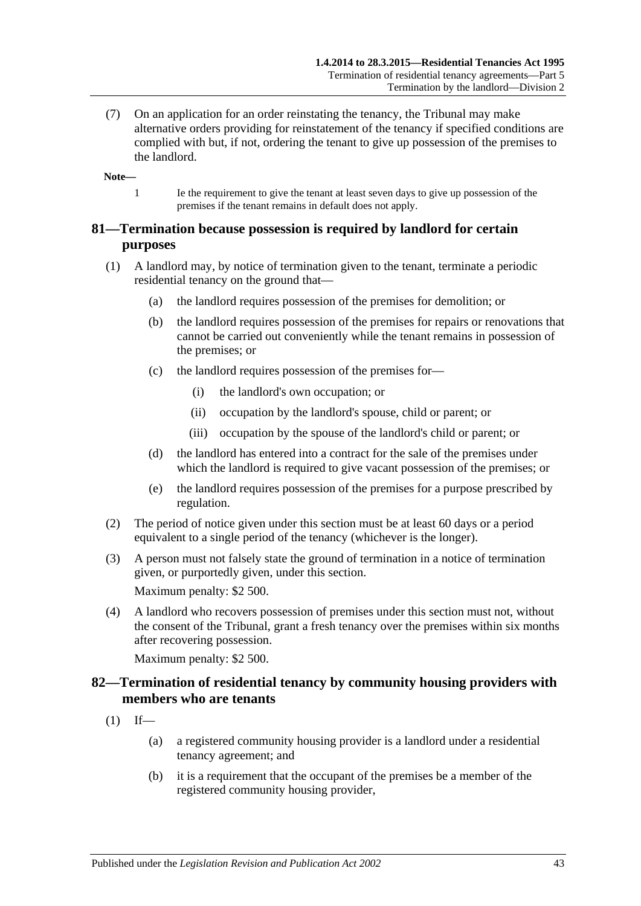(7) On an application for an order reinstating the tenancy, the Tribunal may make alternative orders providing for reinstatement of the tenancy if specified conditions are complied with but, if not, ordering the tenant to give up possession of the premises to the landlord.

**Note—**

1 Ie the requirement to give the tenant at least seven days to give up possession of the premises if the tenant remains in default does not apply.

## **81—Termination because possession is required by landlord for certain purposes**

- (1) A landlord may, by notice of termination given to the tenant, terminate a periodic residential tenancy on the ground that—
	- (a) the landlord requires possession of the premises for demolition; or
	- (b) the landlord requires possession of the premises for repairs or renovations that cannot be carried out conveniently while the tenant remains in possession of the premises; or
	- (c) the landlord requires possession of the premises for—
		- (i) the landlord's own occupation; or
		- (ii) occupation by the landlord's spouse, child or parent; or
		- (iii) occupation by the spouse of the landlord's child or parent; or
	- (d) the landlord has entered into a contract for the sale of the premises under which the landlord is required to give vacant possession of the premises; or
	- (e) the landlord requires possession of the premises for a purpose prescribed by regulation.
- (2) The period of notice given under this section must be at least 60 days or a period equivalent to a single period of the tenancy (whichever is the longer).
- (3) A person must not falsely state the ground of termination in a notice of termination given, or purportedly given, under this section.

Maximum penalty: \$2 500.

(4) A landlord who recovers possession of premises under this section must not, without the consent of the Tribunal, grant a fresh tenancy over the premises within six months after recovering possession.

Maximum penalty: \$2 500.

## **82—Termination of residential tenancy by community housing providers with members who are tenants**

- $(1)$  If—
	- (a) a registered community housing provider is a landlord under a residential tenancy agreement; and
	- (b) it is a requirement that the occupant of the premises be a member of the registered community housing provider,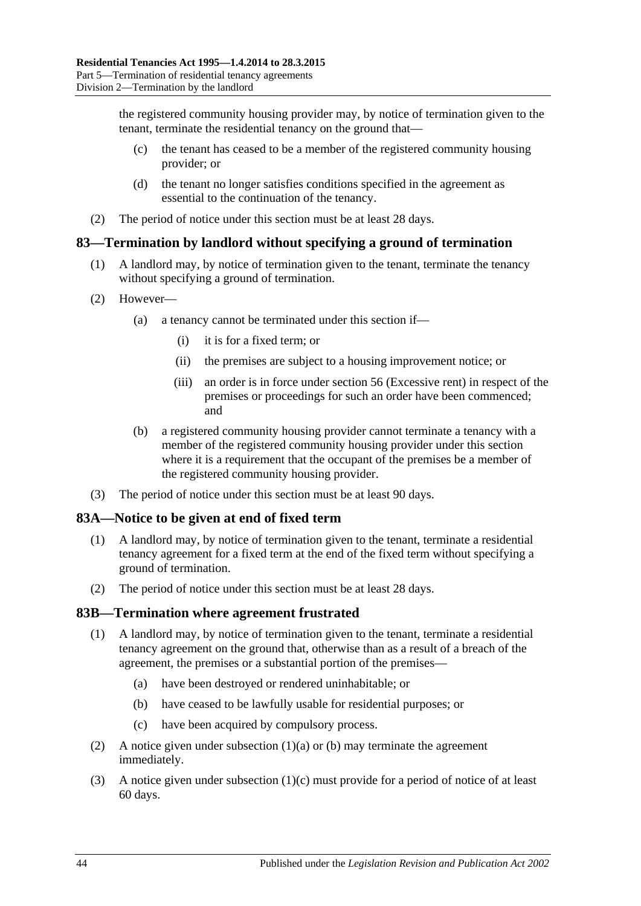the registered community housing provider may, by notice of termination given to the tenant, terminate the residential tenancy on the ground that—

- (c) the tenant has ceased to be a member of the registered community housing provider; or
- (d) the tenant no longer satisfies conditions specified in the agreement as essential to the continuation of the tenancy.
- (2) The period of notice under this section must be at least 28 days.

## **83—Termination by landlord without specifying a ground of termination**

- (1) A landlord may, by notice of termination given to the tenant, terminate the tenancy without specifying a ground of termination.
- (2) However—
	- (a) a tenancy cannot be terminated under this section if—
		- (i) it is for a fixed term; or
		- (ii) the premises are subject to a housing improvement notice; or
		- (iii) an order is in force under [section](#page-25-0) 56 (Excessive rent) in respect of the premises or proceedings for such an order have been commenced; and
	- (b) a registered community housing provider cannot terminate a tenancy with a member of the registered community housing provider under this section where it is a requirement that the occupant of the premises be a member of the registered community housing provider.
- (3) The period of notice under this section must be at least 90 days.

## <span id="page-43-0"></span>**83A—Notice to be given at end of fixed term**

- (1) A landlord may, by notice of termination given to the tenant, terminate a residential tenancy agreement for a fixed term at the end of the fixed term without specifying a ground of termination.
- (2) The period of notice under this section must be at least 28 days.

#### **83B—Termination where agreement frustrated**

- <span id="page-43-1"></span>(1) A landlord may, by notice of termination given to the tenant, terminate a residential tenancy agreement on the ground that, otherwise than as a result of a breach of the agreement, the premises or a substantial portion of the premises—
	- (a) have been destroyed or rendered uninhabitable; or
	- (b) have ceased to be lawfully usable for residential purposes; or
	- (c) have been acquired by compulsory process.
- <span id="page-43-3"></span><span id="page-43-2"></span>(2) A notice given under [subsection](#page-43-1)  $(1)(a)$  or [\(b\)](#page-43-2) may terminate the agreement immediately.
- (3) A notice given under [subsection](#page-43-3) (1)(c) must provide for a period of notice of at least 60 days.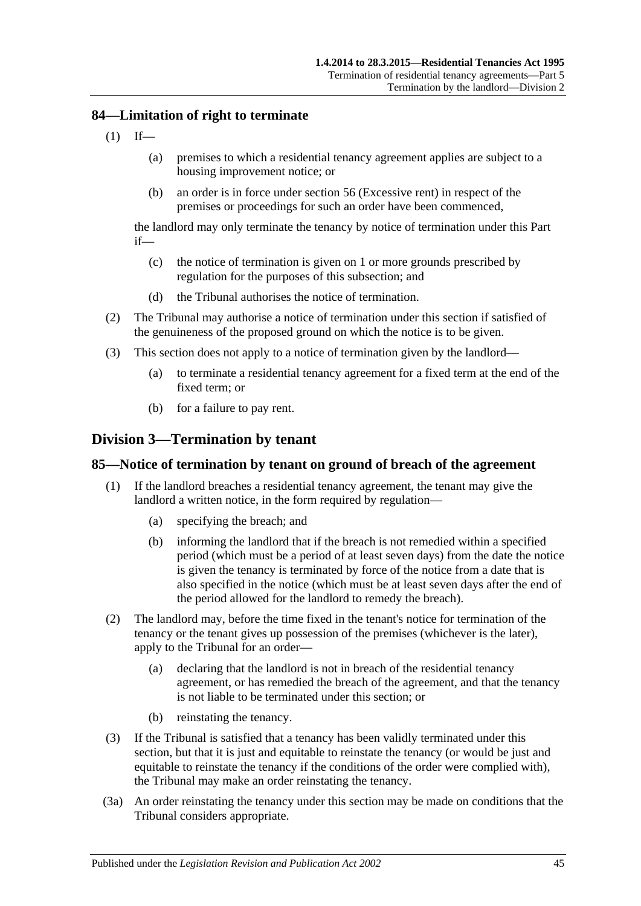## **84—Limitation of right to terminate**

- $(1)$  If—
	- (a) premises to which a residential tenancy agreement applies are subject to a housing improvement notice; or
	- (b) an order is in force under [section](#page-25-0) 56 (Excessive rent) in respect of the premises or proceedings for such an order have been commenced,

the landlord may only terminate the tenancy by notice of termination under this Part if—

- (c) the notice of termination is given on 1 or more grounds prescribed by regulation for the purposes of this subsection; and
- (d) the Tribunal authorises the notice of termination.
- (2) The Tribunal may authorise a notice of termination under this section if satisfied of the genuineness of the proposed ground on which the notice is to be given.
- (3) This section does not apply to a notice of termination given by the landlord—
	- (a) to terminate a residential tenancy agreement for a fixed term at the end of the fixed term; or
	- (b) for a failure to pay rent.

## **Division 3—Termination by tenant**

#### <span id="page-44-0"></span>**85—Notice of termination by tenant on ground of breach of the agreement**

- (1) If the landlord breaches a residential tenancy agreement, the tenant may give the landlord a written notice, in the form required by regulation—
	- (a) specifying the breach; and
	- (b) informing the landlord that if the breach is not remedied within a specified period (which must be a period of at least seven days) from the date the notice is given the tenancy is terminated by force of the notice from a date that is also specified in the notice (which must be at least seven days after the end of the period allowed for the landlord to remedy the breach).
- (2) The landlord may, before the time fixed in the tenant's notice for termination of the tenancy or the tenant gives up possession of the premises (whichever is the later), apply to the Tribunal for an order—
	- (a) declaring that the landlord is not in breach of the residential tenancy agreement, or has remedied the breach of the agreement, and that the tenancy is not liable to be terminated under this section; or
	- (b) reinstating the tenancy.
- (3) If the Tribunal is satisfied that a tenancy has been validly terminated under this section, but that it is just and equitable to reinstate the tenancy (or would be just and equitable to reinstate the tenancy if the conditions of the order were complied with), the Tribunal may make an order reinstating the tenancy.
- (3a) An order reinstating the tenancy under this section may be made on conditions that the Tribunal considers appropriate.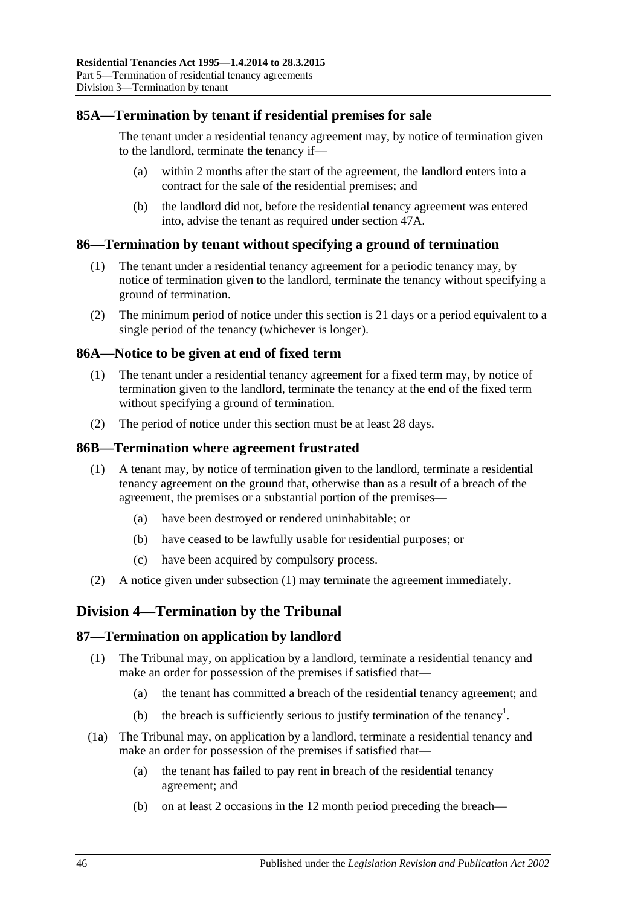## **85A—Termination by tenant if residential premises for sale**

The tenant under a residential tenancy agreement may, by notice of termination given to the landlord, terminate the tenancy if—

- (a) within 2 months after the start of the agreement, the landlord enters into a contract for the sale of the residential premises; and
- (b) the landlord did not, before the residential tenancy agreement was entered into, advise the tenant as required under [section](#page-19-0) 47A.

## **86—Termination by tenant without specifying a ground of termination**

- (1) The tenant under a residential tenancy agreement for a periodic tenancy may, by notice of termination given to the landlord, terminate the tenancy without specifying a ground of termination.
- (2) The minimum period of notice under this section is 21 days or a period equivalent to a single period of the tenancy (whichever is longer).

#### <span id="page-45-0"></span>**86A—Notice to be given at end of fixed term**

- (1) The tenant under a residential tenancy agreement for a fixed term may, by notice of termination given to the landlord, terminate the tenancy at the end of the fixed term without specifying a ground of termination.
- (2) The period of notice under this section must be at least 28 days.

#### <span id="page-45-1"></span>**86B—Termination where agreement frustrated**

- (1) A tenant may, by notice of termination given to the landlord, terminate a residential tenancy agreement on the ground that, otherwise than as a result of a breach of the agreement, the premises or a substantial portion of the premises—
	- (a) have been destroyed or rendered uninhabitable; or
	- (b) have ceased to be lawfully usable for residential purposes; or
	- (c) have been acquired by compulsory process.
- (2) A notice given under [subsection](#page-45-1) (1) may terminate the agreement immediately.

# **Division 4—Termination by the Tribunal**

## **87—Termination on application by landlord**

- (1) The Tribunal may, on application by a landlord, terminate a residential tenancy and make an order for possession of the premises if satisfied that—
	- (a) the tenant has committed a breach of the residential tenancy agreement; and
	- (b) the breach is sufficiently serious to justify termination of the tenancy<sup>1</sup>.
- <span id="page-45-2"></span>(1a) The Tribunal may, on application by a landlord, terminate a residential tenancy and make an order for possession of the premises if satisfied that—
	- (a) the tenant has failed to pay rent in breach of the residential tenancy agreement; and
	- (b) on at least 2 occasions in the 12 month period preceding the breach—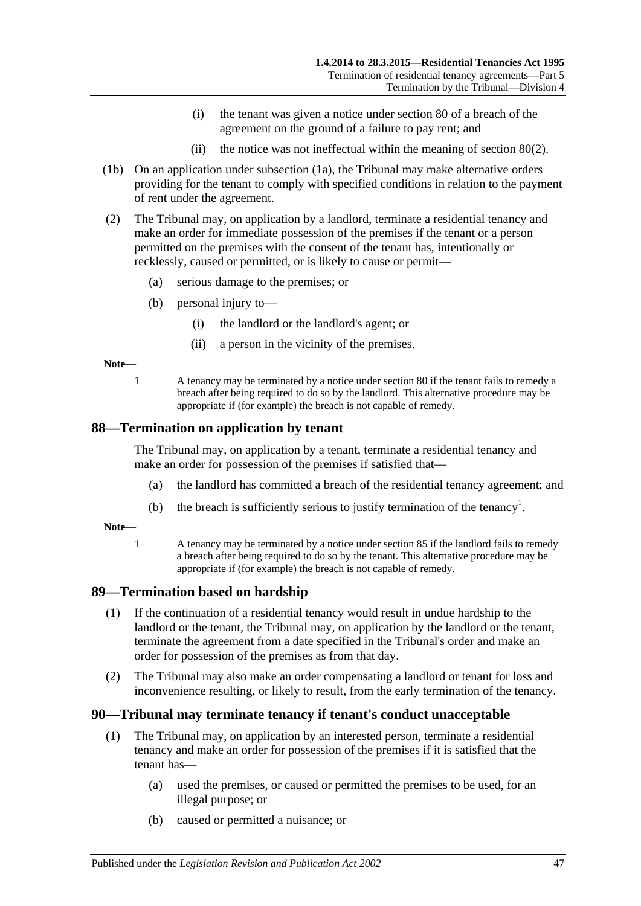- (i) the tenant was given a notice under [section](#page-40-0) 80 of a breach of the agreement on the ground of a failure to pay rent; and
- (ii) the notice was not ineffectual within the meaning of [section](#page-41-1) 80(2).
- (1b) On an application under [subsection](#page-45-2) (1a), the Tribunal may make alternative orders providing for the tenant to comply with specified conditions in relation to the payment of rent under the agreement.
- (2) The Tribunal may, on application by a landlord, terminate a residential tenancy and make an order for immediate possession of the premises if the tenant or a person permitted on the premises with the consent of the tenant has, intentionally or recklessly, caused or permitted, or is likely to cause or permit—
	- (a) serious damage to the premises; or
	- (b) personal injury to—
		- (i) the landlord or the landlord's agent; or
		- (ii) a person in the vicinity of the premises.

**Note—**

1 A tenancy may be terminated by a notice under [section](#page-40-0) 80 if the tenant fails to remedy a breach after being required to do so by the landlord. This alternative procedure may be appropriate if (for example) the breach is not capable of remedy.

#### **88—Termination on application by tenant**

The Tribunal may, on application by a tenant, terminate a residential tenancy and make an order for possession of the premises if satisfied that—

- (a) the landlord has committed a breach of the residential tenancy agreement; and
- (b) the breach is sufficiently serious to justify termination of the tenancy<sup>1</sup>.

**Note—**

1 A tenancy may be terminated by a notice under [section](#page-44-0) 85 if the landlord fails to remedy a breach after being required to do so by the tenant. This alternative procedure may be appropriate if (for example) the breach is not capable of remedy.

## **89—Termination based on hardship**

- (1) If the continuation of a residential tenancy would result in undue hardship to the landlord or the tenant, the Tribunal may, on application by the landlord or the tenant, terminate the agreement from a date specified in the Tribunal's order and make an order for possession of the premises as from that day.
- (2) The Tribunal may also make an order compensating a landlord or tenant for loss and inconvenience resulting, or likely to result, from the early termination of the tenancy.

## **90—Tribunal may terminate tenancy if tenant's conduct unacceptable**

- (1) The Tribunal may, on application by an interested person, terminate a residential tenancy and make an order for possession of the premises if it is satisfied that the tenant has—
	- (a) used the premises, or caused or permitted the premises to be used, for an illegal purpose; or
	- (b) caused or permitted a nuisance; or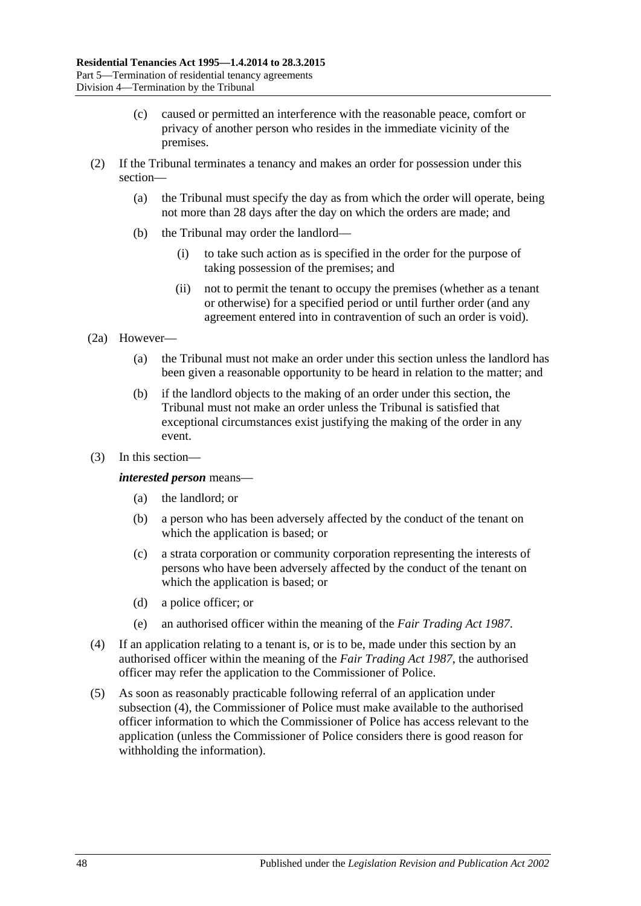- (c) caused or permitted an interference with the reasonable peace, comfort or privacy of another person who resides in the immediate vicinity of the premises.
- (2) If the Tribunal terminates a tenancy and makes an order for possession under this section—
	- (a) the Tribunal must specify the day as from which the order will operate, being not more than 28 days after the day on which the orders are made; and
	- (b) the Tribunal may order the landlord—
		- (i) to take such action as is specified in the order for the purpose of taking possession of the premises; and
		- (ii) not to permit the tenant to occupy the premises (whether as a tenant or otherwise) for a specified period or until further order (and any agreement entered into in contravention of such an order is void).
- (2a) However—
	- (a) the Tribunal must not make an order under this section unless the landlord has been given a reasonable opportunity to be heard in relation to the matter; and
	- (b) if the landlord objects to the making of an order under this section, the Tribunal must not make an order unless the Tribunal is satisfied that exceptional circumstances exist justifying the making of the order in any event.
- (3) In this section—

#### *interested person* means—

- (a) the landlord; or
- (b) a person who has been adversely affected by the conduct of the tenant on which the application is based; or
- (c) a strata corporation or community corporation representing the interests of persons who have been adversely affected by the conduct of the tenant on which the application is based; or
- (d) a police officer; or
- (e) an authorised officer within the meaning of the *[Fair Trading Act](http://www.legislation.sa.gov.au/index.aspx?action=legref&type=act&legtitle=Fair%20Trading%20Act%201987) 1987*.
- <span id="page-47-0"></span>(4) If an application relating to a tenant is, or is to be, made under this section by an authorised officer within the meaning of the *[Fair Trading Act](http://www.legislation.sa.gov.au/index.aspx?action=legref&type=act&legtitle=Fair%20Trading%20Act%201987) 1987*, the authorised officer may refer the application to the Commissioner of Police.
- (5) As soon as reasonably practicable following referral of an application under [subsection](#page-47-0) (4), the Commissioner of Police must make available to the authorised officer information to which the Commissioner of Police has access relevant to the application (unless the Commissioner of Police considers there is good reason for withholding the information).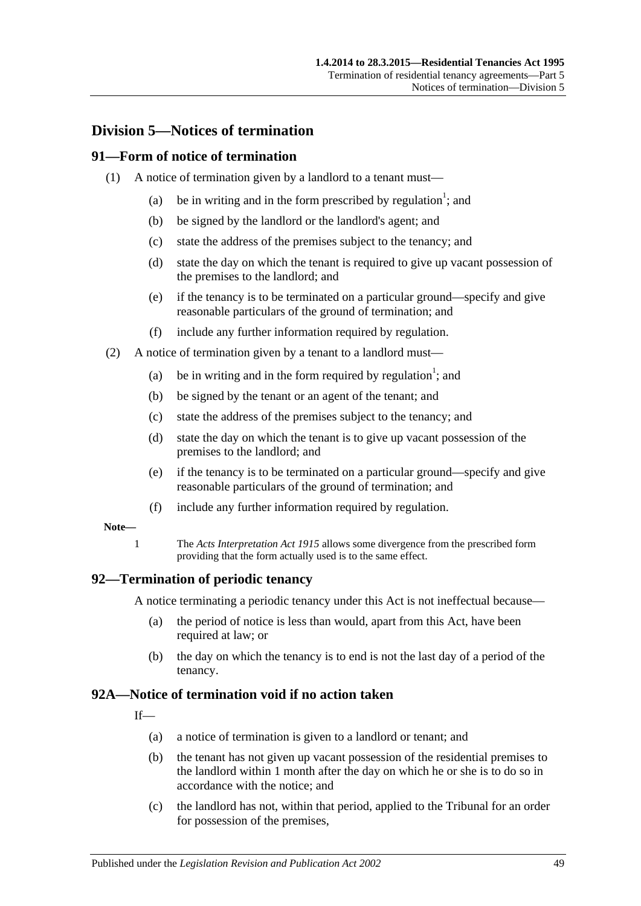# **Division 5—Notices of termination**

## **91—Form of notice of termination**

- (1) A notice of termination given by a landlord to a tenant must—
	- (a) be in writing and in the form prescribed by regulation<sup>1</sup>; and
	- (b) be signed by the landlord or the landlord's agent; and
	- (c) state the address of the premises subject to the tenancy; and
	- (d) state the day on which the tenant is required to give up vacant possession of the premises to the landlord; and
	- (e) if the tenancy is to be terminated on a particular ground—specify and give reasonable particulars of the ground of termination; and
	- (f) include any further information required by regulation.
- (2) A notice of termination given by a tenant to a landlord must—
	- (a) be in writing and in the form required by regulation<sup>1</sup>; and
	- (b) be signed by the tenant or an agent of the tenant; and
	- (c) state the address of the premises subject to the tenancy; and
	- (d) state the day on which the tenant is to give up vacant possession of the premises to the landlord; and
	- (e) if the tenancy is to be terminated on a particular ground—specify and give reasonable particulars of the ground of termination; and
	- (f) include any further information required by regulation.

#### **Note—**

1 The *[Acts Interpretation Act](http://www.legislation.sa.gov.au/index.aspx?action=legref&type=act&legtitle=Acts%20Interpretation%20Act%201915) 1915* allows some divergence from the prescribed form providing that the form actually used is to the same effect.

#### **92—Termination of periodic tenancy**

A notice terminating a periodic tenancy under this Act is not ineffectual because—

- (a) the period of notice is less than would, apart from this Act, have been required at law; or
- (b) the day on which the tenancy is to end is not the last day of a period of the tenancy.

## <span id="page-48-0"></span>**92A—Notice of termination void if no action taken**

 $If$ <sub> $\overline{\phantom{a}}$ </sub>

- (a) a notice of termination is given to a landlord or tenant; and
- (b) the tenant has not given up vacant possession of the residential premises to the landlord within 1 month after the day on which he or she is to do so in accordance with the notice; and
- (c) the landlord has not, within that period, applied to the Tribunal for an order for possession of the premises,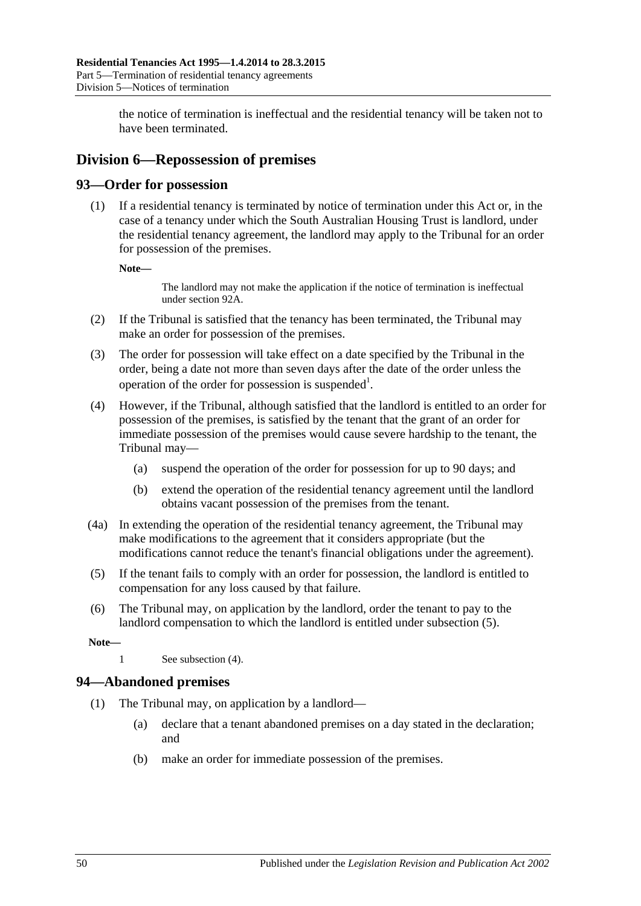the notice of termination is ineffectual and the residential tenancy will be taken not to have been terminated.

# **Division 6—Repossession of premises**

## **93—Order for possession**

(1) If a residential tenancy is terminated by notice of termination under this Act or, in the case of a tenancy under which the South Australian Housing Trust is landlord, under the residential tenancy agreement, the landlord may apply to the Tribunal for an order for possession of the premises.

**Note—**

The landlord may not make the application if the notice of termination is ineffectual unde[r section](#page-48-0) 92A.

- (2) If the Tribunal is satisfied that the tenancy has been terminated, the Tribunal may make an order for possession of the premises.
- (3) The order for possession will take effect on a date specified by the Tribunal in the order, being a date not more than seven days after the date of the order unless the operation of the order for possession is suspended<sup>1</sup>.
- <span id="page-49-1"></span>(4) However, if the Tribunal, although satisfied that the landlord is entitled to an order for possession of the premises, is satisfied by the tenant that the grant of an order for immediate possession of the premises would cause severe hardship to the tenant, the Tribunal may—
	- (a) suspend the operation of the order for possession for up to 90 days; and
	- (b) extend the operation of the residential tenancy agreement until the landlord obtains vacant possession of the premises from the tenant.
- (4a) In extending the operation of the residential tenancy agreement, the Tribunal may make modifications to the agreement that it considers appropriate (but the modifications cannot reduce the tenant's financial obligations under the agreement).
- <span id="page-49-0"></span>(5) If the tenant fails to comply with an order for possession, the landlord is entitled to compensation for any loss caused by that failure.
- (6) The Tribunal may, on application by the landlord, order the tenant to pay to the landlord compensation to which the landlord is entitled under [subsection](#page-49-0) (5).

**Note—**

1 See [subsection](#page-49-1) (4).

## **94—Abandoned premises**

- (1) The Tribunal may, on application by a landlord—
	- (a) declare that a tenant abandoned premises on a day stated in the declaration; and
	- (b) make an order for immediate possession of the premises.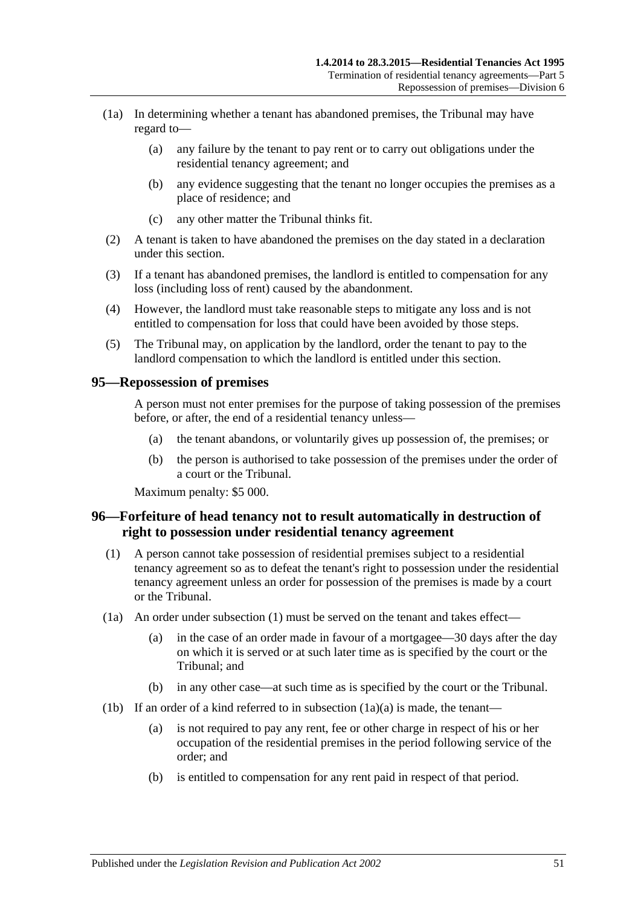- (1a) In determining whether a tenant has abandoned premises, the Tribunal may have regard to—
	- (a) any failure by the tenant to pay rent or to carry out obligations under the residential tenancy agreement; and
	- (b) any evidence suggesting that the tenant no longer occupies the premises as a place of residence; and
	- (c) any other matter the Tribunal thinks fit.
- (2) A tenant is taken to have abandoned the premises on the day stated in a declaration under this section.
- (3) If a tenant has abandoned premises, the landlord is entitled to compensation for any loss (including loss of rent) caused by the abandonment.
- (4) However, the landlord must take reasonable steps to mitigate any loss and is not entitled to compensation for loss that could have been avoided by those steps.
- (5) The Tribunal may, on application by the landlord, order the tenant to pay to the landlord compensation to which the landlord is entitled under this section.

#### **95—Repossession of premises**

A person must not enter premises for the purpose of taking possession of the premises before, or after, the end of a residential tenancy unless—

- (a) the tenant abandons, or voluntarily gives up possession of, the premises; or
- (b) the person is authorised to take possession of the premises under the order of a court or the Tribunal.

Maximum penalty: \$5 000.

## <span id="page-50-0"></span>**96—Forfeiture of head tenancy not to result automatically in destruction of right to possession under residential tenancy agreement**

- <span id="page-50-1"></span>(1) A person cannot take possession of residential premises subject to a residential tenancy agreement so as to defeat the tenant's right to possession under the residential tenancy agreement unless an order for possession of the premises is made by a court or the Tribunal.
- <span id="page-50-2"></span>(1a) An order under [subsection](#page-50-1) (1) must be served on the tenant and takes effect—
	- (a) in the case of an order made in favour of a mortgagee—30 days after the day on which it is served or at such later time as is specified by the court or the Tribunal; and
	- (b) in any other case—at such time as is specified by the court or the Tribunal.
- <span id="page-50-3"></span>(1b) If an order of a kind referred to in [subsection](#page-50-2)  $(1a)(a)$  is made, the tenant—
	- (a) is not required to pay any rent, fee or other charge in respect of his or her occupation of the residential premises in the period following service of the order; and
	- (b) is entitled to compensation for any rent paid in respect of that period.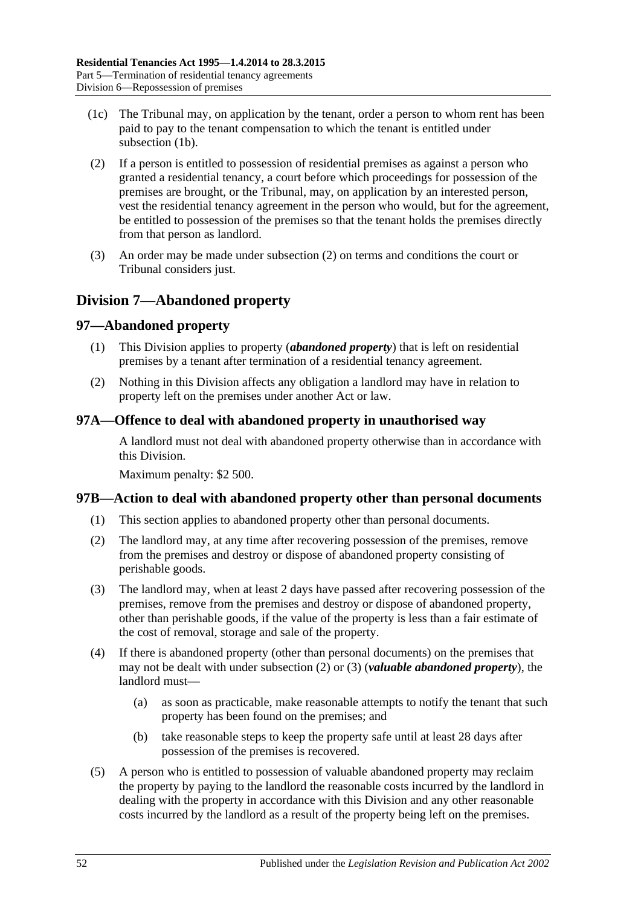- (1c) The Tribunal may, on application by the tenant, order a person to whom rent has been paid to pay to the tenant compensation to which the tenant is entitled under [subsection](#page-50-3) (1b).
- <span id="page-51-0"></span>(2) If a person is entitled to possession of residential premises as against a person who granted a residential tenancy, a court before which proceedings for possession of the premises are brought, or the Tribunal, may, on application by an interested person, vest the residential tenancy agreement in the person who would, but for the agreement, be entitled to possession of the premises so that the tenant holds the premises directly from that person as landlord.
- (3) An order may be made under [subsection](#page-51-0) (2) on terms and conditions the court or Tribunal considers just.

# **Division 7—Abandoned property**

# **97—Abandoned property**

- (1) This Division applies to property (*abandoned property*) that is left on residential premises by a tenant after termination of a residential tenancy agreement.
- (2) Nothing in this Division affects any obligation a landlord may have in relation to property left on the premises under another Act or law.

# **97A—Offence to deal with abandoned property in unauthorised way**

A landlord must not deal with abandoned property otherwise than in accordance with this Division.

Maximum penalty: \$2 500.

## **97B—Action to deal with abandoned property other than personal documents**

- (1) This section applies to abandoned property other than personal documents.
- <span id="page-51-1"></span>(2) The landlord may, at any time after recovering possession of the premises, remove from the premises and destroy or dispose of abandoned property consisting of perishable goods.
- <span id="page-51-2"></span>(3) The landlord may, when at least 2 days have passed after recovering possession of the premises, remove from the premises and destroy or dispose of abandoned property, other than perishable goods, if the value of the property is less than a fair estimate of the cost of removal, storage and sale of the property.
- (4) If there is abandoned property (other than personal documents) on the premises that may not be dealt with under [subsection](#page-51-1) (2) or [\(3\)](#page-51-2) (*valuable abandoned property*), the landlord must—
	- (a) as soon as practicable, make reasonable attempts to notify the tenant that such property has been found on the premises; and
	- (b) take reasonable steps to keep the property safe until at least 28 days after possession of the premises is recovered.
- <span id="page-51-3"></span>(5) A person who is entitled to possession of valuable abandoned property may reclaim the property by paying to the landlord the reasonable costs incurred by the landlord in dealing with the property in accordance with this Division and any other reasonable costs incurred by the landlord as a result of the property being left on the premises.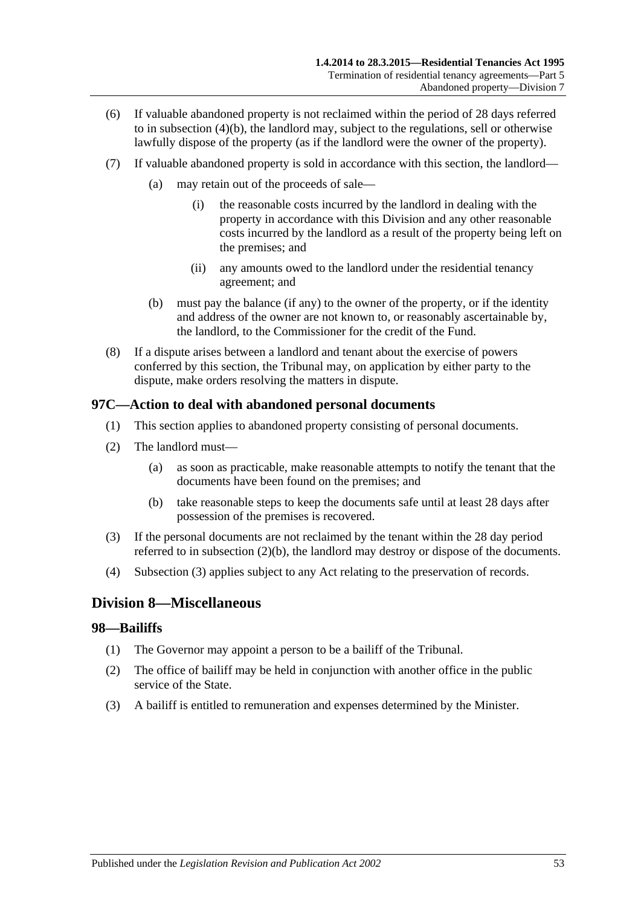- (6) If valuable abandoned property is not reclaimed within the period of 28 days referred to in [subsection](#page-51-3) (4)(b), the landlord may, subject to the regulations, sell or otherwise lawfully dispose of the property (as if the landlord were the owner of the property).
- (7) If valuable abandoned property is sold in accordance with this section, the landlord—
	- (a) may retain out of the proceeds of sale—
		- (i) the reasonable costs incurred by the landlord in dealing with the property in accordance with this Division and any other reasonable costs incurred by the landlord as a result of the property being left on the premises; and
		- (ii) any amounts owed to the landlord under the residential tenancy agreement; and
	- (b) must pay the balance (if any) to the owner of the property, or if the identity and address of the owner are not known to, or reasonably ascertainable by, the landlord, to the Commissioner for the credit of the Fund.
- (8) If a dispute arises between a landlord and tenant about the exercise of powers conferred by this section, the Tribunal may, on application by either party to the dispute, make orders resolving the matters in dispute.

## **97C—Action to deal with abandoned personal documents**

- (1) This section applies to abandoned property consisting of personal documents.
- (2) The landlord must—
	- (a) as soon as practicable, make reasonable attempts to notify the tenant that the documents have been found on the premises; and
	- (b) take reasonable steps to keep the documents safe until at least 28 days after possession of the premises is recovered.
- <span id="page-52-1"></span><span id="page-52-0"></span>(3) If the personal documents are not reclaimed by the tenant within the 28 day period referred to in [subsection](#page-52-0) (2)(b), the landlord may destroy or dispose of the documents.
- (4) [Subsection](#page-52-1) (3) applies subject to any Act relating to the preservation of records.

# **Division 8—Miscellaneous**

#### **98—Bailiffs**

- (1) The Governor may appoint a person to be a bailiff of the Tribunal.
- (2) The office of bailiff may be held in conjunction with another office in the public service of the State.
- (3) A bailiff is entitled to remuneration and expenses determined by the Minister.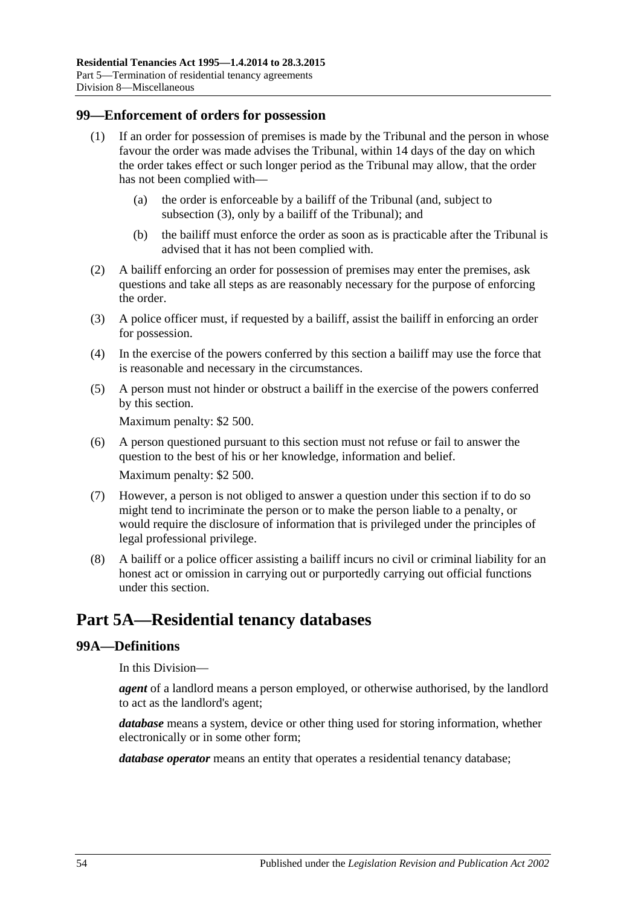#### **99—Enforcement of orders for possession**

- (1) If an order for possession of premises is made by the Tribunal and the person in whose favour the order was made advises the Tribunal, within 14 days of the day on which the order takes effect or such longer period as the Tribunal may allow, that the order has not been complied with—
	- (a) the order is enforceable by a bailiff of the Tribunal (and, subject to [subsection](#page-53-0) (3), only by a bailiff of the Tribunal); and
	- (b) the bailiff must enforce the order as soon as is practicable after the Tribunal is advised that it has not been complied with.
- (2) A bailiff enforcing an order for possession of premises may enter the premises, ask questions and take all steps as are reasonably necessary for the purpose of enforcing the order.
- <span id="page-53-0"></span>(3) A police officer must, if requested by a bailiff, assist the bailiff in enforcing an order for possession.
- (4) In the exercise of the powers conferred by this section a bailiff may use the force that is reasonable and necessary in the circumstances.
- (5) A person must not hinder or obstruct a bailiff in the exercise of the powers conferred by this section.

Maximum penalty: \$2 500.

- (6) A person questioned pursuant to this section must not refuse or fail to answer the question to the best of his or her knowledge, information and belief. Maximum penalty: \$2 500.
- (7) However, a person is not obliged to answer a question under this section if to do so might tend to incriminate the person or to make the person liable to a penalty, or would require the disclosure of information that is privileged under the principles of legal professional privilege.
- (8) A bailiff or a police officer assisting a bailiff incurs no civil or criminal liability for an honest act or omission in carrying out or purportedly carrying out official functions under this section.

# **Part 5A—Residential tenancy databases**

## **99A—Definitions**

In this Division—

*agent* of a landlord means a person employed, or otherwise authorised, by the landlord to act as the landlord's agent;

*database* means a system, device or other thing used for storing information, whether electronically or in some other form;

*database operator* means an entity that operates a residential tenancy database;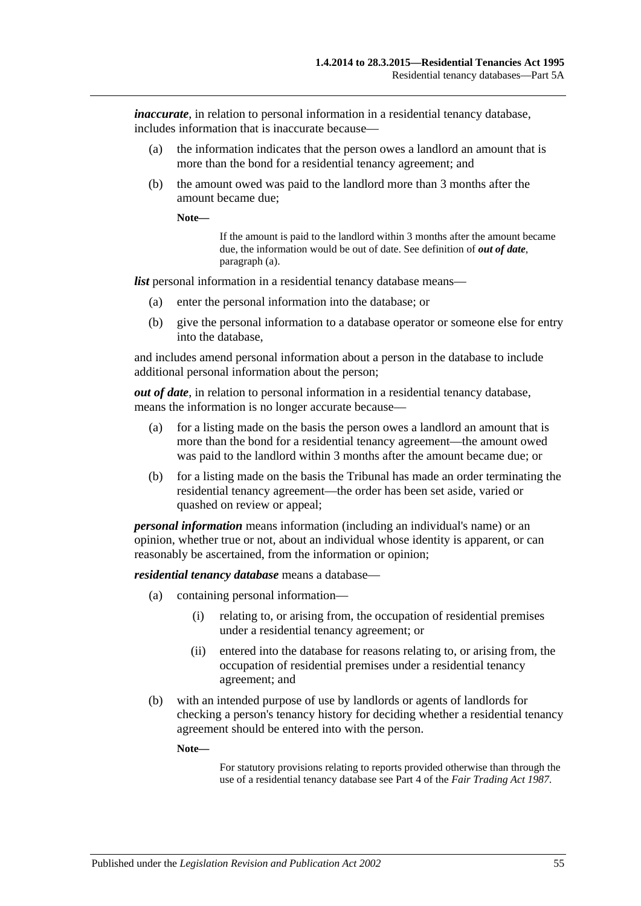*inaccurate*, in relation to personal information in a residential tenancy database, includes information that is inaccurate because—

- (a) the information indicates that the person owes a landlord an amount that is more than the bond for a residential tenancy agreement; and
- (b) the amount owed was paid to the landlord more than 3 months after the amount became due;

**Note—**

If the amount is paid to the landlord within 3 months after the amount became due, the information would be out of date. See definition of *out of date*, [paragraph](#page-54-0) (a).

*list* personal information in a residential tenancy database means—

- (a) enter the personal information into the database; or
- (b) give the personal information to a database operator or someone else for entry into the database,

and includes amend personal information about a person in the database to include additional personal information about the person;

<span id="page-54-0"></span>*out of date*, in relation to personal information in a residential tenancy database, means the information is no longer accurate because—

- (a) for a listing made on the basis the person owes a landlord an amount that is more than the bond for a residential tenancy agreement—the amount owed was paid to the landlord within 3 months after the amount became due; or
- (b) for a listing made on the basis the Tribunal has made an order terminating the residential tenancy agreement—the order has been set aside, varied or quashed on review or appeal;

*personal information* means information (including an individual's name) or an opinion, whether true or not, about an individual whose identity is apparent, or can reasonably be ascertained, from the information or opinion;

*residential tenancy database* means a database—

- (a) containing personal information—
	- (i) relating to, or arising from, the occupation of residential premises under a residential tenancy agreement; or
	- (ii) entered into the database for reasons relating to, or arising from, the occupation of residential premises under a residential tenancy agreement; and
- (b) with an intended purpose of use by landlords or agents of landlords for checking a person's tenancy history for deciding whether a residential tenancy agreement should be entered into with the person.

**Note—**

For statutory provisions relating to reports provided otherwise than through the use of a residential tenancy database see Part 4 of the *[Fair Trading Act](http://www.legislation.sa.gov.au/index.aspx?action=legref&type=act&legtitle=Fair%20Trading%20Act%201987) 1987*.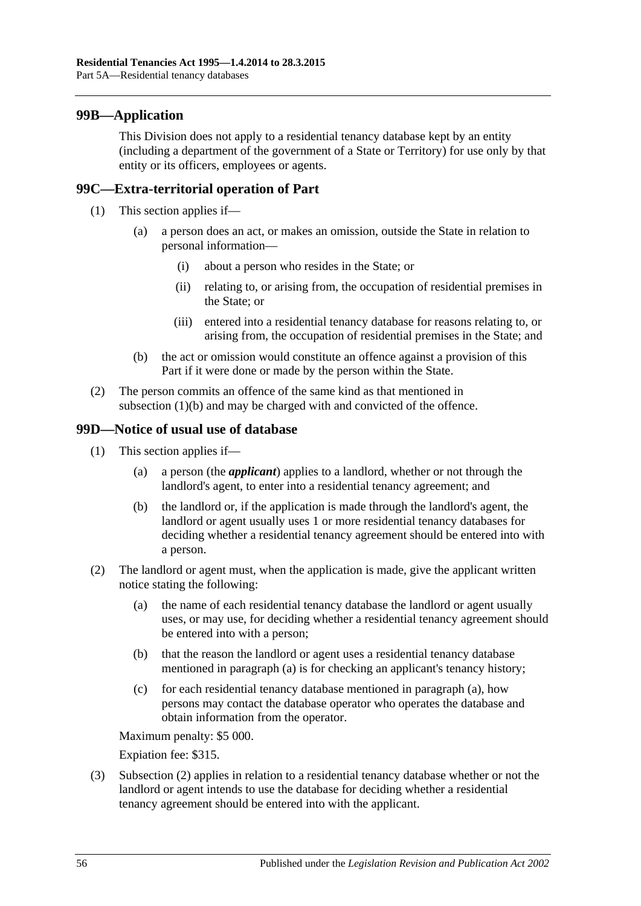## **99B—Application**

This Division does not apply to a residential tenancy database kept by an entity (including a department of the government of a State or Territory) for use only by that entity or its officers, employees or agents.

## **99C—Extra-territorial operation of Part**

- (1) This section applies if—
	- (a) a person does an act, or makes an omission, outside the State in relation to personal information—
		- (i) about a person who resides in the State; or
		- (ii) relating to, or arising from, the occupation of residential premises in the State; or
		- (iii) entered into a residential tenancy database for reasons relating to, or arising from, the occupation of residential premises in the State; and
	- (b) the act or omission would constitute an offence against a provision of this Part if it were done or made by the person within the State.
- <span id="page-55-0"></span>(2) The person commits an offence of the same kind as that mentioned in [subsection](#page-55-0) (1)(b) and may be charged with and convicted of the offence.

#### **99D—Notice of usual use of database**

- (1) This section applies if—
	- (a) a person (the *applicant*) applies to a landlord, whether or not through the landlord's agent, to enter into a residential tenancy agreement; and
	- (b) the landlord or, if the application is made through the landlord's agent, the landlord or agent usually uses 1 or more residential tenancy databases for deciding whether a residential tenancy agreement should be entered into with a person.
- <span id="page-55-2"></span><span id="page-55-1"></span>(2) The landlord or agent must, when the application is made, give the applicant written notice stating the following:
	- (a) the name of each residential tenancy database the landlord or agent usually uses, or may use, for deciding whether a residential tenancy agreement should be entered into with a person;
	- (b) that the reason the landlord or agent uses a residential tenancy database mentioned in [paragraph](#page-55-1) (a) is for checking an applicant's tenancy history;
	- (c) for each residential tenancy database mentioned in [paragraph](#page-55-1) (a), how persons may contact the database operator who operates the database and obtain information from the operator.

Maximum penalty: \$5 000.

Expiation fee: \$315.

(3) [Subsection](#page-55-2) (2) applies in relation to a residential tenancy database whether or not the landlord or agent intends to use the database for deciding whether a residential tenancy agreement should be entered into with the applicant.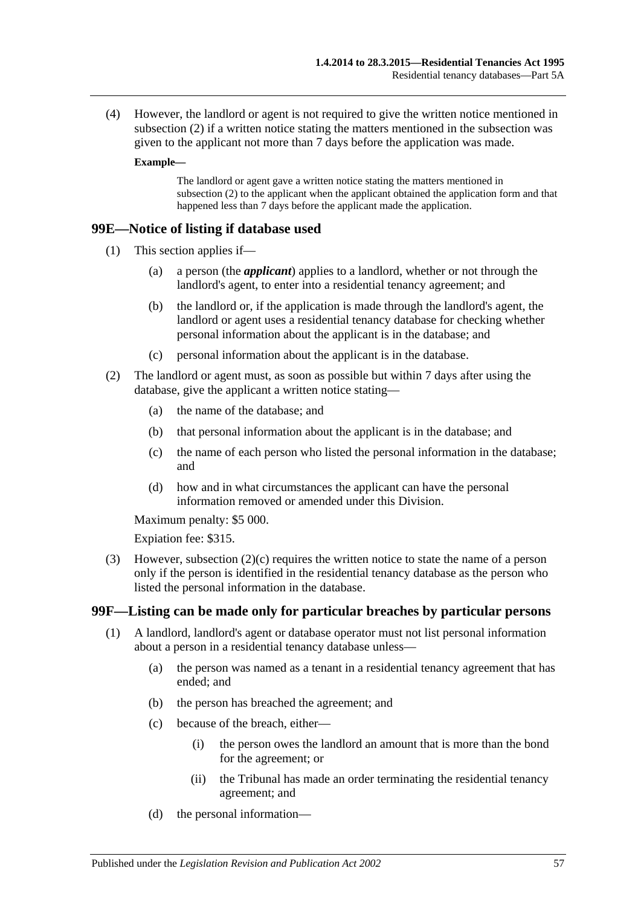(4) However, the landlord or agent is not required to give the written notice mentioned in [subsection](#page-55-2) (2) if a written notice stating the matters mentioned in the subsection was given to the applicant not more than 7 days before the application was made.

#### **Example—**

The landlord or agent gave a written notice stating the matters mentioned in [subsection](#page-55-2) (2) to the applicant when the applicant obtained the application form and that happened less than 7 days before the applicant made the application.

#### **99E—Notice of listing if database used**

- (1) This section applies if—
	- (a) a person (the *applicant*) applies to a landlord, whether or not through the landlord's agent, to enter into a residential tenancy agreement; and
	- (b) the landlord or, if the application is made through the landlord's agent, the landlord or agent uses a residential tenancy database for checking whether personal information about the applicant is in the database; and
	- (c) personal information about the applicant is in the database.
- <span id="page-56-0"></span>(2) The landlord or agent must, as soon as possible but within 7 days after using the database, give the applicant a written notice stating—
	- (a) the name of the database; and
	- (b) that personal information about the applicant is in the database; and
	- (c) the name of each person who listed the personal information in the database; and
	- (d) how and in what circumstances the applicant can have the personal information removed or amended under this Division.

Maximum penalty: \$5 000.

Expiation fee: \$315.

(3) However, [subsection](#page-56-0) (2)(c) requires the written notice to state the name of a person only if the person is identified in the residential tenancy database as the person who listed the personal information in the database.

#### **99F—Listing can be made only for particular breaches by particular persons**

- (1) A landlord, landlord's agent or database operator must not list personal information about a person in a residential tenancy database unless—
	- (a) the person was named as a tenant in a residential tenancy agreement that has ended; and
	- (b) the person has breached the agreement; and
	- (c) because of the breach, either—
		- (i) the person owes the landlord an amount that is more than the bond for the agreement; or
		- (ii) the Tribunal has made an order terminating the residential tenancy agreement; and
	- (d) the personal information—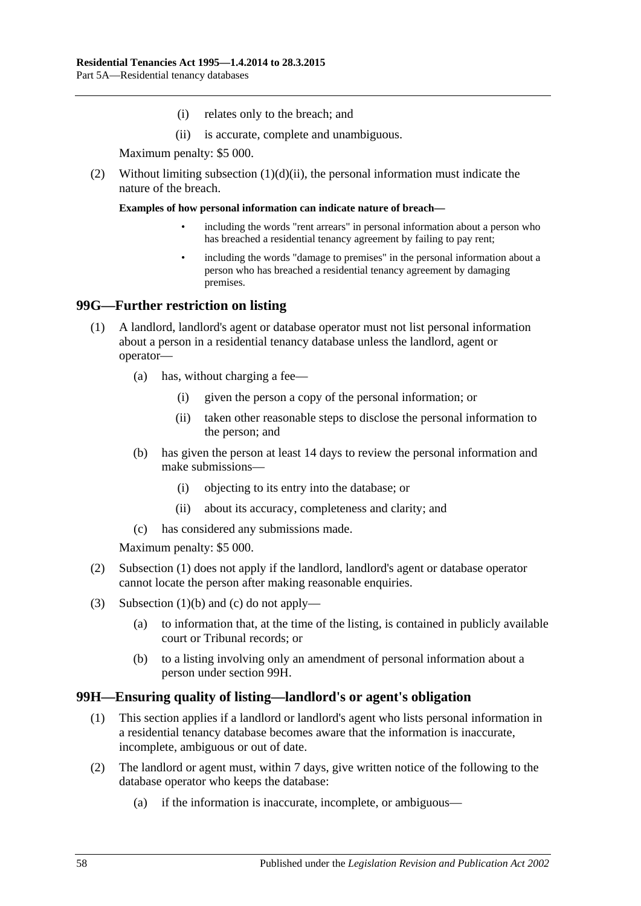- (i) relates only to the breach; and
- (ii) is accurate, complete and unambiguous.

Maximum penalty: \$5 000.

<span id="page-57-0"></span>(2) Without limiting [subsection](#page-57-0)  $(1)(d)(ii)$ , the personal information must indicate the nature of the breach.

**Examples of how personal information can indicate nature of breach—**

- including the words "rent arrears" in personal information about a person who has breached a residential tenancy agreement by failing to pay rent;
- including the words "damage to premises" in the personal information about a person who has breached a residential tenancy agreement by damaging premises.

## <span id="page-57-1"></span>**99G—Further restriction on listing**

- (1) A landlord, landlord's agent or database operator must not list personal information about a person in a residential tenancy database unless the landlord, agent or operator—
	- (a) has, without charging a fee—
		- (i) given the person a copy of the personal information; or
		- (ii) taken other reasonable steps to disclose the personal information to the person; and
	- (b) has given the person at least 14 days to review the personal information and make submissions—
		- (i) objecting to its entry into the database; or
		- (ii) about its accuracy, completeness and clarity; and
	- (c) has considered any submissions made.

<span id="page-57-2"></span>Maximum penalty: \$5 000.

- <span id="page-57-3"></span>(2) [Subsection](#page-57-1) (1) does not apply if the landlord, landlord's agent or database operator cannot locate the person after making reasonable enquiries.
- (3) [Subsection](#page-57-2) (1)(b) and [\(c\)](#page-57-3) do not apply—
	- (a) to information that, at the time of the listing, is contained in publicly available court or Tribunal records; or
	- (b) to a listing involving only an amendment of personal information about a person under [section](#page-57-4) 99H.

## <span id="page-57-4"></span>**99H—Ensuring quality of listing—landlord's or agent's obligation**

- (1) This section applies if a landlord or landlord's agent who lists personal information in a residential tenancy database becomes aware that the information is inaccurate, incomplete, ambiguous or out of date.
- <span id="page-57-5"></span>(2) The landlord or agent must, within 7 days, give written notice of the following to the database operator who keeps the database:
	- (a) if the information is inaccurate, incomplete, or ambiguous—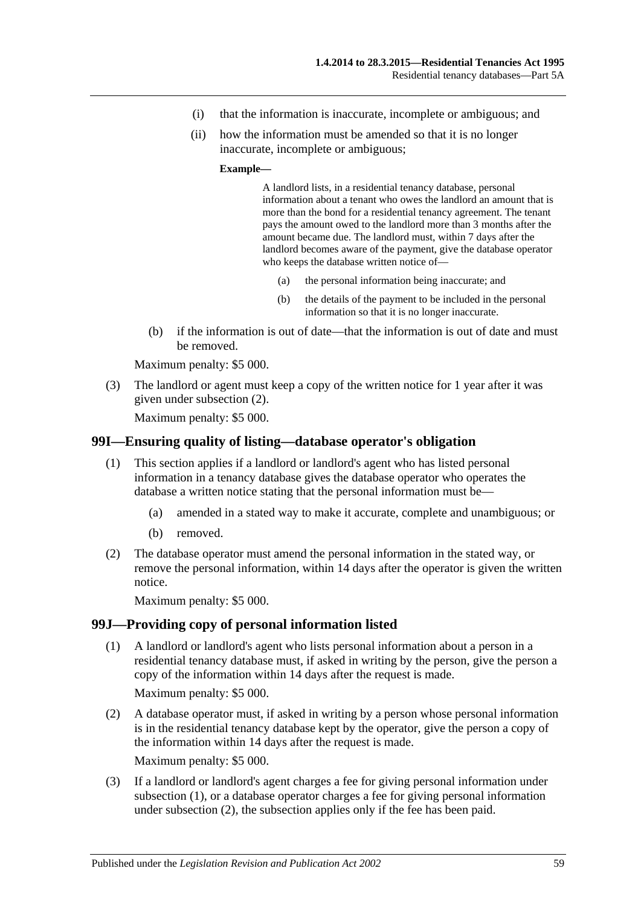- (i) that the information is inaccurate, incomplete or ambiguous; and
- (ii) how the information must be amended so that it is no longer inaccurate, incomplete or ambiguous;

#### **Example—**

A landlord lists, in a residential tenancy database, personal information about a tenant who owes the landlord an amount that is more than the bond for a residential tenancy agreement. The tenant pays the amount owed to the landlord more than 3 months after the amount became due. The landlord must, within 7 days after the landlord becomes aware of the payment, give the database operator who keeps the database written notice of—

- (a) the personal information being inaccurate; and
- (b) the details of the payment to be included in the personal information so that it is no longer inaccurate.
- (b) if the information is out of date—that the information is out of date and must be removed.

Maximum penalty: \$5 000.

(3) The landlord or agent must keep a copy of the written notice for 1 year after it was given under [subsection](#page-57-5) (2).

Maximum penalty: \$5 000.

#### **99I—Ensuring quality of listing—database operator's obligation**

- (1) This section applies if a landlord or landlord's agent who has listed personal information in a tenancy database gives the database operator who operates the database a written notice stating that the personal information must be—
	- (a) amended in a stated way to make it accurate, complete and unambiguous; or
	- (b) removed.
- (2) The database operator must amend the personal information in the stated way, or remove the personal information, within 14 days after the operator is given the written notice.

Maximum penalty: \$5 000.

## <span id="page-58-0"></span>**99J—Providing copy of personal information listed**

(1) A landlord or landlord's agent who lists personal information about a person in a residential tenancy database must, if asked in writing by the person, give the person a copy of the information within 14 days after the request is made.

Maximum penalty: \$5 000.

<span id="page-58-1"></span>(2) A database operator must, if asked in writing by a person whose personal information is in the residential tenancy database kept by the operator, give the person a copy of the information within 14 days after the request is made.

Maximum penalty: \$5 000.

(3) If a landlord or landlord's agent charges a fee for giving personal information under [subsection](#page-58-0) (1), or a database operator charges a fee for giving personal information under [subsection](#page-58-1) (2), the subsection applies only if the fee has been paid.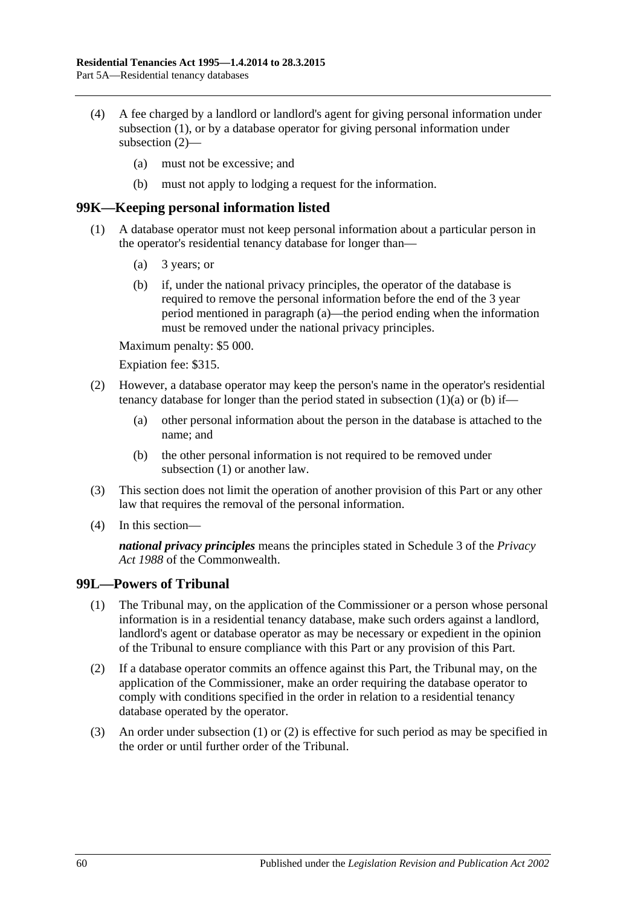- (4) A fee charged by a landlord or landlord's agent for giving personal information under [subsection](#page-58-0) (1), or by a database operator for giving personal information under [subsection](#page-58-1) (2)—
	- (a) must not be excessive; and
	- (b) must not apply to lodging a request for the information.

#### <span id="page-59-2"></span>**99K—Keeping personal information listed**

- <span id="page-59-1"></span><span id="page-59-0"></span>(1) A database operator must not keep personal information about a particular person in the operator's residential tenancy database for longer than—
	- (a) 3 years; or
	- (b) if, under the national privacy principles, the operator of the database is required to remove the personal information before the end of the 3 year period mentioned in [paragraph](#page-59-0) (a)—the period ending when the information must be removed under the national privacy principles.

Maximum penalty: \$5 000.

Expiation fee: \$315.

- (2) However, a database operator may keep the person's name in the operator's residential tenancy database for longer than the period stated in [subsection](#page-59-0)  $(1)(a)$  or  $(b)$  if—
	- (a) other personal information about the person in the database is attached to the name; and
	- (b) the other personal information is not required to be removed under [subsection](#page-59-2) (1) or another law.
- (3) This section does not limit the operation of another provision of this Part or any other law that requires the removal of the personal information.
- (4) In this section—

*national privacy principles* means the principles stated in Schedule 3 of the *Privacy Act 1988* of the Commonwealth.

#### <span id="page-59-3"></span>**99L—Powers of Tribunal**

- (1) The Tribunal may, on the application of the Commissioner or a person whose personal information is in a residential tenancy database, make such orders against a landlord, landlord's agent or database operator as may be necessary or expedient in the opinion of the Tribunal to ensure compliance with this Part or any provision of this Part.
- <span id="page-59-4"></span>(2) If a database operator commits an offence against this Part, the Tribunal may, on the application of the Commissioner, make an order requiring the database operator to comply with conditions specified in the order in relation to a residential tenancy database operated by the operator.
- (3) An order under [subsection](#page-59-3) (1) or [\(2\)](#page-59-4) is effective for such period as may be specified in the order or until further order of the Tribunal.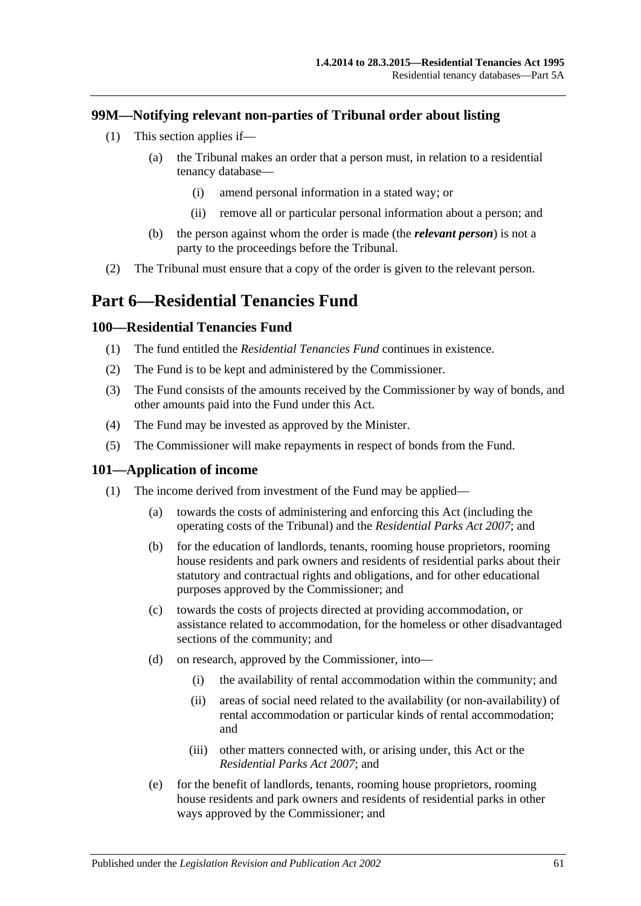## **99M—Notifying relevant non-parties of Tribunal order about listing**

- (1) This section applies if—
	- (a) the Tribunal makes an order that a person must, in relation to a residential tenancy database—
		- (i) amend personal information in a stated way; or
		- (ii) remove all or particular personal information about a person; and
	- (b) the person against whom the order is made (the *relevant person*) is not a party to the proceedings before the Tribunal.
- (2) The Tribunal must ensure that a copy of the order is given to the relevant person.

# **Part 6—Residential Tenancies Fund**

#### **100—Residential Tenancies Fund**

- (1) The fund entitled the *Residential Tenancies Fund* continues in existence.
- (2) The Fund is to be kept and administered by the Commissioner.
- (3) The Fund consists of the amounts received by the Commissioner by way of bonds, and other amounts paid into the Fund under this Act.
- (4) The Fund may be invested as approved by the Minister.
- (5) The Commissioner will make repayments in respect of bonds from the Fund.

#### **101—Application of income**

- (1) The income derived from investment of the Fund may be applied—
	- (a) towards the costs of administering and enforcing this Act (including the operating costs of the Tribunal) and the *[Residential Parks Act](http://www.legislation.sa.gov.au/index.aspx?action=legref&type=act&legtitle=Residential%20Parks%20Act%202007) 2007*; and
	- (b) for the education of landlords, tenants, rooming house proprietors, rooming house residents and park owners and residents of residential parks about their statutory and contractual rights and obligations, and for other educational purposes approved by the Commissioner; and
	- (c) towards the costs of projects directed at providing accommodation, or assistance related to accommodation, for the homeless or other disadvantaged sections of the community; and
	- (d) on research, approved by the Commissioner, into—
		- (i) the availability of rental accommodation within the community; and
		- (ii) areas of social need related to the availability (or non-availability) of rental accommodation or particular kinds of rental accommodation; and
		- (iii) other matters connected with, or arising under, this Act or the *[Residential Parks Act](http://www.legislation.sa.gov.au/index.aspx?action=legref&type=act&legtitle=Residential%20Parks%20Act%202007) 2007*; and
	- (e) for the benefit of landlords, tenants, rooming house proprietors, rooming house residents and park owners and residents of residential parks in other ways approved by the Commissioner; and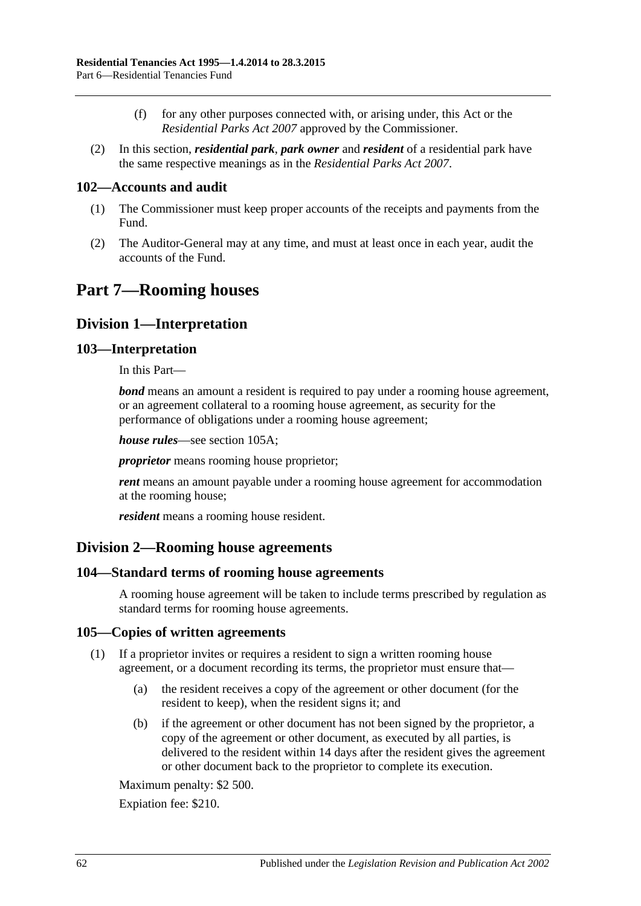- (f) for any other purposes connected with, or arising under, this Act or the *[Residential Parks Act](http://www.legislation.sa.gov.au/index.aspx?action=legref&type=act&legtitle=Residential%20Parks%20Act%202007) 2007* approved by the Commissioner.
- (2) In this section, *residential park*, *park owner* and *resident* of a residential park have the same respective meanings as in the *[Residential Parks Act](http://www.legislation.sa.gov.au/index.aspx?action=legref&type=act&legtitle=Residential%20Parks%20Act%202007) 2007*.

## **102—Accounts and audit**

- (1) The Commissioner must keep proper accounts of the receipts and payments from the Fund.
- (2) The Auditor-General may at any time, and must at least once in each year, audit the accounts of the Fund.

# **Part 7—Rooming houses**

## **Division 1—Interpretation**

#### **103—Interpretation**

In this Part—

*bond* means an amount a resident is required to pay under a rooming house agreement, or an agreement collateral to a rooming house agreement, as security for the performance of obligations under a rooming house agreement;

*house rules*—see [section](#page-62-0) 105A;

*proprietor* means rooming house proprietor;

*rent* means an amount payable under a rooming house agreement for accommodation at the rooming house;

*resident* means a rooming house resident.

## **Division 2—Rooming house agreements**

#### **104—Standard terms of rooming house agreements**

A rooming house agreement will be taken to include terms prescribed by regulation as standard terms for rooming house agreements.

#### **105—Copies of written agreements**

- (1) If a proprietor invites or requires a resident to sign a written rooming house agreement, or a document recording its terms, the proprietor must ensure that—
	- (a) the resident receives a copy of the agreement or other document (for the resident to keep), when the resident signs it; and
	- (b) if the agreement or other document has not been signed by the proprietor, a copy of the agreement or other document, as executed by all parties, is delivered to the resident within 14 days after the resident gives the agreement or other document back to the proprietor to complete its execution.

Maximum penalty: \$2 500.

Expiation fee: \$210.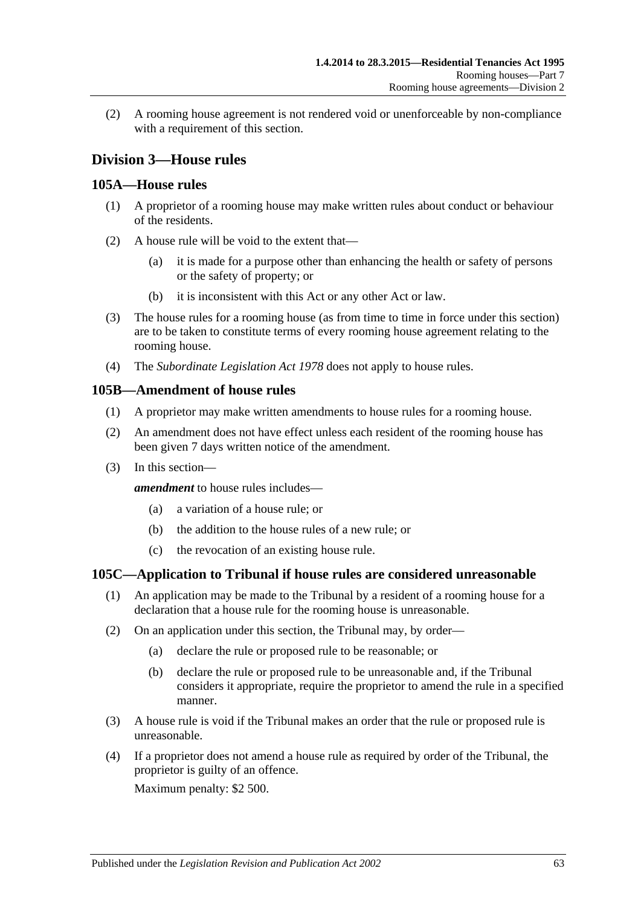(2) A rooming house agreement is not rendered void or unenforceable by non-compliance with a requirement of this section.

# **Division 3—House rules**

#### <span id="page-62-0"></span>**105A—House rules**

- (1) A proprietor of a rooming house may make written rules about conduct or behaviour of the residents.
- (2) A house rule will be void to the extent that—
	- (a) it is made for a purpose other than enhancing the health or safety of persons or the safety of property; or
	- (b) it is inconsistent with this Act or any other Act or law.
- (3) The house rules for a rooming house (as from time to time in force under this section) are to be taken to constitute terms of every rooming house agreement relating to the rooming house.
- (4) The *[Subordinate Legislation Act](http://www.legislation.sa.gov.au/index.aspx?action=legref&type=act&legtitle=Subordinate%20Legislation%20Act%201978) 1978* does not apply to house rules.

#### **105B—Amendment of house rules**

- (1) A proprietor may make written amendments to house rules for a rooming house.
- (2) An amendment does not have effect unless each resident of the rooming house has been given 7 days written notice of the amendment.
- (3) In this section—

*amendment* to house rules includes—

- (a) a variation of a house rule; or
- (b) the addition to the house rules of a new rule; or
- (c) the revocation of an existing house rule.

## **105C—Application to Tribunal if house rules are considered unreasonable**

- (1) An application may be made to the Tribunal by a resident of a rooming house for a declaration that a house rule for the rooming house is unreasonable.
- (2) On an application under this section, the Tribunal may, by order—
	- (a) declare the rule or proposed rule to be reasonable; or
	- (b) declare the rule or proposed rule to be unreasonable and, if the Tribunal considers it appropriate, require the proprietor to amend the rule in a specified manner.
- (3) A house rule is void if the Tribunal makes an order that the rule or proposed rule is unreasonable.
- (4) If a proprietor does not amend a house rule as required by order of the Tribunal, the proprietor is guilty of an offence.

Maximum penalty: \$2 500.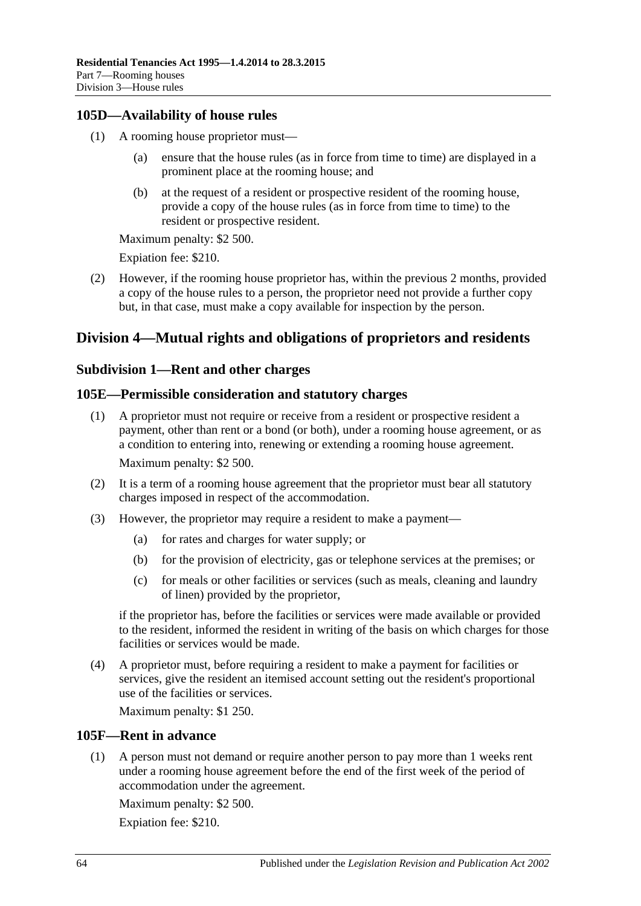## **105D—Availability of house rules**

- (1) A rooming house proprietor must
	- ensure that the house rules (as in force from time to time) are displayed in a prominent place at the rooming house; and
	- (b) at the request of a resident or prospective resident of the rooming house, provide a copy of the house rules (as in force from time to time) to the resident or prospective resident.

Maximum penalty: \$2 500.

Expiation fee: \$210.

(2) However, if the rooming house proprietor has, within the previous 2 months, provided a copy of the house rules to a person, the proprietor need not provide a further copy but, in that case, must make a copy available for inspection by the person.

# **Division 4—Mutual rights and obligations of proprietors and residents**

## **Subdivision 1—Rent and other charges**

## **105E—Permissible consideration and statutory charges**

- (1) A proprietor must not require or receive from a resident or prospective resident a payment, other than rent or a bond (or both), under a rooming house agreement, or as a condition to entering into, renewing or extending a rooming house agreement. Maximum penalty: \$2 500.
- (2) It is a term of a rooming house agreement that the proprietor must bear all statutory charges imposed in respect of the accommodation.
- (3) However, the proprietor may require a resident to make a payment—
	- (a) for rates and charges for water supply; or
	- (b) for the provision of electricity, gas or telephone services at the premises; or
	- (c) for meals or other facilities or services (such as meals, cleaning and laundry of linen) provided by the proprietor,

if the proprietor has, before the facilities or services were made available or provided to the resident, informed the resident in writing of the basis on which charges for those facilities or services would be made.

(4) A proprietor must, before requiring a resident to make a payment for facilities or services, give the resident an itemised account setting out the resident's proportional use of the facilities or services.

Maximum penalty: \$1 250.

## **105F—Rent in advance**

(1) A person must not demand or require another person to pay more than 1 weeks rent under a rooming house agreement before the end of the first week of the period of accommodation under the agreement.

Maximum penalty: \$2 500.

Expiation fee: \$210.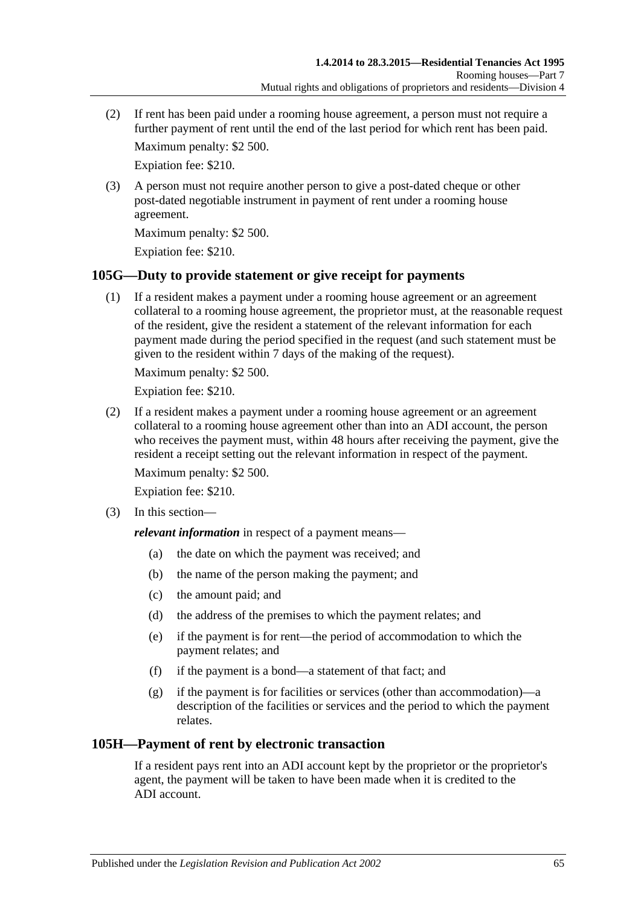(2) If rent has been paid under a rooming house agreement, a person must not require a further payment of rent until the end of the last period for which rent has been paid.

Maximum penalty: \$2 500.

Expiation fee: \$210.

(3) A person must not require another person to give a post-dated cheque or other post-dated negotiable instrument in payment of rent under a rooming house agreement.

Maximum penalty: \$2 500.

Expiation fee: \$210.

## **105G—Duty to provide statement or give receipt for payments**

(1) If a resident makes a payment under a rooming house agreement or an agreement collateral to a rooming house agreement, the proprietor must, at the reasonable request of the resident, give the resident a statement of the relevant information for each payment made during the period specified in the request (and such statement must be given to the resident within 7 days of the making of the request).

Maximum penalty: \$2 500.

Expiation fee: \$210.

(2) If a resident makes a payment under a rooming house agreement or an agreement collateral to a rooming house agreement other than into an ADI account, the person who receives the payment must, within 48 hours after receiving the payment, give the resident a receipt setting out the relevant information in respect of the payment.

Maximum penalty: \$2 500.

Expiation fee: \$210.

(3) In this section—

*relevant information* in respect of a payment means—

- (a) the date on which the payment was received; and
- (b) the name of the person making the payment; and
- (c) the amount paid; and
- (d) the address of the premises to which the payment relates; and
- (e) if the payment is for rent—the period of accommodation to which the payment relates; and
- (f) if the payment is a bond—a statement of that fact; and
- (g) if the payment is for facilities or services (other than accommodation)—a description of the facilities or services and the period to which the payment relates.

## **105H—Payment of rent by electronic transaction**

If a resident pays rent into an ADI account kept by the proprietor or the proprietor's agent, the payment will be taken to have been made when it is credited to the ADI account.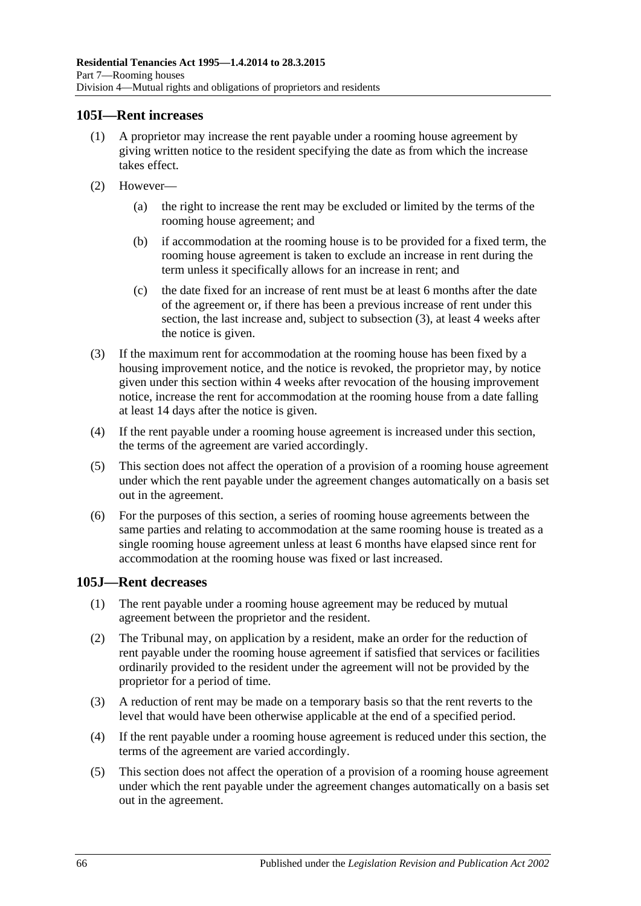#### **105I—Rent increases**

- (1) A proprietor may increase the rent payable under a rooming house agreement by giving written notice to the resident specifying the date as from which the increase takes effect.
- (2) However—
	- (a) the right to increase the rent may be excluded or limited by the terms of the rooming house agreement; and
	- (b) if accommodation at the rooming house is to be provided for a fixed term, the rooming house agreement is taken to exclude an increase in rent during the term unless it specifically allows for an increase in rent; and
	- (c) the date fixed for an increase of rent must be at least 6 months after the date of the agreement or, if there has been a previous increase of rent under this section, the last increase and, subject to [subsection](#page-65-0) (3), at least 4 weeks after the notice is given.
- <span id="page-65-0"></span>(3) If the maximum rent for accommodation at the rooming house has been fixed by a housing improvement notice, and the notice is revoked, the proprietor may, by notice given under this section within 4 weeks after revocation of the housing improvement notice, increase the rent for accommodation at the rooming house from a date falling at least 14 days after the notice is given.
- (4) If the rent payable under a rooming house agreement is increased under this section, the terms of the agreement are varied accordingly.
- (5) This section does not affect the operation of a provision of a rooming house agreement under which the rent payable under the agreement changes automatically on a basis set out in the agreement.
- (6) For the purposes of this section, a series of rooming house agreements between the same parties and relating to accommodation at the same rooming house is treated as a single rooming house agreement unless at least 6 months have elapsed since rent for accommodation at the rooming house was fixed or last increased.

#### **105J—Rent decreases**

- (1) The rent payable under a rooming house agreement may be reduced by mutual agreement between the proprietor and the resident.
- (2) The Tribunal may, on application by a resident, make an order for the reduction of rent payable under the rooming house agreement if satisfied that services or facilities ordinarily provided to the resident under the agreement will not be provided by the proprietor for a period of time.
- (3) A reduction of rent may be made on a temporary basis so that the rent reverts to the level that would have been otherwise applicable at the end of a specified period.
- (4) If the rent payable under a rooming house agreement is reduced under this section, the terms of the agreement are varied accordingly.
- (5) This section does not affect the operation of a provision of a rooming house agreement under which the rent payable under the agreement changes automatically on a basis set out in the agreement.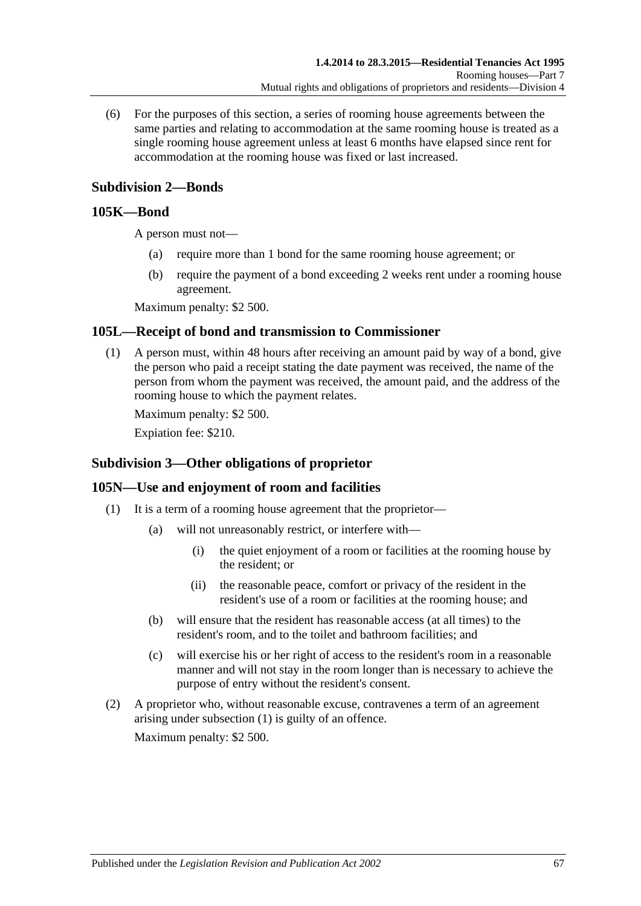(6) For the purposes of this section, a series of rooming house agreements between the same parties and relating to accommodation at the same rooming house is treated as a single rooming house agreement unless at least 6 months have elapsed since rent for accommodation at the rooming house was fixed or last increased.

# **Subdivision 2—Bonds**

## **105K—Bond**

A person must not—

- (a) require more than 1 bond for the same rooming house agreement; or
- (b) require the payment of a bond exceeding 2 weeks rent under a rooming house agreement.

Maximum penalty: \$2 500.

# **105L—Receipt of bond and transmission to Commissioner**

(1) A person must, within 48 hours after receiving an amount paid by way of a bond, give the person who paid a receipt stating the date payment was received, the name of the person from whom the payment was received, the amount paid, and the address of the rooming house to which the payment relates.

Maximum penalty: \$2 500.

Expiation fee: \$210.

# **Subdivision 3—Other obligations of proprietor**

## <span id="page-66-0"></span>**105N—Use and enjoyment of room and facilities**

- (1) It is a term of a rooming house agreement that the proprietor—
	- (a) will not unreasonably restrict, or interfere with—
		- (i) the quiet enjoyment of a room or facilities at the rooming house by the resident; or
		- (ii) the reasonable peace, comfort or privacy of the resident in the resident's use of a room or facilities at the rooming house; and
	- (b) will ensure that the resident has reasonable access (at all times) to the resident's room, and to the toilet and bathroom facilities; and
	- (c) will exercise his or her right of access to the resident's room in a reasonable manner and will not stay in the room longer than is necessary to achieve the purpose of entry without the resident's consent.
- (2) A proprietor who, without reasonable excuse, contravenes a term of an agreement arising under [subsection](#page-66-0) (1) is guilty of an offence. Maximum penalty: \$2 500.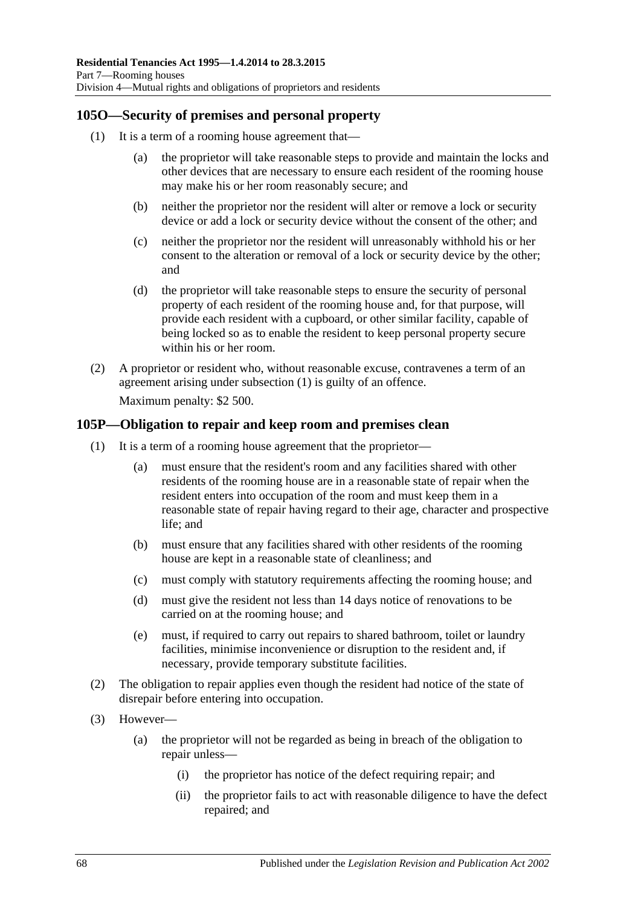## <span id="page-67-0"></span>**105O—Security of premises and personal property**

- (1) It is a term of a rooming house agreement that—
	- (a) the proprietor will take reasonable steps to provide and maintain the locks and other devices that are necessary to ensure each resident of the rooming house may make his or her room reasonably secure; and
	- (b) neither the proprietor nor the resident will alter or remove a lock or security device or add a lock or security device without the consent of the other; and
	- (c) neither the proprietor nor the resident will unreasonably withhold his or her consent to the alteration or removal of a lock or security device by the other; and
	- (d) the proprietor will take reasonable steps to ensure the security of personal property of each resident of the rooming house and, for that purpose, will provide each resident with a cupboard, or other similar facility, capable of being locked so as to enable the resident to keep personal property secure within his or her room.
- (2) A proprietor or resident who, without reasonable excuse, contravenes a term of an agreement arising under [subsection](#page-67-0) (1) is guilty of an offence. Maximum penalty: \$2 500.

## <span id="page-67-1"></span>**105P—Obligation to repair and keep room and premises clean**

- (1) It is a term of a rooming house agreement that the proprietor—
	- (a) must ensure that the resident's room and any facilities shared with other residents of the rooming house are in a reasonable state of repair when the resident enters into occupation of the room and must keep them in a reasonable state of repair having regard to their age, character and prospective life; and
	- (b) must ensure that any facilities shared with other residents of the rooming house are kept in a reasonable state of cleanliness; and
	- (c) must comply with statutory requirements affecting the rooming house; and
	- (d) must give the resident not less than 14 days notice of renovations to be carried on at the rooming house; and
	- (e) must, if required to carry out repairs to shared bathroom, toilet or laundry facilities, minimise inconvenience or disruption to the resident and, if necessary, provide temporary substitute facilities.
- (2) The obligation to repair applies even though the resident had notice of the state of disrepair before entering into occupation.
- (3) However—
	- (a) the proprietor will not be regarded as being in breach of the obligation to repair unless—
		- (i) the proprietor has notice of the defect requiring repair; and
		- (ii) the proprietor fails to act with reasonable diligence to have the defect repaired; and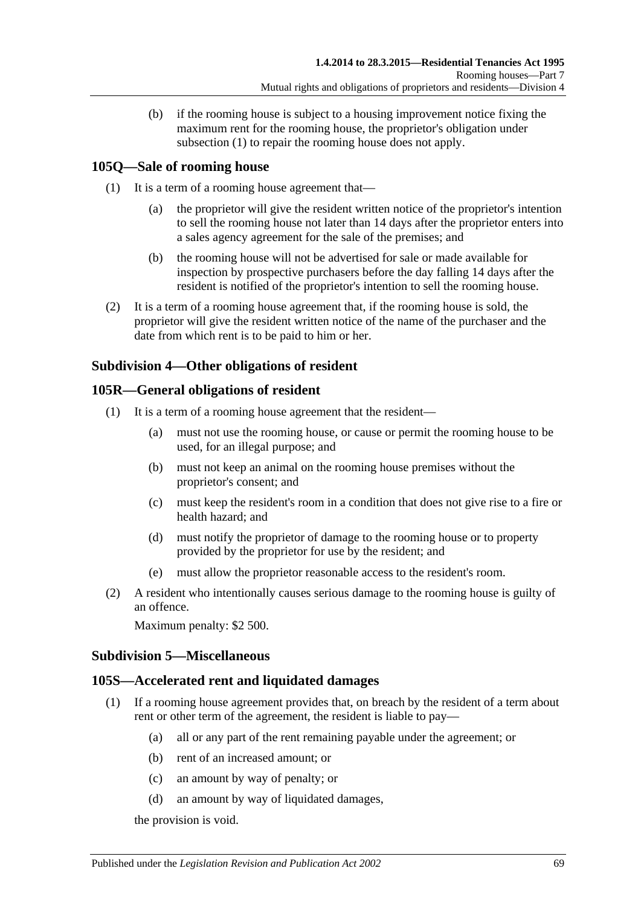(b) if the rooming house is subject to a housing improvement notice fixing the maximum rent for the rooming house, the proprietor's obligation under [subsection](#page-67-1) (1) to repair the rooming house does not apply.

# **105Q—Sale of rooming house**

- (1) It is a term of a rooming house agreement that—
	- (a) the proprietor will give the resident written notice of the proprietor's intention to sell the rooming house not later than 14 days after the proprietor enters into a sales agency agreement for the sale of the premises; and
	- (b) the rooming house will not be advertised for sale or made available for inspection by prospective purchasers before the day falling 14 days after the resident is notified of the proprietor's intention to sell the rooming house.
- (2) It is a term of a rooming house agreement that, if the rooming house is sold, the proprietor will give the resident written notice of the name of the purchaser and the date from which rent is to be paid to him or her.

# **Subdivision 4—Other obligations of resident**

## **105R—General obligations of resident**

- (1) It is a term of a rooming house agreement that the resident—
	- (a) must not use the rooming house, or cause or permit the rooming house to be used, for an illegal purpose; and
	- (b) must not keep an animal on the rooming house premises without the proprietor's consent; and
	- (c) must keep the resident's room in a condition that does not give rise to a fire or health hazard; and
	- (d) must notify the proprietor of damage to the rooming house or to property provided by the proprietor for use by the resident; and
	- (e) must allow the proprietor reasonable access to the resident's room.
- (2) A resident who intentionally causes serious damage to the rooming house is guilty of an offence.

Maximum penalty: \$2 500.

## **Subdivision 5—Miscellaneous**

## **105S—Accelerated rent and liquidated damages**

- (1) If a rooming house agreement provides that, on breach by the resident of a term about rent or other term of the agreement, the resident is liable to pay—
	- (a) all or any part of the rent remaining payable under the agreement; or
	- (b) rent of an increased amount; or
	- (c) an amount by way of penalty; or
	- (d) an amount by way of liquidated damages,

the provision is void.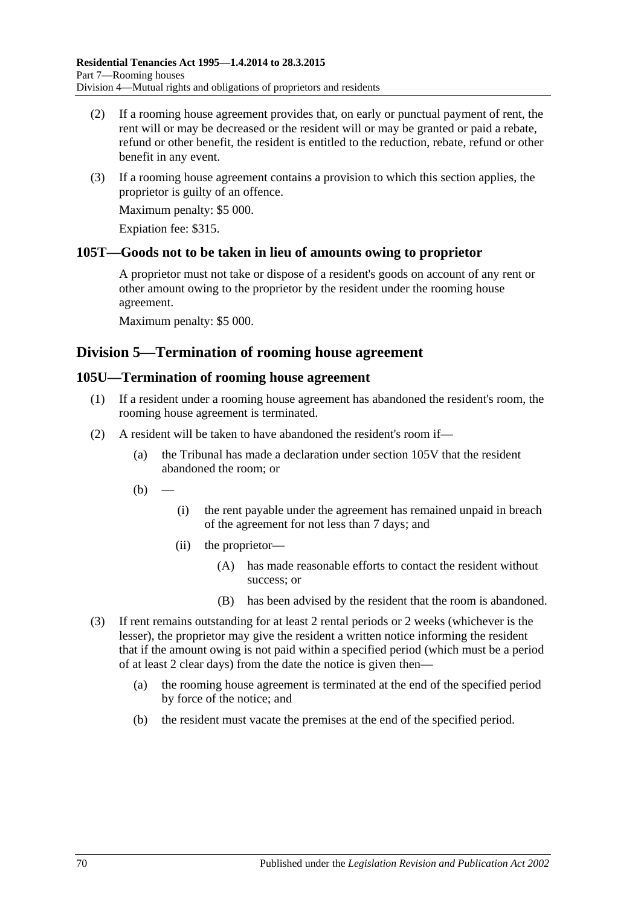- (2) If a rooming house agreement provides that, on early or punctual payment of rent, the rent will or may be decreased or the resident will or may be granted or paid a rebate, refund or other benefit, the resident is entitled to the reduction, rebate, refund or other benefit in any event.
- (3) If a rooming house agreement contains a provision to which this section applies, the proprietor is guilty of an offence.

Maximum penalty: \$5 000.

Expiation fee: \$315.

## **105T—Goods not to be taken in lieu of amounts owing to proprietor**

A proprietor must not take or dispose of a resident's goods on account of any rent or other amount owing to the proprietor by the resident under the rooming house agreement.

Maximum penalty: \$5 000.

# **Division 5—Termination of rooming house agreement**

#### **105U—Termination of rooming house agreement**

- (1) If a resident under a rooming house agreement has abandoned the resident's room, the rooming house agreement is terminated.
- (2) A resident will be taken to have abandoned the resident's room if—
	- (a) the Tribunal has made a declaration under [section](#page-70-0) 105V that the resident abandoned the room; or
	- $(b)$
- (i) the rent payable under the agreement has remained unpaid in breach of the agreement for not less than 7 days; and
- (ii) the proprietor—
	- (A) has made reasonable efforts to contact the resident without success; or
	- (B) has been advised by the resident that the room is abandoned.
- (3) If rent remains outstanding for at least 2 rental periods or 2 weeks (whichever is the lesser), the proprietor may give the resident a written notice informing the resident that if the amount owing is not paid within a specified period (which must be a period of at least 2 clear days) from the date the notice is given then—
	- (a) the rooming house agreement is terminated at the end of the specified period by force of the notice; and
	- (b) the resident must vacate the premises at the end of the specified period.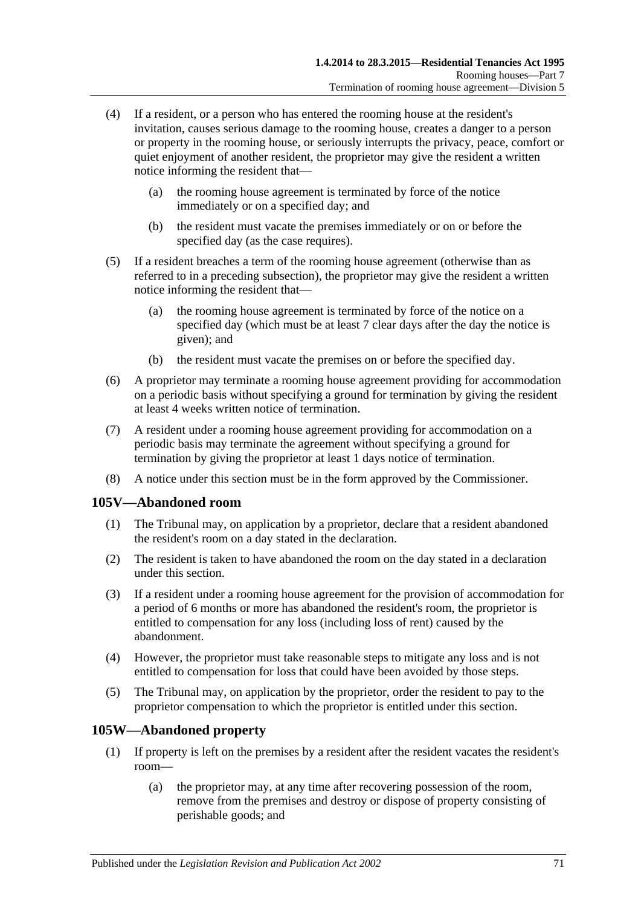- (4) If a resident, or a person who has entered the rooming house at the resident's invitation, causes serious damage to the rooming house, creates a danger to a person or property in the rooming house, or seriously interrupts the privacy, peace, comfort or quiet enjoyment of another resident, the proprietor may give the resident a written notice informing the resident that—
	- (a) the rooming house agreement is terminated by force of the notice immediately or on a specified day; and
	- (b) the resident must vacate the premises immediately or on or before the specified day (as the case requires).
- (5) If a resident breaches a term of the rooming house agreement (otherwise than as referred to in a preceding subsection), the proprietor may give the resident a written notice informing the resident that—
	- (a) the rooming house agreement is terminated by force of the notice on a specified day (which must be at least 7 clear days after the day the notice is given); and
	- (b) the resident must vacate the premises on or before the specified day.
- (6) A proprietor may terminate a rooming house agreement providing for accommodation on a periodic basis without specifying a ground for termination by giving the resident at least 4 weeks written notice of termination.
- (7) A resident under a rooming house agreement providing for accommodation on a periodic basis may terminate the agreement without specifying a ground for termination by giving the proprietor at least 1 days notice of termination.
- (8) A notice under this section must be in the form approved by the Commissioner.

## <span id="page-70-0"></span>**105V—Abandoned room**

- (1) The Tribunal may, on application by a proprietor, declare that a resident abandoned the resident's room on a day stated in the declaration.
- (2) The resident is taken to have abandoned the room on the day stated in a declaration under this section.
- (3) If a resident under a rooming house agreement for the provision of accommodation for a period of 6 months or more has abandoned the resident's room, the proprietor is entitled to compensation for any loss (including loss of rent) caused by the abandonment.
- (4) However, the proprietor must take reasonable steps to mitigate any loss and is not entitled to compensation for loss that could have been avoided by those steps.
- (5) The Tribunal may, on application by the proprietor, order the resident to pay to the proprietor compensation to which the proprietor is entitled under this section.

## **105W—Abandoned property**

- (1) If property is left on the premises by a resident after the resident vacates the resident's room—
	- (a) the proprietor may, at any time after recovering possession of the room, remove from the premises and destroy or dispose of property consisting of perishable goods; and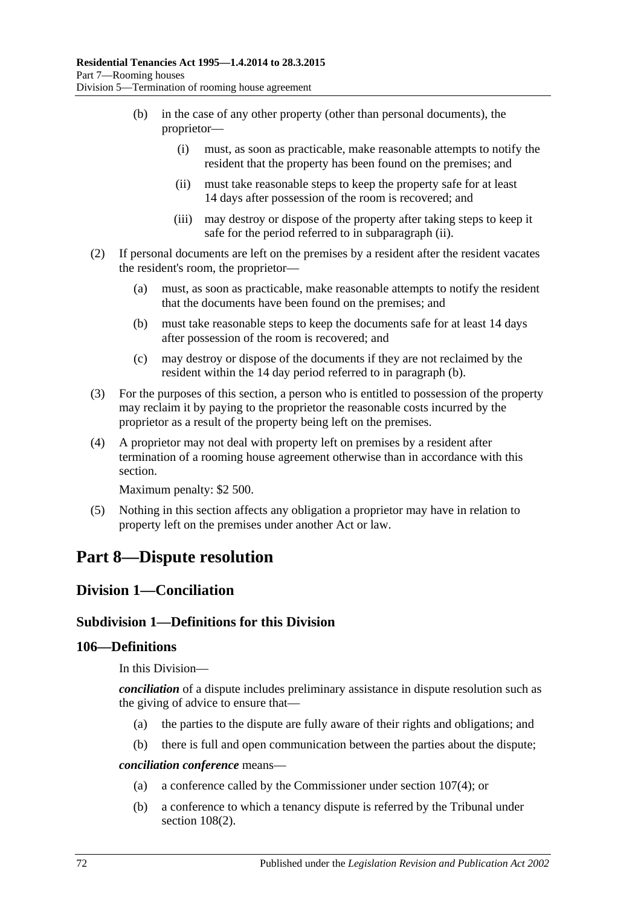- (b) in the case of any other property (other than personal documents), the proprietor—
	- (i) must, as soon as practicable, make reasonable attempts to notify the resident that the property has been found on the premises; and
	- (ii) must take reasonable steps to keep the property safe for at least 14 days after possession of the room is recovered; and
	- (iii) may destroy or dispose of the property after taking steps to keep it safe for the period referred to in [subparagraph](#page-71-0) (ii).
- <span id="page-71-1"></span><span id="page-71-0"></span>(2) If personal documents are left on the premises by a resident after the resident vacates the resident's room, the proprietor—
	- (a) must, as soon as practicable, make reasonable attempts to notify the resident that the documents have been found on the premises; and
	- (b) must take reasonable steps to keep the documents safe for at least 14 days after possession of the room is recovered; and
	- (c) may destroy or dispose of the documents if they are not reclaimed by the resident within the 14 day period referred to in [paragraph](#page-71-1) (b).
- (3) For the purposes of this section, a person who is entitled to possession of the property may reclaim it by paying to the proprietor the reasonable costs incurred by the proprietor as a result of the property being left on the premises.
- (4) A proprietor may not deal with property left on premises by a resident after termination of a rooming house agreement otherwise than in accordance with this section.

Maximum penalty: \$2 500.

(5) Nothing in this section affects any obligation a proprietor may have in relation to property left on the premises under another Act or law.

# **Part 8—Dispute resolution**

# **Division 1—Conciliation**

## **Subdivision 1—Definitions for this Division**

## **106—Definitions**

In this Division—

*conciliation* of a dispute includes preliminary assistance in dispute resolution such as the giving of advice to ensure that—

- (a) the parties to the dispute are fully aware of their rights and obligations; and
- (b) there is full and open communication between the parties about the dispute;

*conciliation conference* means—

- (a) a conference called by the Commissioner under [section](#page-72-0) 107(4); or
- (b) a conference to which a tenancy dispute is referred by the Tribunal under section [108\(2\).](#page-72-1)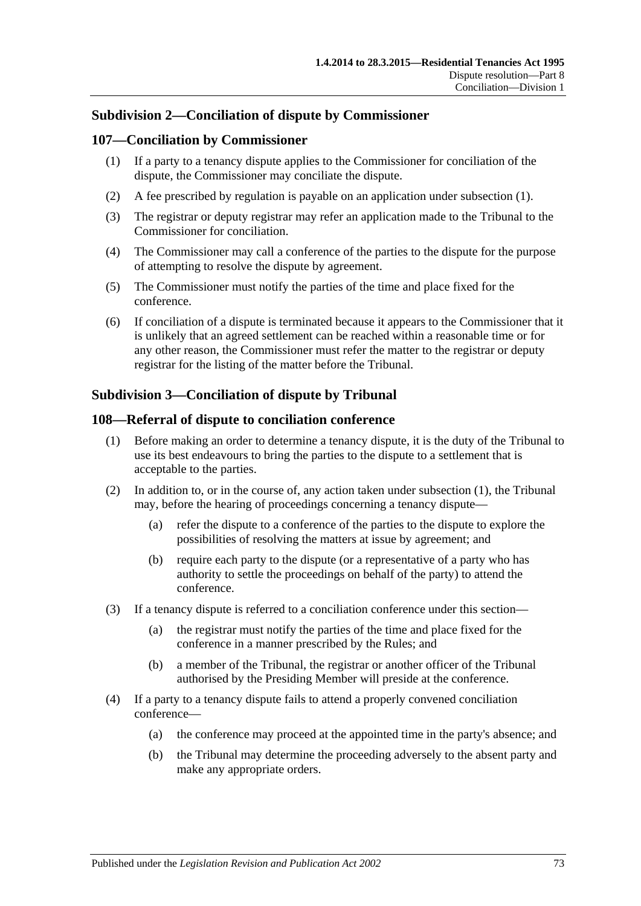## **Subdivision 2—Conciliation of dispute by Commissioner**

### <span id="page-72-0"></span>**107—Conciliation by Commissioner**

- (1) If a party to a tenancy dispute applies to the Commissioner for conciliation of the dispute, the Commissioner may conciliate the dispute.
- (2) A fee prescribed by regulation is payable on an application under [subsection](#page-72-0) (1).
- (3) The registrar or deputy registrar may refer an application made to the Tribunal to the Commissioner for conciliation.
- (4) The Commissioner may call a conference of the parties to the dispute for the purpose of attempting to resolve the dispute by agreement.
- (5) The Commissioner must notify the parties of the time and place fixed for the conference.
- (6) If conciliation of a dispute is terminated because it appears to the Commissioner that it is unlikely that an agreed settlement can be reached within a reasonable time or for any other reason, the Commissioner must refer the matter to the registrar or deputy registrar for the listing of the matter before the Tribunal.

# **Subdivision 3—Conciliation of dispute by Tribunal**

### <span id="page-72-1"></span>**108—Referral of dispute to conciliation conference**

- (1) Before making an order to determine a tenancy dispute, it is the duty of the Tribunal to use its best endeavours to bring the parties to the dispute to a settlement that is acceptable to the parties.
- (2) In addition to, or in the course of, any action taken under [subsection](#page-72-1) (1), the Tribunal may, before the hearing of proceedings concerning a tenancy dispute—
	- (a) refer the dispute to a conference of the parties to the dispute to explore the possibilities of resolving the matters at issue by agreement; and
	- (b) require each party to the dispute (or a representative of a party who has authority to settle the proceedings on behalf of the party) to attend the conference.
- (3) If a tenancy dispute is referred to a conciliation conference under this section—
	- (a) the registrar must notify the parties of the time and place fixed for the conference in a manner prescribed by the Rules; and
	- (b) a member of the Tribunal, the registrar or another officer of the Tribunal authorised by the Presiding Member will preside at the conference.
- (4) If a party to a tenancy dispute fails to attend a properly convened conciliation conference—
	- (a) the conference may proceed at the appointed time in the party's absence; and
	- (b) the Tribunal may determine the proceeding adversely to the absent party and make any appropriate orders.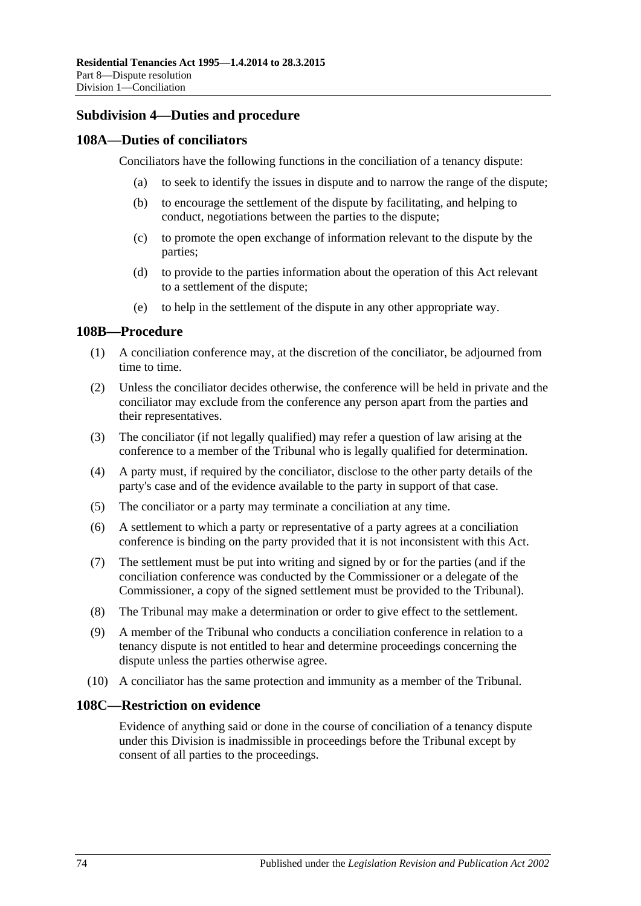## **Subdivision 4—Duties and procedure**

### **108A—Duties of conciliators**

Conciliators have the following functions in the conciliation of a tenancy dispute:

- (a) to seek to identify the issues in dispute and to narrow the range of the dispute;
- (b) to encourage the settlement of the dispute by facilitating, and helping to conduct, negotiations between the parties to the dispute;
- (c) to promote the open exchange of information relevant to the dispute by the parties;
- (d) to provide to the parties information about the operation of this Act relevant to a settlement of the dispute;
- (e) to help in the settlement of the dispute in any other appropriate way.

### **108B—Procedure**

- (1) A conciliation conference may, at the discretion of the conciliator, be adjourned from time to time.
- (2) Unless the conciliator decides otherwise, the conference will be held in private and the conciliator may exclude from the conference any person apart from the parties and their representatives.
- (3) The conciliator (if not legally qualified) may refer a question of law arising at the conference to a member of the Tribunal who is legally qualified for determination.
- (4) A party must, if required by the conciliator, disclose to the other party details of the party's case and of the evidence available to the party in support of that case.
- (5) The conciliator or a party may terminate a conciliation at any time.
- (6) A settlement to which a party or representative of a party agrees at a conciliation conference is binding on the party provided that it is not inconsistent with this Act.
- (7) The settlement must be put into writing and signed by or for the parties (and if the conciliation conference was conducted by the Commissioner or a delegate of the Commissioner, a copy of the signed settlement must be provided to the Tribunal).
- (8) The Tribunal may make a determination or order to give effect to the settlement.
- (9) A member of the Tribunal who conducts a conciliation conference in relation to a tenancy dispute is not entitled to hear and determine proceedings concerning the dispute unless the parties otherwise agree.
- (10) A conciliator has the same protection and immunity as a member of the Tribunal.

## **108C—Restriction on evidence**

Evidence of anything said or done in the course of conciliation of a tenancy dispute under this Division is inadmissible in proceedings before the Tribunal except by consent of all parties to the proceedings.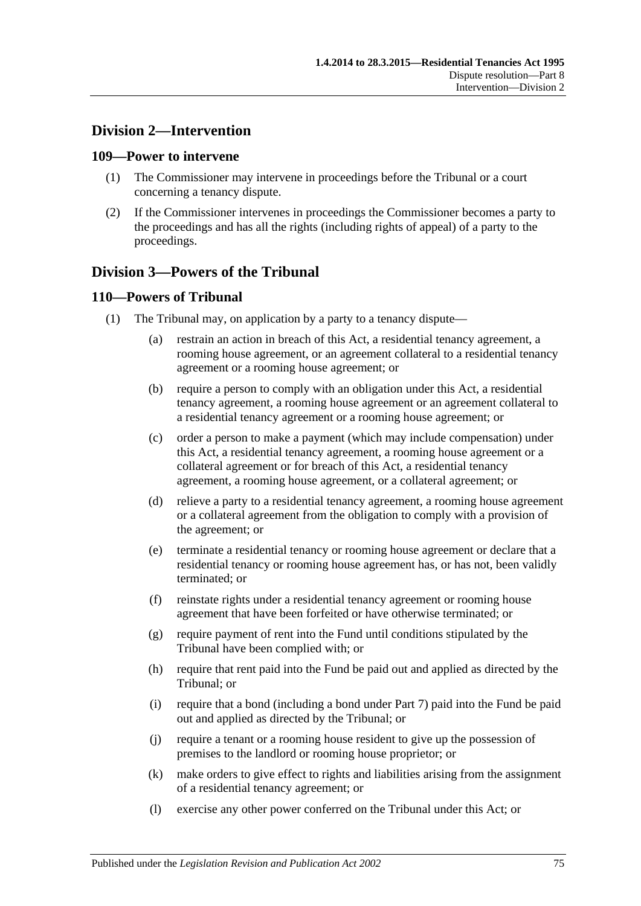# **Division 2—Intervention**

### **109—Power to intervene**

- (1) The Commissioner may intervene in proceedings before the Tribunal or a court concerning a tenancy dispute.
- (2) If the Commissioner intervenes in proceedings the Commissioner becomes a party to the proceedings and has all the rights (including rights of appeal) of a party to the proceedings.

# **Division 3—Powers of the Tribunal**

## **110—Powers of Tribunal**

- (1) The Tribunal may, on application by a party to a tenancy dispute—
	- (a) restrain an action in breach of this Act, a residential tenancy agreement, a rooming house agreement, or an agreement collateral to a residential tenancy agreement or a rooming house agreement; or
	- (b) require a person to comply with an obligation under this Act, a residential tenancy agreement, a rooming house agreement or an agreement collateral to a residential tenancy agreement or a rooming house agreement; or
	- (c) order a person to make a payment (which may include compensation) under this Act, a residential tenancy agreement, a rooming house agreement or a collateral agreement or for breach of this Act, a residential tenancy agreement, a rooming house agreement, or a collateral agreement; or
	- (d) relieve a party to a residential tenancy agreement, a rooming house agreement or a collateral agreement from the obligation to comply with a provision of the agreement; or
	- (e) terminate a residential tenancy or rooming house agreement or declare that a residential tenancy or rooming house agreement has, or has not, been validly terminated; or
	- (f) reinstate rights under a residential tenancy agreement or rooming house agreement that have been forfeited or have otherwise terminated; or
	- (g) require payment of rent into the Fund until conditions stipulated by the Tribunal have been complied with; or
	- (h) require that rent paid into the Fund be paid out and applied as directed by the Tribunal; or
	- (i) require that a bond (including a bond under [Part 7\)](#page-61-0) paid into the Fund be paid out and applied as directed by the Tribunal; or
	- (j) require a tenant or a rooming house resident to give up the possession of premises to the landlord or rooming house proprietor; or
	- (k) make orders to give effect to rights and liabilities arising from the assignment of a residential tenancy agreement; or
	- (l) exercise any other power conferred on the Tribunal under this Act; or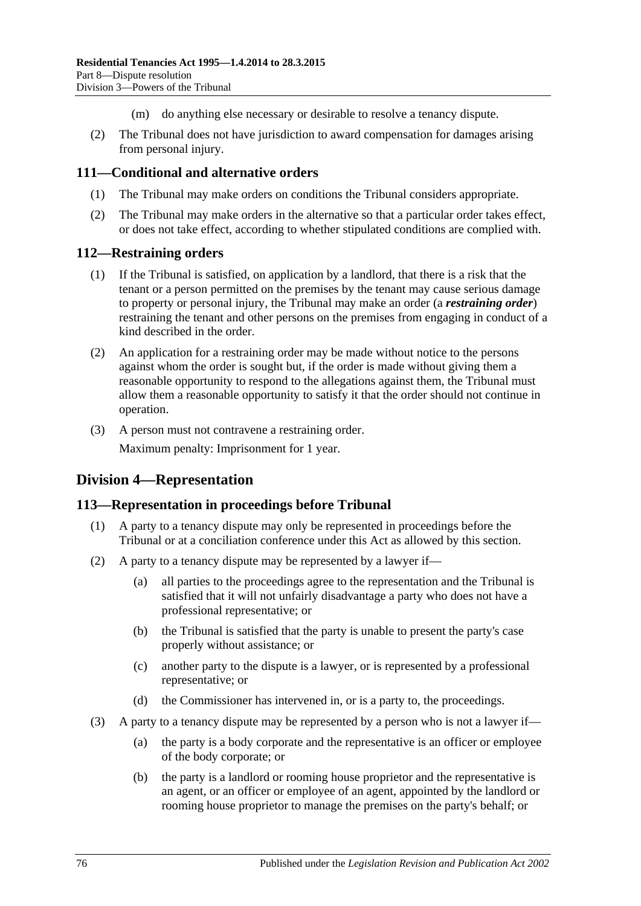- (m) do anything else necessary or desirable to resolve a tenancy dispute.
- (2) The Tribunal does not have jurisdiction to award compensation for damages arising from personal injury.

### **111—Conditional and alternative orders**

- (1) The Tribunal may make orders on conditions the Tribunal considers appropriate.
- (2) The Tribunal may make orders in the alternative so that a particular order takes effect, or does not take effect, according to whether stipulated conditions are complied with.

### **112—Restraining orders**

- (1) If the Tribunal is satisfied, on application by a landlord, that there is a risk that the tenant or a person permitted on the premises by the tenant may cause serious damage to property or personal injury, the Tribunal may make an order (a *restraining order*) restraining the tenant and other persons on the premises from engaging in conduct of a kind described in the order.
- (2) An application for a restraining order may be made without notice to the persons against whom the order is sought but, if the order is made without giving them a reasonable opportunity to respond to the allegations against them, the Tribunal must allow them a reasonable opportunity to satisfy it that the order should not continue in operation.
- (3) A person must not contravene a restraining order.

Maximum penalty: Imprisonment for 1 year.

# **Division 4—Representation**

## **113—Representation in proceedings before Tribunal**

- (1) A party to a tenancy dispute may only be represented in proceedings before the Tribunal or at a conciliation conference under this Act as allowed by this section.
- (2) A party to a tenancy dispute may be represented by a lawyer if—
	- (a) all parties to the proceedings agree to the representation and the Tribunal is satisfied that it will not unfairly disadvantage a party who does not have a professional representative; or
	- (b) the Tribunal is satisfied that the party is unable to present the party's case properly without assistance; or
	- (c) another party to the dispute is a lawyer, or is represented by a professional representative; or
	- (d) the Commissioner has intervened in, or is a party to, the proceedings.
- (3) A party to a tenancy dispute may be represented by a person who is not a lawyer if—
	- (a) the party is a body corporate and the representative is an officer or employee of the body corporate; or
	- (b) the party is a landlord or rooming house proprietor and the representative is an agent, or an officer or employee of an agent, appointed by the landlord or rooming house proprietor to manage the premises on the party's behalf; or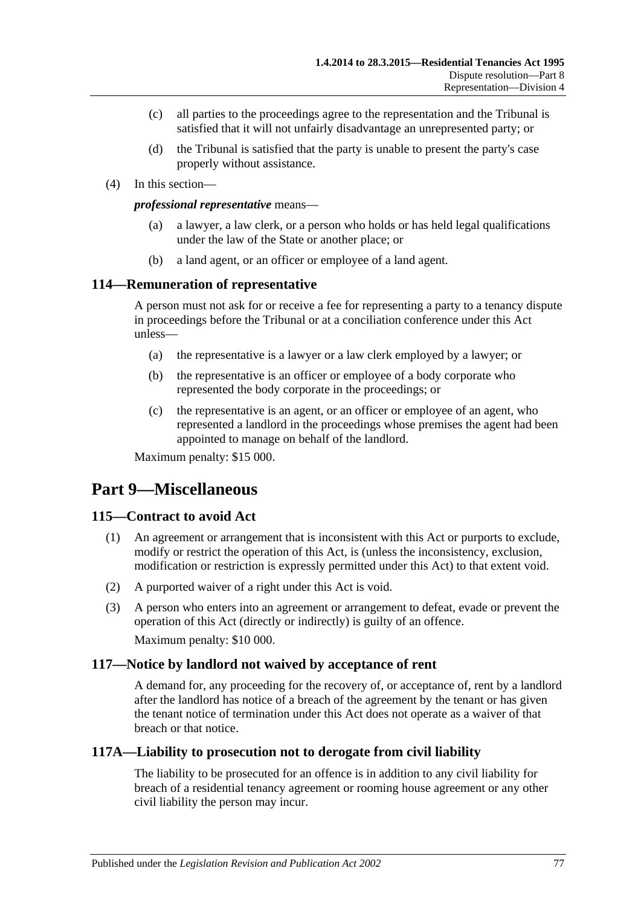- (c) all parties to the proceedings agree to the representation and the Tribunal is satisfied that it will not unfairly disadvantage an unrepresented party; or
- (d) the Tribunal is satisfied that the party is unable to present the party's case properly without assistance.
- (4) In this section—

#### *professional representative* means—

- (a) a lawyer, a law clerk, or a person who holds or has held legal qualifications under the law of the State or another place; or
- (b) a land agent, or an officer or employee of a land agent.

### **114—Remuneration of representative**

A person must not ask for or receive a fee for representing a party to a tenancy dispute in proceedings before the Tribunal or at a conciliation conference under this Act unless—

- (a) the representative is a lawyer or a law clerk employed by a lawyer; or
- (b) the representative is an officer or employee of a body corporate who represented the body corporate in the proceedings; or
- (c) the representative is an agent, or an officer or employee of an agent, who represented a landlord in the proceedings whose premises the agent had been appointed to manage on behalf of the landlord.

Maximum penalty: \$15 000.

# **Part 9—Miscellaneous**

## **115—Contract to avoid Act**

- (1) An agreement or arrangement that is inconsistent with this Act or purports to exclude, modify or restrict the operation of this Act, is (unless the inconsistency, exclusion, modification or restriction is expressly permitted under this Act) to that extent void.
- (2) A purported waiver of a right under this Act is void.
- (3) A person who enters into an agreement or arrangement to defeat, evade or prevent the operation of this Act (directly or indirectly) is guilty of an offence. Maximum penalty: \$10 000.

### **117—Notice by landlord not waived by acceptance of rent**

A demand for, any proceeding for the recovery of, or acceptance of, rent by a landlord after the landlord has notice of a breach of the agreement by the tenant or has given the tenant notice of termination under this Act does not operate as a waiver of that breach or that notice.

## **117A—Liability to prosecution not to derogate from civil liability**

The liability to be prosecuted for an offence is in addition to any civil liability for breach of a residential tenancy agreement or rooming house agreement or any other civil liability the person may incur.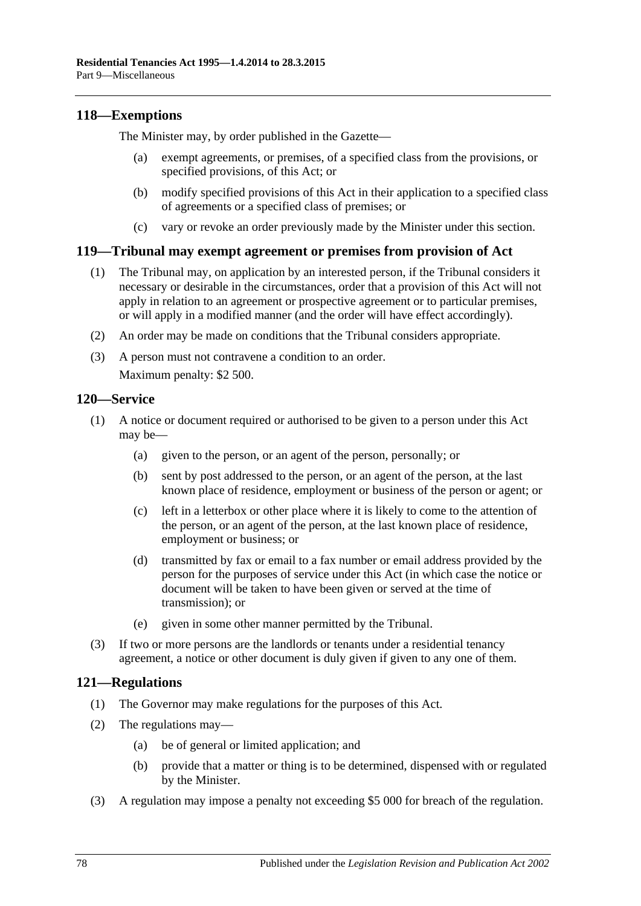## **118—Exemptions**

The Minister may, by order published in the Gazette—

- (a) exempt agreements, or premises, of a specified class from the provisions, or specified provisions, of this Act; or
- (b) modify specified provisions of this Act in their application to a specified class of agreements or a specified class of premises; or
- (c) vary or revoke an order previously made by the Minister under this section.

## **119—Tribunal may exempt agreement or premises from provision of Act**

- (1) The Tribunal may, on application by an interested person, if the Tribunal considers it necessary or desirable in the circumstances, order that a provision of this Act will not apply in relation to an agreement or prospective agreement or to particular premises, or will apply in a modified manner (and the order will have effect accordingly).
- (2) An order may be made on conditions that the Tribunal considers appropriate.
- (3) A person must not contravene a condition to an order. Maximum penalty: \$2 500.

### **120—Service**

- (1) A notice or document required or authorised to be given to a person under this Act may be—
	- (a) given to the person, or an agent of the person, personally; or
	- (b) sent by post addressed to the person, or an agent of the person, at the last known place of residence, employment or business of the person or agent; or
	- (c) left in a letterbox or other place where it is likely to come to the attention of the person, or an agent of the person, at the last known place of residence, employment or business; or
	- (d) transmitted by fax or email to a fax number or email address provided by the person for the purposes of service under this Act (in which case the notice or document will be taken to have been given or served at the time of transmission); or
	- (e) given in some other manner permitted by the Tribunal.
- (3) If two or more persons are the landlords or tenants under a residential tenancy agreement, a notice or other document is duly given if given to any one of them.

## **121—Regulations**

- (1) The Governor may make regulations for the purposes of this Act.
- (2) The regulations may—
	- (a) be of general or limited application; and
	- (b) provide that a matter or thing is to be determined, dispensed with or regulated by the Minister.
- (3) A regulation may impose a penalty not exceeding \$5 000 for breach of the regulation.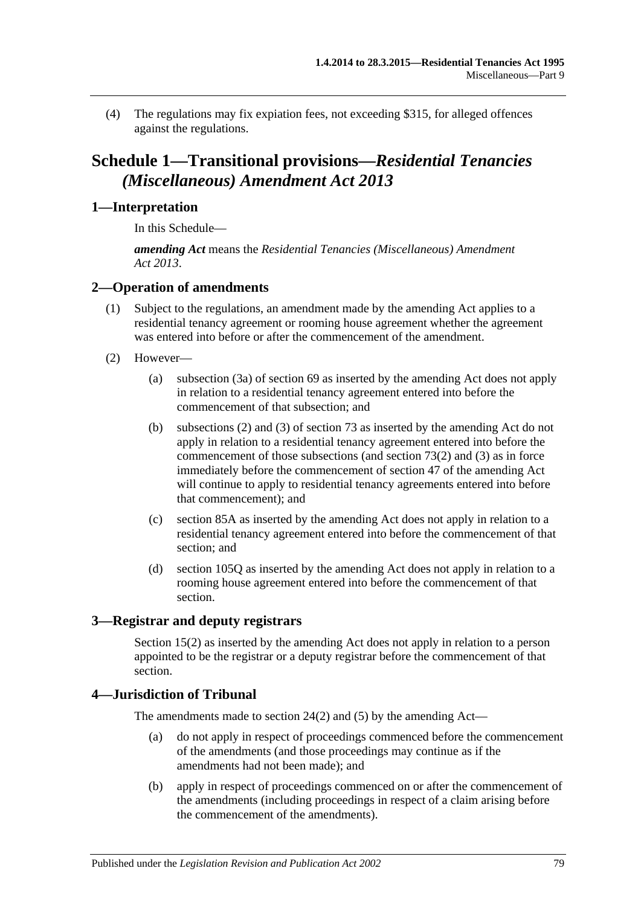(4) The regulations may fix expiation fees, not exceeding \$315, for alleged offences against the regulations.

# **Schedule 1—Transitional provisions—***Residential Tenancies (Miscellaneous) Amendment Act 2013*

## **1—Interpretation**

In this Schedule—

*amending Act* means the *[Residential Tenancies \(Miscellaneous\) Amendment](http://www.legislation.sa.gov.au/index.aspx?action=legref&type=act&legtitle=Residential%20Tenancies%20(Miscellaneous)%20Amendment%20Act%202013)  Act [2013](http://www.legislation.sa.gov.au/index.aspx?action=legref&type=act&legtitle=Residential%20Tenancies%20(Miscellaneous)%20Amendment%20Act%202013)*.

# **2—Operation of amendments**

- (1) Subject to the regulations, an amendment made by the amending Act applies to a residential tenancy agreement or rooming house agreement whether the agreement was entered into before or after the commencement of the amendment.
- (2) However—
	- (a) [subsection](#page-33-0) (3a) of [section](#page-33-1) 69 as inserted by the amending Act does not apply in relation to a residential tenancy agreement entered into before the commencement of that subsection; and
	- (b) [subsections](#page-36-0) (2) and [\(3\)](#page-36-1) of [section](#page-36-2) 73 as inserted by the amending Act do not apply in relation to a residential tenancy agreement entered into before the commencement of those subsections (and [section](#page-36-0)  $73(2)$ ) and  $(3)$ ) as in force immediately before the commencement of [section](#page-19-0) 47 of the amending Act will continue to apply to residential tenancy agreements entered into before that commencement); and
	- (c) [section](#page-45-0) 85A as inserted by the amending Act does not apply in relation to a residential tenancy agreement entered into before the commencement of that section; and
	- (d) [section](#page-68-0) 105Q as inserted by the amending Act does not apply in relation to a rooming house agreement entered into before the commencement of that section.

## **3—Registrar and deputy registrars**

[Section](#page-12-0) 15(2) as inserted by the amending Act does not apply in relation to a person appointed to be the registrar or a deputy registrar before the commencement of that section.

## **4—Jurisdiction of Tribunal**

The amendments made to [section](#page-14-0) 24(2) and [\(5\)](#page-14-1) by the amending Act—

- (a) do not apply in respect of proceedings commenced before the commencement of the amendments (and those proceedings may continue as if the amendments had not been made); and
- (b) apply in respect of proceedings commenced on or after the commencement of the amendments (including proceedings in respect of a claim arising before the commencement of the amendments).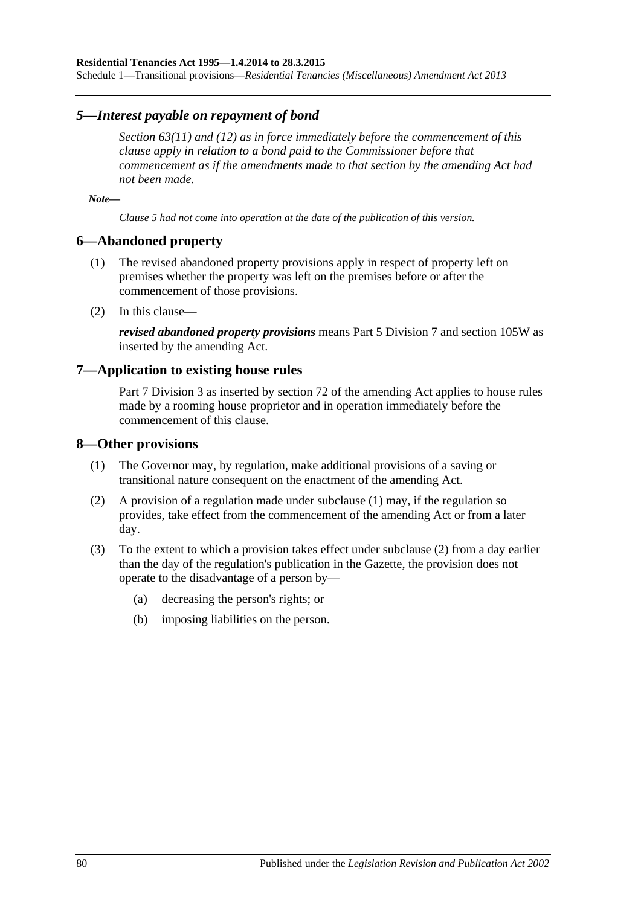Schedule 1—Transitional provisions—*Residential Tenancies (Miscellaneous) Amendment Act 2013*

### *5—Interest payable on repayment of bond*

*[Section](#page-30-0) 63(11) and [\(12\)](#page-30-1) as in force immediately before the commencement of this clause apply in relation to a bond paid to the Commissioner before that commencement as if the amendments made to that section by the amending Act had not been made.*

*Note—*

*Clause 5 had not come into operation at the date of the publication of this version.*

### **6—Abandoned property**

- (1) The revised abandoned property provisions apply in respect of property left on premises whether the property was left on the premises before or after the commencement of those provisions.
- (2) In this clause—

*revised abandoned property provisions* means [Part 5 Division 7](#page-51-0) and [section](#page-70-0) 105W as inserted by the amending Act.

### **7—Application to existing house rules**

[Part 7 Division](#page-62-0) 3 as inserted by section 72 of the amending Act applies to house rules made by a rooming house proprietor and in operation immediately before the commencement of this clause.

### <span id="page-79-0"></span>**8—Other provisions**

- (1) The Governor may, by regulation, make additional provisions of a saving or transitional nature consequent on the enactment of the amending Act.
- <span id="page-79-1"></span>(2) A provision of a regulation made under [subclause](#page-79-0) (1) may, if the regulation so provides, take effect from the commencement of the amending Act or from a later day.
- (3) To the extent to which a provision takes effect under [subclause](#page-79-1) (2) from a day earlier than the day of the regulation's publication in the Gazette, the provision does not operate to the disadvantage of a person by—
	- (a) decreasing the person's rights; or
	- (b) imposing liabilities on the person.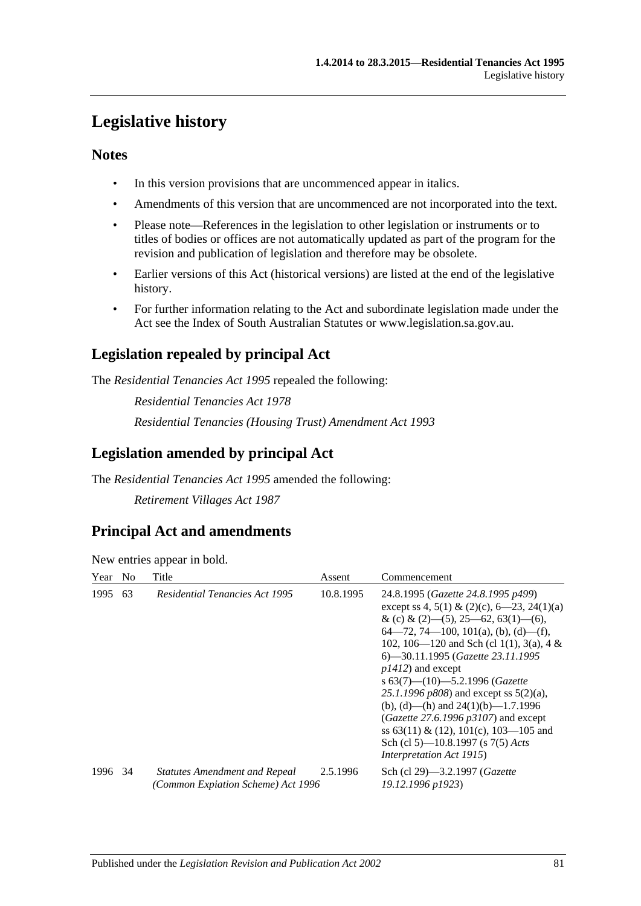# **Legislative history**

## **Notes**

- In this version provisions that are uncommenced appear in italics.
- Amendments of this version that are uncommenced are not incorporated into the text.
- Please note—References in the legislation to other legislation or instruments or to titles of bodies or offices are not automatically updated as part of the program for the revision and publication of legislation and therefore may be obsolete.
- Earlier versions of this Act (historical versions) are listed at the end of the legislative history.
- For further information relating to the Act and subordinate legislation made under the Act see the Index of South Australian Statutes or www.legislation.sa.gov.au.

# **Legislation repealed by principal Act**

The *Residential Tenancies Act 1995* repealed the following:

*Residential Tenancies Act 1978 Residential Tenancies (Housing Trust) Amendment Act 1993*

# **Legislation amended by principal Act**

The *Residential Tenancies Act 1995* amended the following:

*Retirement Villages Act 1987*

# **Principal Act and amendments**

New entries appear in bold.

| Year    | N <sub>0</sub> | Title                                                                      | Assent    | Commencement                                                                                                                                                                                                                                                                                                                                                                                                                                                                                                                                                                        |
|---------|----------------|----------------------------------------------------------------------------|-----------|-------------------------------------------------------------------------------------------------------------------------------------------------------------------------------------------------------------------------------------------------------------------------------------------------------------------------------------------------------------------------------------------------------------------------------------------------------------------------------------------------------------------------------------------------------------------------------------|
| 1995    | 63             | <b>Residential Tenancies Act 1995</b>                                      | 10.8.1995 | 24.8.1995 (Gazette 24.8.1995 p499)<br>except ss 4, 5(1) & (2)(c), 6–23, 24(1)(a)<br>& (c) & (2)–(5), 25–62, 63(1)–(6),<br>$64-72, 74-100, 101(a), (b), (d)-(f),$<br>102, 106—120 and Sch (cl 1(1), 3(a), 4 &<br>6—30.11.1995 (Gazette 23.11.1995<br>$p1412$ ) and except<br>s $63(7)$ — $(10)$ — $5.2.1996$ (Gazette<br>25.1.1996 $p808$ ) and except ss $5(2)(a)$ ,<br>(b), (d)—(h) and $24(1)(b)$ —1.7.1996<br>(Gazette 27.6.1996 $p3107$ ) and except<br>ss $63(11) \& (12)$ , $101(c)$ , $103-105$ and<br>Sch (cl 5)—10.8.1997 (s 7(5) Acts<br><i>Interpretation Act 1915</i> ) |
| 1996 34 |                | <b>Statutes Amendment and Repeal</b><br>(Common Expiation Scheme) Act 1996 | 2.5.1996  | Sch (cl 29)-3.2.1997 (Gazette<br>19.12.1996 p1923)                                                                                                                                                                                                                                                                                                                                                                                                                                                                                                                                  |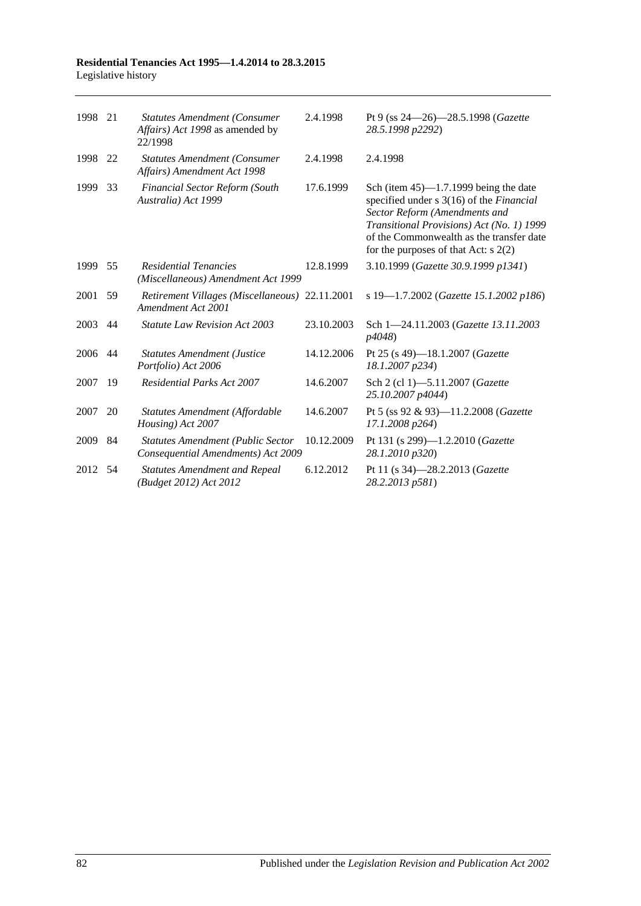### **Residential Tenancies Act 1995—1.4.2014 to 28.3.2015** Legislative history

| 1998 | 21 | <b>Statutes Amendment (Consumer</b><br>Affairs) Act 1998 as amended by<br>22/1998 | 2.4.1998   | Pt 9 (ss 24–26)–28.5.1998 (Gazette<br>28.5.1998 p2292)                                                                                                                                                                                                   |
|------|----|-----------------------------------------------------------------------------------|------------|----------------------------------------------------------------------------------------------------------------------------------------------------------------------------------------------------------------------------------------------------------|
| 1998 | 22 | <b>Statutes Amendment (Consumer</b><br>Affairs) Amendment Act 1998                | 2.4.1998   | 2.4.1998                                                                                                                                                                                                                                                 |
| 1999 | 33 | <b>Financial Sector Reform (South</b><br>Australia) Act 1999                      | 17.6.1999  | Sch (item $45$ )—1.7.1999 being the date<br>specified under s 3(16) of the Financial<br>Sector Reform (Amendments and<br>Transitional Provisions) Act (No. 1) 1999<br>of the Commonwealth as the transfer date<br>for the purposes of that Act: $s$ 2(2) |
| 1999 | 55 | <b>Residential Tenancies</b><br>(Miscellaneous) Amendment Act 1999                | 12.8.1999  | 3.10.1999 (Gazette 30.9.1999 p1341)                                                                                                                                                                                                                      |
| 2001 | 59 | Retirement Villages (Miscellaneous) 22.11.2001<br>Amendment Act 2001              |            | s 19-1.7.2002 (Gazette 15.1.2002 p186)                                                                                                                                                                                                                   |
| 2003 | 44 | Statute Law Revision Act 2003                                                     | 23.10.2003 | Sch 1-24.11.2003 (Gazette 13.11.2003)<br>p4048)                                                                                                                                                                                                          |
| 2006 | 44 | <b>Statutes Amendment (Justice</b><br>Portfolio) Act 2006                         | 14.12.2006 | Pt 25 (s 49)-18.1.2007 (Gazette<br>18.1.2007 p234)                                                                                                                                                                                                       |
| 2007 | 19 | <b>Residential Parks Act 2007</b>                                                 | 14.6.2007  | Sch 2 (cl 1)-5.11.2007 (Gazette<br>25.10.2007 p4044)                                                                                                                                                                                                     |
| 2007 | 20 | Statutes Amendment (Affordable<br>Housing) Act 2007                               | 14.6.2007  | Pt 5 (ss 92 & 93)-11.2.2008 (Gazette<br>17.1.2008 p264)                                                                                                                                                                                                  |
| 2009 | 84 | <b>Statutes Amendment (Public Sector</b><br>Consequential Amendments) Act 2009    | 10.12.2009 | Pt 131 (s 299)-1.2.2010 (Gazette<br>28.1.2010 p320)                                                                                                                                                                                                      |
| 2012 | 54 | <b>Statutes Amendment and Repeal</b><br>(Budget 2012) Act 2012                    | 6.12.2012  | Pt 11 (s 34)-28.2.2013 ( <i>Gazette</i><br>28.2.2013 p581)                                                                                                                                                                                               |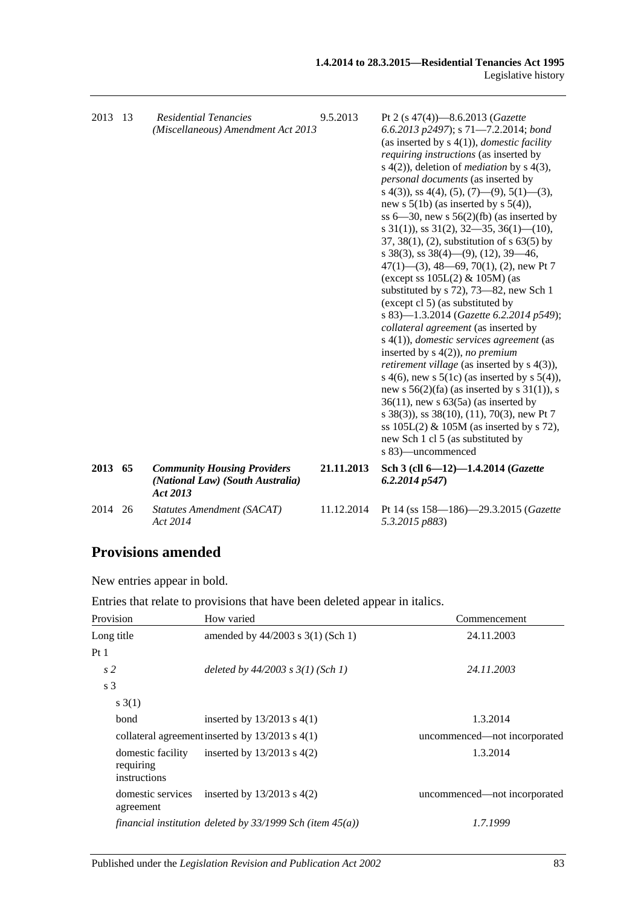| 2013 | -13 | <b>Residential Tenancies</b><br>(Miscellaneous) Amendment Act 2013                 | 9.5.2013   | Pt 2 (s $47(4)$ )-8.6.2013 (Gazette<br>6.6.2013 p2497); s $71-7.2.2014$ ; bond<br>(as inserted by $s(4(1))$ , <i>domestic facility</i><br>requiring instructions (as inserted by<br>s $4(2)$ ), deletion of <i>mediation</i> by s $4(3)$ ,<br><i>personal documents</i> (as inserted by<br>s 4(3), ss 4(4), (5), (7)—(9), 5(1)—(3),<br>new s $5(1b)$ (as inserted by s $5(4)$ ),<br>ss $6-30$ , new s $56(2)(fb)$ (as inserted by<br>s $31(1)$ , ss $31(2)$ , $32-35$ , $36(1)$ (10),<br>$37, 38(1), (2)$ , substitution of s 63(5) by<br>s 38(3), ss $38(4)$ —(9), (12), 39—46,<br>$47(1)$ — $(3)$ , 48—69, 70(1), (2), new Pt 7<br>(except ss $105L(2)$ & $105M$ ) (as<br>substituted by s 72), 73-82, new Sch 1<br>(except cl 5) (as substituted by<br>s 83)-1.3.2014 (Gazette 6.2.2014 p549);<br>collateral agreement (as inserted by<br>$s(4(1))$ , domestic services agreement (as<br>inserted by $s(4(2))$ , no premium<br><i>retirement village</i> (as inserted by s 4(3)),<br>s 4(6), new s $5(1c)$ (as inserted by s $5(4)$ ),<br>new s $56(2)(fa)$ (as inserted by s $31(1)$ ), s<br>$36(11)$ , new s $63(5a)$ (as inserted by<br>s 38(3)), ss 38(10), (11), 70(3), new Pt 7<br>ss $105L(2)$ & $105M$ (as inserted by s 72),<br>new Sch 1 cl 5 (as substituted by<br>s 83)—uncommenced |
|------|-----|------------------------------------------------------------------------------------|------------|----------------------------------------------------------------------------------------------------------------------------------------------------------------------------------------------------------------------------------------------------------------------------------------------------------------------------------------------------------------------------------------------------------------------------------------------------------------------------------------------------------------------------------------------------------------------------------------------------------------------------------------------------------------------------------------------------------------------------------------------------------------------------------------------------------------------------------------------------------------------------------------------------------------------------------------------------------------------------------------------------------------------------------------------------------------------------------------------------------------------------------------------------------------------------------------------------------------------------------------------------------------------------------------------------|
| 2013 | 65  | <b>Community Housing Providers</b><br>(National Law) (South Australia)<br>Act 2013 | 21.11.2013 | Sch 3 (cll 6-12)-1.4.2014 (Gazette<br>6.2.2014p547                                                                                                                                                                                                                                                                                                                                                                                                                                                                                                                                                                                                                                                                                                                                                                                                                                                                                                                                                                                                                                                                                                                                                                                                                                                 |
| 2014 | 26  | Statutes Amendment (SACAT)<br>Act 2014                                             | 11.12.2014 | Pt 14 (ss 158—186)—29.3.2015 (Gazette<br>5.3.2015 p883)                                                                                                                                                                                                                                                                                                                                                                                                                                                                                                                                                                                                                                                                                                                                                                                                                                                                                                                                                                                                                                                                                                                                                                                                                                            |

# **Provisions amended**

New entries appear in bold.

| Entries that relate to provisions that have been deleted appear in italics. |
|-----------------------------------------------------------------------------|
|-----------------------------------------------------------------------------|

| Provision                                      | How varied                                                     | Commencement                 |
|------------------------------------------------|----------------------------------------------------------------|------------------------------|
| Long title                                     | amended by 44/2003 s 3(1) (Sch 1)                              | 24.11.2003                   |
| Pt <sub>1</sub>                                |                                                                |                              |
| s <sub>2</sub>                                 | deleted by $44/2003$ s $3(1)$ (Sch 1)                          | 24.11.2003                   |
| s 3                                            |                                                                |                              |
| s(1)                                           |                                                                |                              |
| bond                                           | inserted by $13/2013$ s $4(1)$                                 | 1.3.2014                     |
|                                                | collateral agreement inserted by $13/2013$ s $4(1)$            | uncommenced—not incorporated |
| domestic facility<br>requiring<br>instructions | inserted by $13/2013$ s $4(2)$                                 | 1.3.2014                     |
| domestic services<br>agreement                 | inserted by $13/2013$ s $4(2)$                                 | uncommenced—not incorporated |
|                                                | financial institution deleted by $33/1999$ Sch (item $45(a)$ ) | 1.7.1999                     |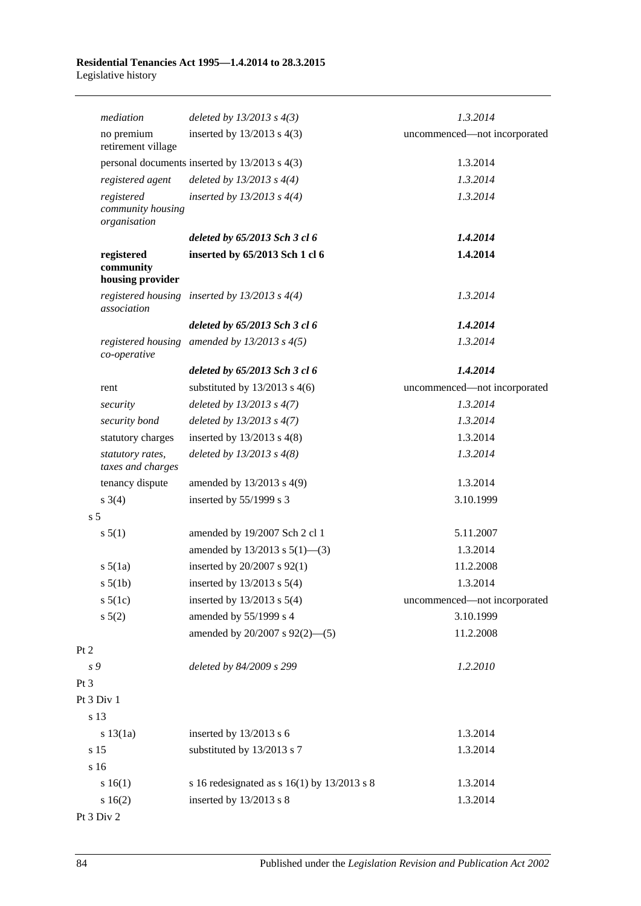|                 | mediation                                       | deleted by $13/2013$ s $4(3)$                     | 1.3.2014                     |
|-----------------|-------------------------------------------------|---------------------------------------------------|------------------------------|
|                 | no premium<br>retirement village                | inserted by $13/2013$ s $4(3)$                    | uncommenced-not incorporated |
|                 |                                                 | personal documents inserted by 13/2013 s 4(3)     | 1.3.2014                     |
|                 | registered agent                                | deleted by $13/2013$ s $4(4)$                     | 1.3.2014                     |
|                 | registered<br>community housing<br>organisation | inserted by $13/2013$ s $4(4)$                    | 1.3.2014                     |
|                 |                                                 | deleted by 65/2013 Sch 3 cl 6                     | 1.4.2014                     |
|                 | registered<br>community<br>housing provider     | inserted by 65/2013 Sch 1 cl 6                    | 1.4.2014                     |
|                 | association                                     | registered housing inserted by $13/2013$ s $4(4)$ | 1.3.2014                     |
|                 |                                                 | deleted by 65/2013 Sch 3 cl 6                     | 1.4.2014                     |
|                 | co-operative                                    | registered housing amended by $13/2013$ s $4(5)$  | 1.3.2014                     |
|                 |                                                 | deleted by 65/2013 Sch 3 cl 6                     | 1.4.2014                     |
| rent            |                                                 | substituted by $13/2013$ s 4(6)                   | uncommenced-not incorporated |
|                 | security                                        | deleted by $13/2013$ s $4(7)$                     | 1.3.2014                     |
|                 | security bond                                   | deleted by $13/2013$ s $4(7)$                     | 1.3.2014                     |
|                 | statutory charges                               | inserted by $13/2013$ s $4(8)$                    | 1.3.2014                     |
|                 | statutory rates,<br>taxes and charges           | deleted by $13/2013$ s $4(8)$                     | 1.3.2014                     |
|                 | tenancy dispute                                 | amended by 13/2013 s 4(9)                         | 1.3.2014                     |
| $s \; 3(4)$     |                                                 | inserted by 55/1999 s 3                           | 3.10.1999                    |
| s <sub>5</sub>  |                                                 |                                                   |                              |
| s 5(1)          |                                                 | amended by 19/2007 Sch 2 cl 1                     | 5.11.2007                    |
|                 |                                                 | amended by $13/2013$ s $5(1)$ —(3)                | 1.3.2014                     |
|                 | $s\ 5(1a)$                                      | inserted by 20/2007 s 92(1)                       | 11.2.2008                    |
|                 | $s\ 5(1b)$                                      | inserted by $13/2013$ s $5(4)$                    | 1.3.2014                     |
|                 | $s\ 5(1c)$                                      | inserted by $13/2013$ s $5(4)$                    | uncommenced-not incorporated |
| s 5(2)          |                                                 | amended by 55/1999 s 4                            | 3.10.1999                    |
|                 |                                                 | amended by $20/2007$ s $92(2)$ —(5)               | 11.2.2008                    |
| Pt 2            |                                                 |                                                   |                              |
| s 9             |                                                 | deleted by 84/2009 s 299                          | 1.2.2010                     |
| Pt <sub>3</sub> |                                                 |                                                   |                              |
| Pt 3 Div 1      |                                                 |                                                   |                              |
| s 13            |                                                 |                                                   |                              |
|                 | $s\ 13(1a)$                                     | inserted by 13/2013 s 6                           | 1.3.2014                     |
| s 15            |                                                 | substituted by 13/2013 s 7                        | 1.3.2014                     |
| s 16            |                                                 |                                                   |                              |
|                 | s 16(1)                                         | s 16 redesignated as s $16(1)$ by $13/2013$ s 8   | 1.3.2014                     |
|                 | s16(2)                                          | inserted by 13/2013 s 8                           | 1.3.2014                     |

Pt 3 Div 2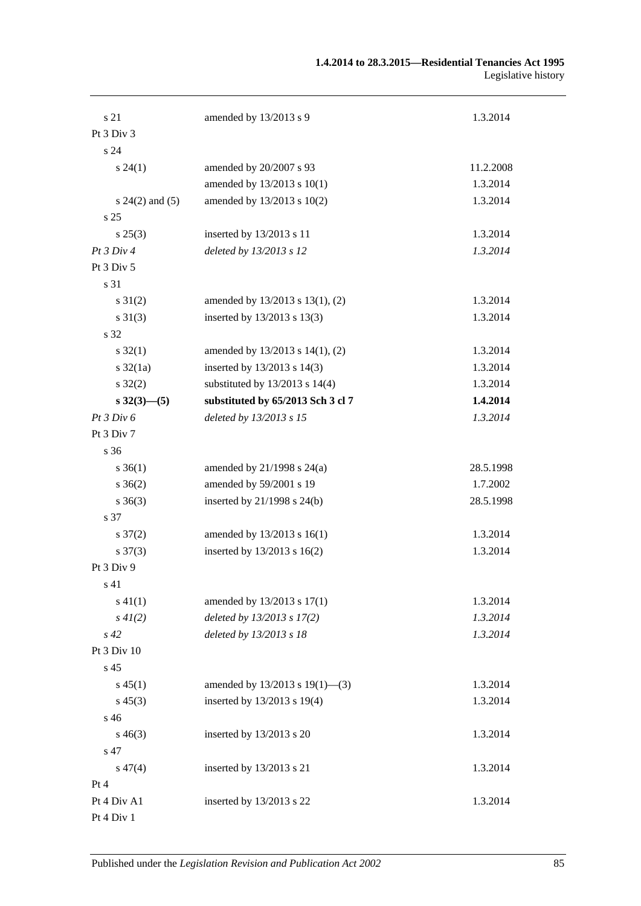| s 21                    | amended by 13/2013 s 9             | 1.3.2014  |
|-------------------------|------------------------------------|-----------|
| Pt 3 Div 3              |                                    |           |
| s 24                    |                                    |           |
| $s\,24(1)$              | amended by 20/2007 s 93            | 11.2.2008 |
|                         | amended by 13/2013 s 10(1)         | 1.3.2014  |
| $s 24(2)$ and (5)       | amended by 13/2013 s 10(2)         | 1.3.2014  |
| s <sub>25</sub>         |                                    |           |
| $s\,25(3)$              | inserted by 13/2013 s 11           | 1.3.2014  |
| Pt 3 Div 4              | deleted by 13/2013 s 12            | 1.3.2014  |
| Pt 3 Div 5              |                                    |           |
| s 31                    |                                    |           |
| $s \, 31(2)$            | amended by 13/2013 s 13(1), (2)    | 1.3.2014  |
| $s \ 31(3)$             | inserted by 13/2013 s 13(3)        | 1.3.2014  |
| s 32                    |                                    |           |
| $s \, 32(1)$            | amended by 13/2013 s 14(1), (2)    | 1.3.2014  |
| $s \frac{32}{1a}$       | inserted by $13/2013$ s $14(3)$    | 1.3.2014  |
| $s \, 32(2)$            | substituted by $13/2013$ s $14(4)$ | 1.3.2014  |
| $s \frac{32(3)-(5)}{2}$ | substituted by 65/2013 Sch 3 cl 7  | 1.4.2014  |
| Pt 3 Div 6              | deleted by 13/2013 s 15            | 1.3.2014  |
| Pt 3 Div 7              |                                    |           |
| s 36                    |                                    |           |
| $s \, 36(1)$            | amended by $21/1998$ s $24(a)$     | 28.5.1998 |
| $s \; 36(2)$            | amended by 59/2001 s 19            | 1.7.2002  |
| $s \; 36(3)$            | inserted by $21/1998$ s $24(b)$    | 28.5.1998 |
| s 37                    |                                    |           |
| $s \frac{37(2)}{2}$     | amended by 13/2013 s 16(1)         | 1.3.2014  |
| $s \frac{37(3)}{2}$     | inserted by $13/2013$ s $16(2)$    | 1.3.2014  |
| Pt 3 Div 9              |                                    |           |
| s 41                    |                                    |           |
| $s\ 41(1)$              | amended by 13/2013 s 17(1)         | 1.3.2014  |
| $s\,4I(2)$              | deleted by 13/2013 s 17(2)         | 1.3.2014  |
| $s\,42$                 | deleted by 13/2013 s 18            | 1.3.2014  |
| Pt 3 Div 10             |                                    |           |
| s 45                    |                                    |           |
| $s\,45(1)$              | amended by 13/2013 s 19(1)-(3)     | 1.3.2014  |
| $s\,45(3)$              | inserted by 13/2013 s 19(4)        | 1.3.2014  |
| s 46                    |                                    |           |
| $s\,46(3)$              | inserted by 13/2013 s 20           | 1.3.2014  |
| s 47                    |                                    |           |
| $s\,47(4)$              | inserted by 13/2013 s 21           | 1.3.2014  |
| Pt 4                    |                                    |           |
| Pt 4 Div A1             | inserted by 13/2013 s 22           | 1.3.2014  |
| Pt 4 Div 1              |                                    |           |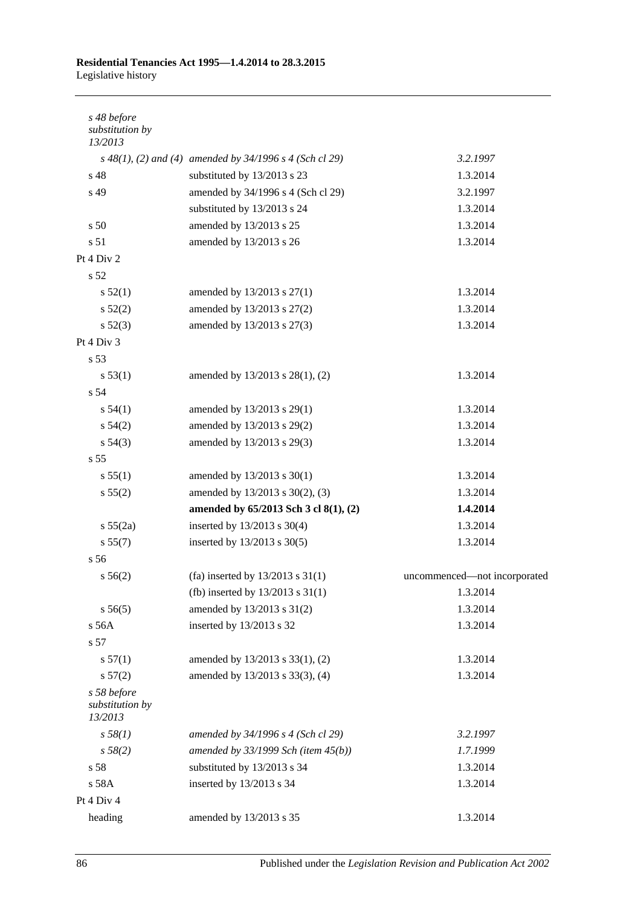### **Residential Tenancies Act 1995—1.4.2014 to 28.3.2015** Legislative history

| s 48 before<br>substitution by<br>13/2013 |                                                           |                              |
|-------------------------------------------|-----------------------------------------------------------|------------------------------|
|                                           | $s$ 48(1), (2) and (4) amended by 34/1996 s 4 (Sch cl 29) | 3.2.1997                     |
| s 48                                      | substituted by 13/2013 s 23                               | 1.3.2014                     |
| s 49                                      | amended by 34/1996 s 4 (Sch cl 29)                        | 3.2.1997                     |
|                                           | substituted by 13/2013 s 24                               | 1.3.2014                     |
| s 50                                      | amended by 13/2013 s 25                                   | 1.3.2014                     |
| s 51                                      | amended by 13/2013 s 26                                   | 1.3.2014                     |
| Pt 4 Div 2                                |                                                           |                              |
| s 52                                      |                                                           |                              |
| s 52(1)                                   | amended by 13/2013 s 27(1)                                | 1.3.2014                     |
| s 52(2)                                   | amended by 13/2013 s 27(2)                                | 1.3.2014                     |
| s 52(3)                                   | amended by 13/2013 s 27(3)                                | 1.3.2014                     |
| Pt 4 Div 3                                |                                                           |                              |
| s 53                                      |                                                           |                              |
| s 53(1)                                   | amended by 13/2013 s 28(1), (2)                           | 1.3.2014                     |
| s 54                                      |                                                           |                              |
| s 54(1)                                   | amended by 13/2013 s 29(1)                                | 1.3.2014                     |
| $s\,54(2)$                                | amended by 13/2013 s 29(2)                                | 1.3.2014                     |
| $s\,54(3)$                                | amended by 13/2013 s 29(3)                                | 1.3.2014                     |
| s <sub>55</sub>                           |                                                           |                              |
| s 55(1)                                   | amended by 13/2013 s 30(1)                                | 1.3.2014                     |
| s 55(2)                                   | amended by 13/2013 s 30(2), (3)                           | 1.3.2014                     |
|                                           | amended by 65/2013 Sch 3 cl 8(1), (2)                     | 1.4.2014                     |
| s 55(2a)                                  | inserted by 13/2013 s 30(4)                               | 1.3.2014                     |
| s 55(7)                                   | inserted by 13/2013 s 30(5)                               | 1.3.2014                     |
| s <sub>56</sub>                           |                                                           |                              |
| s 56(2)                                   | (fa) inserted by $13/2013$ s $31(1)$                      | uncommenced-not incorporated |
|                                           | (fb) inserted by $13/2013$ s $31(1)$                      | 1.3.2014                     |
| s 56(5)                                   | amended by 13/2013 s 31(2)                                | 1.3.2014                     |
| s 56A                                     | inserted by 13/2013 s 32                                  | 1.3.2014                     |
| s 57                                      |                                                           |                              |
| s 57(1)                                   | amended by 13/2013 s 33(1), (2)                           | 1.3.2014                     |
| s 57(2)                                   | amended by 13/2013 s 33(3), (4)                           | 1.3.2014                     |
| s 58 before<br>substitution by<br>13/2013 |                                                           |                              |
| s 58(1)                                   | amended by 34/1996 s 4 (Sch cl 29)                        | 3.2.1997                     |
| s 58(2)                                   | amended by $33/1999$ Sch (item $45(b)$ )                  | 1.7.1999                     |
| s 58                                      | substituted by 13/2013 s 34                               | 1.3.2014                     |
| s 58A                                     | inserted by 13/2013 s 34                                  | 1.3.2014                     |
| Pt 4 Div 4                                |                                                           |                              |
| heading                                   | amended by 13/2013 s 35                                   | 1.3.2014                     |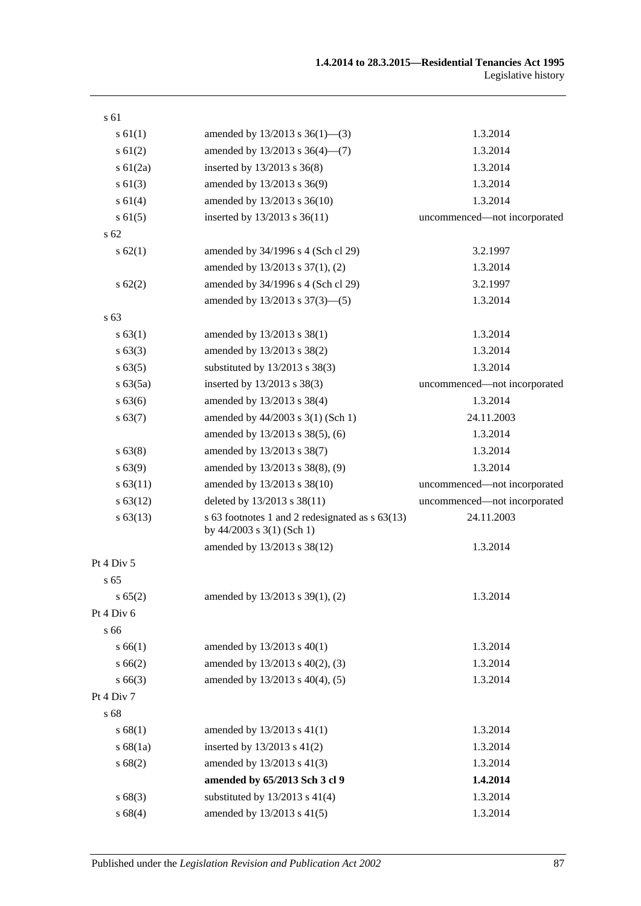| s 61           |                                                                              |                              |
|----------------|------------------------------------------------------------------------------|------------------------------|
| s 61(1)        | amended by $13/2013$ s $36(1)$ —(3)                                          | 1.3.2014                     |
| $s \ 61(2)$    | amended by 13/2013 s 36(4)-(7)                                               | 1.3.2014                     |
| $s \, 61(2a)$  | inserted by 13/2013 s 36(8)                                                  | 1.3.2014                     |
| $s \ 61(3)$    | amended by 13/2013 s 36(9)                                                   | 1.3.2014                     |
| s 61(4)        | amended by 13/2013 s 36(10)                                                  | 1.3.2014                     |
| $s \, 61(5)$   | inserted by 13/2013 s 36(11)                                                 | uncommenced-not incorporated |
| $\sqrt{s}$ 62  |                                                                              |                              |
| s 62(1)        | amended by 34/1996 s 4 (Sch cl 29)                                           | 3.2.1997                     |
|                | amended by 13/2013 s 37(1), (2)                                              | 1.3.2014                     |
| $s \, 62(2)$   | amended by 34/1996 s 4 (Sch cl 29)                                           | 3.2.1997                     |
|                | amended by 13/2013 s 37(3)-(5)                                               | 1.3.2014                     |
| s 63           |                                                                              |                              |
| s 63(1)        | amended by 13/2013 s 38(1)                                                   | 1.3.2014                     |
| s 63(3)        | amended by 13/2013 s 38(2)                                                   | 1.3.2014                     |
| s 63(5)        | substituted by $13/2013$ s $38(3)$                                           | 1.3.2014                     |
| s 63(5a)       | inserted by 13/2013 s 38(3)                                                  | uncommenced-not incorporated |
| s 63(6)        | amended by 13/2013 s 38(4)                                                   | 1.3.2014                     |
| s 63(7)        | amended by 44/2003 s 3(1) (Sch 1)                                            | 24.11.2003                   |
|                | amended by 13/2013 s 38(5), (6)                                              | 1.3.2014                     |
| s 63(8)        | amended by 13/2013 s 38(7)                                                   | 1.3.2014                     |
| s 63(9)        | amended by 13/2013 s 38(8), (9)                                              | 1.3.2014                     |
| s 63(11)       | amended by 13/2013 s 38(10)                                                  | uncommenced-not incorporated |
| s 63(12)       | deleted by 13/2013 s 38(11)                                                  | uncommenced-not incorporated |
| $s\,63(13)$    | s 63 footnotes 1 and 2 redesignated as s 63(13)<br>by 44/2003 s 3(1) (Sch 1) | 24.11.2003                   |
|                | amended by 13/2013 s 38(12)                                                  | 1.3.2014                     |
| Pt $4$ Div $5$ |                                                                              |                              |
| s 65           |                                                                              |                              |
| s 65(2)        | amended by 13/2013 s 39(1), (2)                                              | 1.3.2014                     |
| Pt 4 Div 6     |                                                                              |                              |
| s 66           |                                                                              |                              |
| s 66(1)        | amended by 13/2013 s 40(1)                                                   | 1.3.2014                     |
| s 66(2)        | amended by 13/2013 s 40(2), (3)                                              | 1.3.2014                     |
| $s\,66(3)$     | amended by 13/2013 s 40(4), (5)                                              | 1.3.2014                     |
| Pt 4 Div 7     |                                                                              |                              |
| s 68           |                                                                              |                              |
| s 68(1)        | amended by 13/2013 s 41(1)                                                   | 1.3.2014                     |
| s 68(1a)       | inserted by $13/2013$ s $41(2)$                                              | 1.3.2014                     |
| s 68(2)        | amended by 13/2013 s 41(3)                                                   | 1.3.2014                     |
|                | amended by 65/2013 Sch 3 cl 9                                                | 1.4.2014                     |
| s68(3)         | substituted by $13/2013$ s $41(4)$                                           | 1.3.2014                     |
| s68(4)         | amended by 13/2013 s 41(5)                                                   | 1.3.2014                     |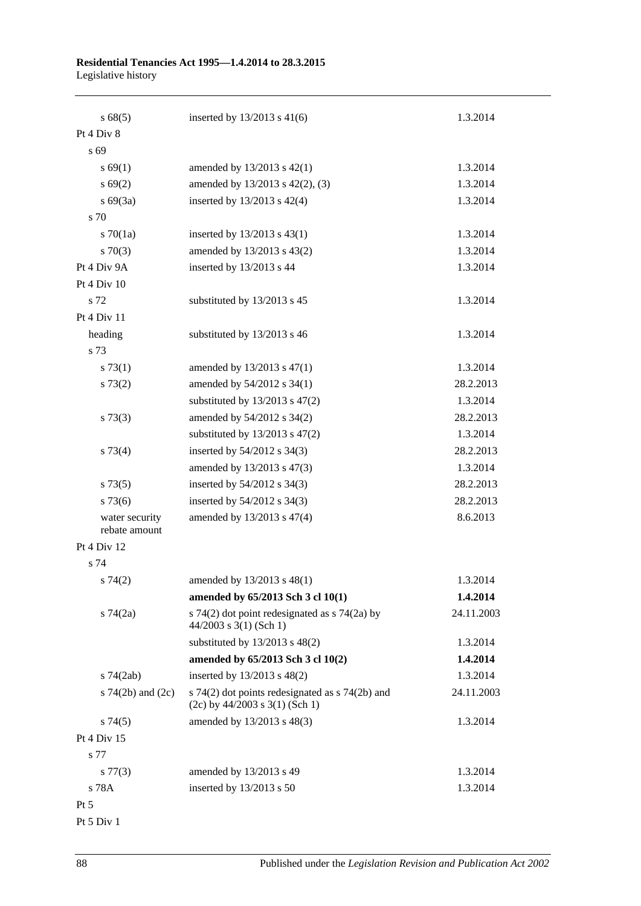# **Residential Tenancies Act 1995—1.4.2014 to 28.3.2015**

Legislative history

| s68(5)                          | inserted by $13/2013$ s 41(6)                                                           | 1.3.2014   |
|---------------------------------|-----------------------------------------------------------------------------------------|------------|
| Pt 4 Div 8                      |                                                                                         |            |
| s 69                            |                                                                                         |            |
| s 69(1)                         | amended by $13/2013$ s $42(1)$                                                          | 1.3.2014   |
| s 69(2)                         | amended by 13/2013 s 42(2), (3)                                                         | 1.3.2014   |
| $s\ 69(3a)$                     | inserted by 13/2013 s 42(4)                                                             | 1.3.2014   |
| s 70                            |                                                                                         |            |
| $s \, 70(1a)$                   | inserted by $13/2013$ s $43(1)$                                                         | 1.3.2014   |
| $s \, 70(3)$                    | amended by 13/2013 s 43(2)                                                              | 1.3.2014   |
| Pt 4 Div 9A                     | inserted by 13/2013 s 44                                                                | 1.3.2014   |
| Pt 4 Div 10                     |                                                                                         |            |
| s 72                            | substituted by 13/2013 s 45                                                             | 1.3.2014   |
| Pt 4 Div 11                     |                                                                                         |            |
| heading                         | substituted by 13/2013 s 46                                                             | 1.3.2014   |
| s 73                            |                                                                                         |            |
| s 73(1)                         | amended by 13/2013 s 47(1)                                                              | 1.3.2014   |
| s 73(2)                         | amended by 54/2012 s 34(1)                                                              | 28.2.2013  |
|                                 | substituted by $13/2013$ s $47(2)$                                                      | 1.3.2014   |
| $s \, 73(3)$                    | amended by 54/2012 s 34(2)                                                              | 28.2.2013  |
|                                 | substituted by $13/2013$ s $47(2)$                                                      | 1.3.2014   |
| $s \, 73(4)$                    | inserted by 54/2012 s 34(3)                                                             | 28.2.2013  |
|                                 | amended by 13/2013 s 47(3)                                                              | 1.3.2014   |
| s 73(5)                         | inserted by 54/2012 s 34(3)                                                             | 28.2.2013  |
| $s\,73(6)$                      | inserted by 54/2012 s 34(3)                                                             | 28.2.2013  |
| water security<br>rebate amount | amended by 13/2013 s 47(4)                                                              | 8.6.2013   |
| Pt 4 Div 12                     |                                                                                         |            |
| s 74                            |                                                                                         |            |
| s74(2)                          | amended by 13/2013 s 48(1)                                                              | 1.3.2014   |
|                                 | amended by 65/2013 Sch 3 cl 10(1)                                                       | 1.4.2014   |
| $s \, 74(2a)$                   | s 74(2) dot point redesignated as $\frac{1}{2}$ 74(2a) by<br>$44/2003$ s 3(1) (Sch 1)   | 24.11.2003 |
|                                 | substituted by $13/2013$ s $48(2)$                                                      | 1.3.2014   |
|                                 | amended by 65/2013 Sch 3 cl 10(2)                                                       | 1.4.2014   |
| $s\,74(2ab)$                    | inserted by 13/2013 s 48(2)                                                             | 1.3.2014   |
| s $74(2b)$ and $(2c)$           | s $74(2)$ dot points redesignated as s $74(2b)$ and<br>$(2c)$ by 44/2003 s 3(1) (Sch 1) | 24.11.2003 |
| s74(5)                          | amended by 13/2013 s 48(3)                                                              | 1.3.2014   |
| Pt 4 Div 15                     |                                                                                         |            |
| s 77                            |                                                                                         |            |
| $s\,77(3)$                      | amended by 13/2013 s 49                                                                 | 1.3.2014   |
| s 78A                           | inserted by 13/2013 s 50                                                                | 1.3.2014   |
| Pt 5                            |                                                                                         |            |

Pt 5 Div 1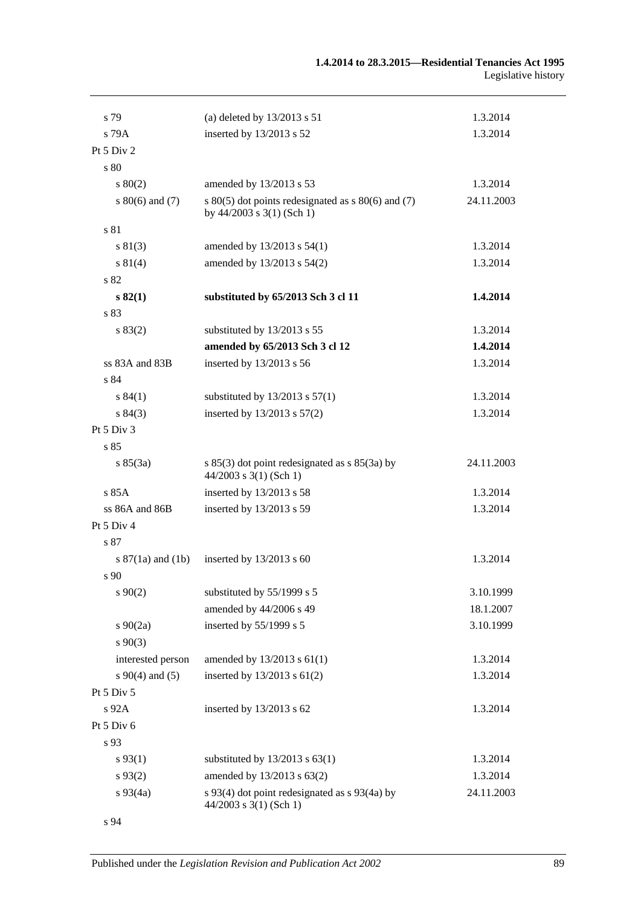| s 79                  | (a) deleted by $13/2013$ s $51$                                                         | 1.3.2014   |
|-----------------------|-----------------------------------------------------------------------------------------|------------|
| $s$ 79 $A$            | inserted by 13/2013 s 52                                                                | 1.3.2014   |
| Pt 5 Div 2            |                                                                                         |            |
| s80                   |                                                                                         |            |
| $s\ 80(2)$            | amended by 13/2013 s 53                                                                 | 1.3.2014   |
| s $80(6)$ and $(7)$   | s $80(5)$ dot points redesignated as s $80(6)$ and (7)<br>by $44/2003$ s $3(1)$ (Sch 1) | 24.11.2003 |
| s 81                  |                                                                                         |            |
| s 81(3)               | amended by 13/2013 s 54(1)                                                              | 1.3.2014   |
| s 81(4)               | amended by 13/2013 s 54(2)                                                              | 1.3.2014   |
| s 82                  |                                                                                         |            |
| s 82(1)               | substituted by 65/2013 Sch 3 cl 11                                                      | 1.4.2014   |
| s 83                  |                                                                                         |            |
| s 83(2)               | substituted by 13/2013 s 55                                                             | 1.3.2014   |
|                       | amended by 65/2013 Sch 3 cl 12                                                          | 1.4.2014   |
| ss 83A and 83B        | inserted by 13/2013 s 56                                                                | 1.3.2014   |
| s 84                  |                                                                                         |            |
| s 84(1)               | substituted by $13/2013$ s $57(1)$                                                      | 1.3.2014   |
| s 84(3)               | inserted by 13/2013 s 57(2)                                                             | 1.3.2014   |
| Pt 5 Div 3            |                                                                                         |            |
| s85                   |                                                                                         |            |
| s 85(3a)              | s $85(3)$ dot point redesignated as s $85(3a)$ by<br>$44/2003$ s 3(1) (Sch 1)           | 24.11.2003 |
| s 85A                 | inserted by 13/2013 s 58                                                                | 1.3.2014   |
| ss 86A and 86B        | inserted by 13/2013 s 59                                                                | 1.3.2014   |
| Pt 5 Div 4            |                                                                                         |            |
| s 87                  |                                                                                         |            |
| s $87(1a)$ and $(1b)$ | inserted by $13/2013$ s 60                                                              | 1.3.2014   |
| s 90                  |                                                                                         |            |
| $s\,90(2)$            | substituted by 55/1999 s 5                                                              | 3.10.1999  |
|                       | amended by 44/2006 s 49                                                                 | 18.1.2007  |
| $s \ 90(2a)$          | inserted by 55/1999 s 5                                                                 | 3.10.1999  |
| $s\,90(3)$            |                                                                                         |            |
| interested person     | amended by $13/2013$ s $61(1)$                                                          | 1.3.2014   |
| $s\ 90(4)$ and (5)    | inserted by $13/2013$ s $61(2)$                                                         | 1.3.2014   |
| Pt 5 Div 5            |                                                                                         |            |
| $s\,92A$              | inserted by 13/2013 s 62                                                                | 1.3.2014   |
| Pt 5 Div 6            |                                                                                         |            |
| s 93                  |                                                                                         |            |
| $s\,93(1)$            | substituted by $13/2013$ s $63(1)$                                                      | 1.3.2014   |
| $s\,93(2)$            | amended by 13/2013 s 63(2)                                                              | 1.3.2014   |
| $s\,93(4a)$           | s 93(4) dot point redesignated as s 93(4a) by<br>$44/2003$ s 3(1) (Sch 1)               | 24.11.2003 |
| s 94                  |                                                                                         |            |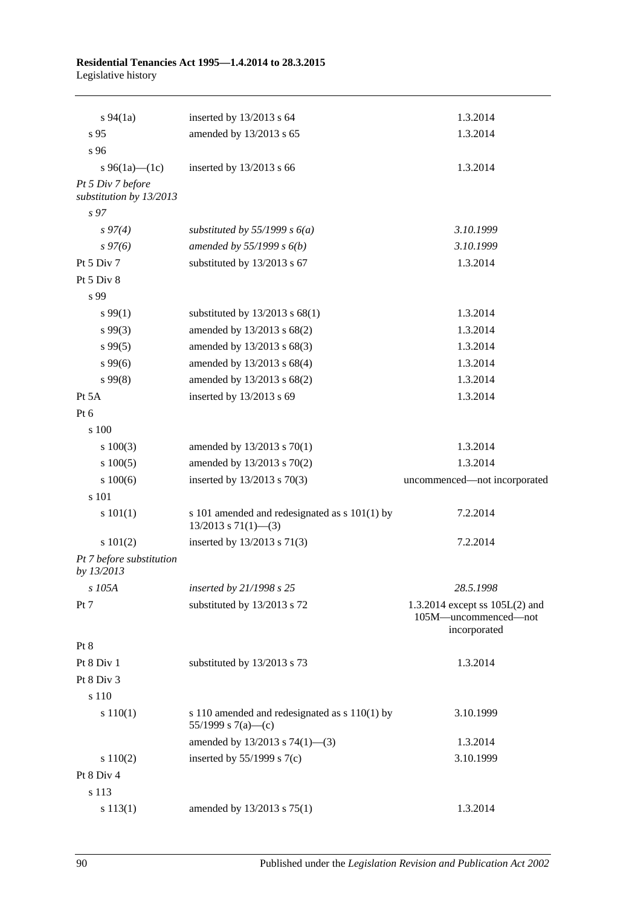### **Residential Tenancies Act 1995—1.4.2014 to 28.3.2015** Legislative history

| $s\,94(1a)$                                  | inserted by 13/2013 s 64                                                   | 1.3.2014                                                                 |
|----------------------------------------------|----------------------------------------------------------------------------|--------------------------------------------------------------------------|
| s 95                                         | amended by 13/2013 s 65                                                    | 1.3.2014                                                                 |
| s 96                                         |                                                                            |                                                                          |
| s 96(1a)—(1c)                                | inserted by 13/2013 s 66                                                   | 1.3.2014                                                                 |
| Pt 5 Div 7 before<br>substitution by 13/2013 |                                                                            |                                                                          |
| s <sub>97</sub>                              |                                                                            |                                                                          |
| $s\,97(4)$                                   | substituted by 55/1999 s $6(a)$                                            | 3.10.1999                                                                |
| $s\,97(6)$                                   | amended by $55/1999 s 6(b)$                                                | 3.10.1999                                                                |
| Pt 5 Div 7                                   | substituted by 13/2013 s 67                                                | 1.3.2014                                                                 |
| Pt 5 Div 8                                   |                                                                            |                                                                          |
| s 99                                         |                                                                            |                                                                          |
| $s\,99(1)$                                   | substituted by $13/2013$ s $68(1)$                                         | 1.3.2014                                                                 |
| $s\,99(3)$                                   | amended by 13/2013 s 68(2)                                                 | 1.3.2014                                                                 |
| $s\,99(5)$                                   | amended by 13/2013 s 68(3)                                                 | 1.3.2014                                                                 |
| $s\,99(6)$                                   | amended by 13/2013 s 68(4)                                                 | 1.3.2014                                                                 |
| $s\,99(8)$                                   | amended by 13/2013 s 68(2)                                                 | 1.3.2014                                                                 |
| Pt 5A                                        | inserted by 13/2013 s 69                                                   | 1.3.2014                                                                 |
| Pt $6$                                       |                                                                            |                                                                          |
| s 100                                        |                                                                            |                                                                          |
| 100(3)                                       | amended by 13/2013 s 70(1)                                                 | 1.3.2014                                                                 |
| 100(5)                                       | amended by 13/2013 s 70(2)                                                 | 1.3.2014                                                                 |
| 100(6)                                       | inserted by 13/2013 s 70(3)                                                | uncommenced-not incorporated                                             |
| s 101                                        |                                                                            |                                                                          |
| s 101(1)                                     | s 101 amended and redesignated as s 101(1) by<br>$13/2013$ s $71(1)$ - (3) | 7.2.2014                                                                 |
| s 101(2)                                     | inserted by 13/2013 s 71(3)                                                | 7.2.2014                                                                 |
| Pt 7 before substitution<br>by 13/2013       |                                                                            |                                                                          |
| s 105A                                       | inserted by 21/1998 s 25                                                   | 28.5.1998                                                                |
| Pt 7                                         | substituted by 13/2013 s 72                                                | 1.3.2014 except ss $105L(2)$ and<br>105M-uncommenced-not<br>incorporated |
| Pt 8                                         |                                                                            |                                                                          |
| Pt 8 Div 1                                   | substituted by 13/2013 s 73                                                | 1.3.2014                                                                 |
| Pt 8 Div 3                                   |                                                                            |                                                                          |
| s 110                                        |                                                                            |                                                                          |
| s 110(1)                                     | s 110 amended and redesignated as s 110(1) by<br>55/1999 s 7(a)-(c)        | 3.10.1999                                                                |
|                                              | amended by $13/2013$ s $74(1)$ —(3)                                        | 1.3.2014                                                                 |
| 110(2)                                       | inserted by $55/1999$ s $7(c)$                                             | 3.10.1999                                                                |
| Pt 8 Div 4                                   |                                                                            |                                                                          |
| s 113                                        |                                                                            |                                                                          |
| s 113(1)                                     | amended by 13/2013 s 75(1)                                                 | 1.3.2014                                                                 |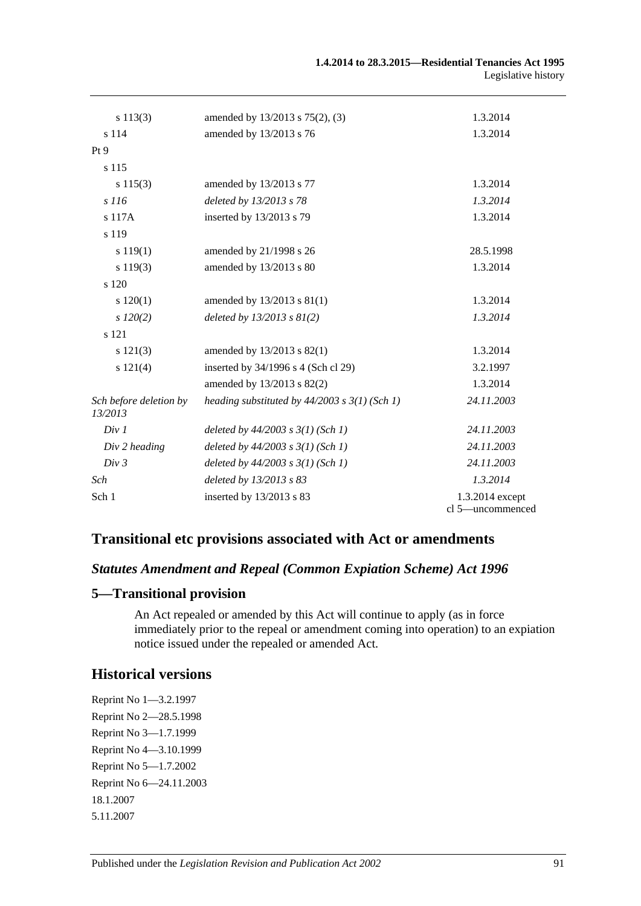| s 113(3)                          | amended by 13/2013 s 75(2), (3)                   | 1.3.2014                            |
|-----------------------------------|---------------------------------------------------|-------------------------------------|
| s 114                             | amended by 13/2013 s 76                           | 1.3.2014                            |
| Pt 9                              |                                                   |                                     |
| s 115                             |                                                   |                                     |
| s 115(3)                          | amended by 13/2013 s 77                           | 1.3.2014                            |
| s 116                             | deleted by 13/2013 s 78                           | 1.3.2014                            |
| s 117A                            | inserted by 13/2013 s 79                          | 1.3.2014                            |
| s 119                             |                                                   |                                     |
| s 119(1)                          | amended by 21/1998 s 26                           | 28.5.1998                           |
| s 119(3)                          | amended by 13/2013 s 80                           | 1.3.2014                            |
| s 120                             |                                                   |                                     |
| s 120(1)                          | amended by 13/2013 s 81(1)                        | 1.3.2014                            |
| $s\,120(2)$                       | deleted by $13/2013$ s $81(2)$                    | 1.3.2014                            |
| s 121                             |                                                   |                                     |
| s 121(3)                          | amended by 13/2013 s 82(1)                        | 1.3.2014                            |
| s 121(4)                          | inserted by 34/1996 s 4 (Sch cl 29)               | 3.2.1997                            |
|                                   | amended by 13/2013 s 82(2)                        | 1.3.2014                            |
| Sch before deletion by<br>13/2013 | heading substituted by $44/2003$ s $3(1)$ (Sch 1) | 24.11.2003                          |
| Div 1                             | deleted by $44/2003$ s $3(1)$ (Sch 1)             | 24.11.2003                          |
| Div 2 heading                     | deleted by $44/2003$ s $3(1)$ (Sch 1)             | 24.11.2003                          |
| Div 3                             | deleted by $44/2003$ s $3(1)$ (Sch 1)             | 24.11.2003                          |
| Sch                               | deleted by 13/2013 s 83                           | 1.3.2014                            |
| Sch 1                             | inserted by 13/2013 s 83                          | 1.3.2014 except<br>cl 5-uncommenced |

# **Transitional etc provisions associated with Act or amendments**

### *Statutes Amendment and Repeal (Common Expiation Scheme) Act 1996*

### **5—Transitional provision**

An Act repealed or amended by this Act will continue to apply (as in force immediately prior to the repeal or amendment coming into operation) to an expiation notice issued under the repealed or amended Act.

### **Historical versions**

Reprint No 1—3.2.1997 Reprint No 2—28.5.1998 Reprint No 3—1.7.1999 Reprint No 4—3.10.1999 Reprint No 5—1.7.2002 Reprint No 6—24.11.2003 18.1.2007 5.11.2007